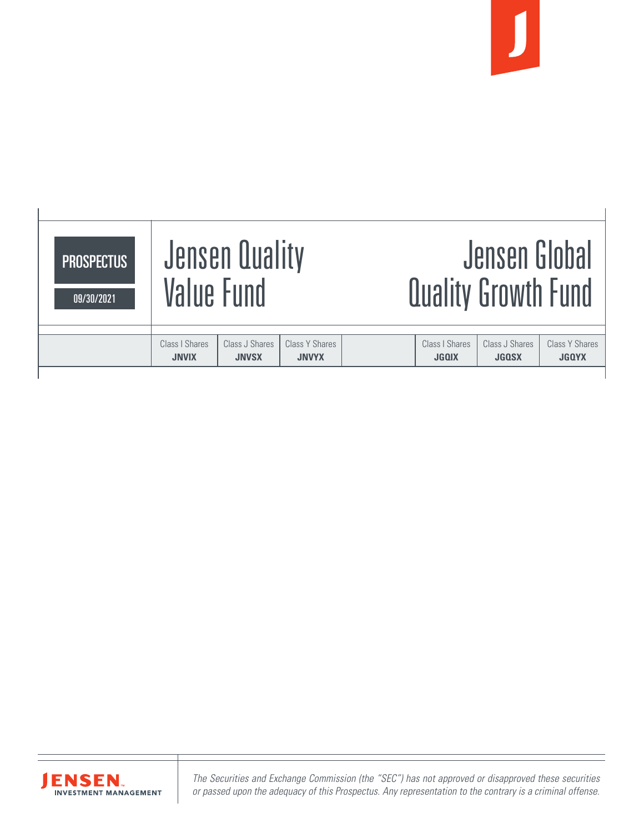

## Class I Shares | Class J Shares | Class Y Shares | Class I Shares | Class J Shares | Class Y Shares | Class Y **JNVIX JNVSX JNVYX JGQIX JGQSX JGQYX** Jensen Quality Value Fund Jensen Global Quality Growth Fund **PROSPECTUS** 09/30/2021



*The Securities and Exchange Commission (the "SEC") has not approved or disapproved these securities or passed upon the adequacy of this Prospectus. Any representation to the contrary is a criminal offense.*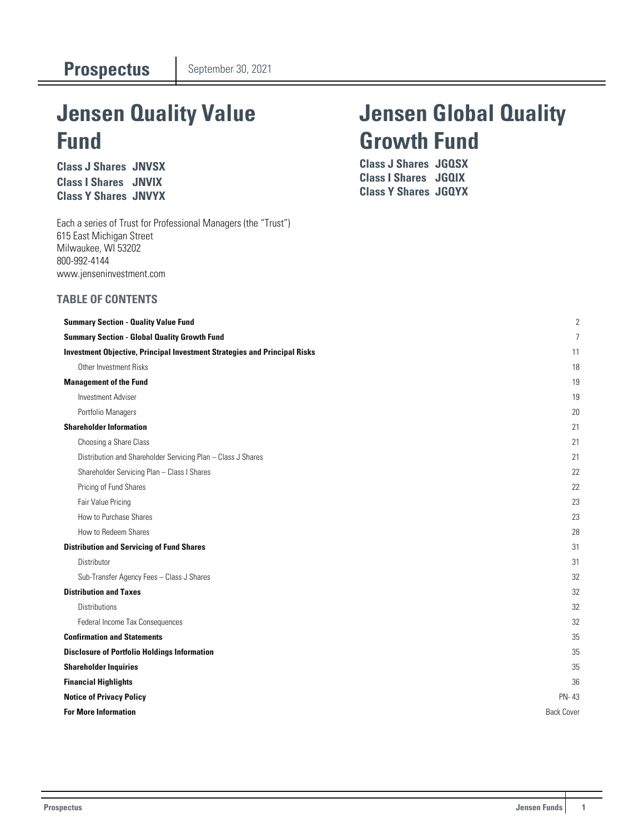# **Jensen Quality Value Fund**

**Class J Shares JNVSX Class I Shares JNVIX Class Y Shares JNVYX**

Each a series of Trust for Professional Managers (the "Trust") 615 East Michigan Street Milwaukee, WI 53202 800-992-4144 www.jenseninvestment.com

### **TABLE OF CONTENTS**

# **Jensen Global Quality Growth Fund**

**Class J Shares JGQSX Class I Shares JGQIX Class Y Shares JGQYX**

| <b>Summary Section - Quality Value Fund</b>                                      | $\overline{c}$    |
|----------------------------------------------------------------------------------|-------------------|
| <b>Summary Section - Global Quality Growth Fund</b>                              | 7                 |
| <b>Investment Objective, Principal Investment Strategies and Principal Risks</b> | 11                |
| Other Investment Risks                                                           | 18                |
| <b>Management of the Fund</b>                                                    | 19                |
| <b>Investment Adviser</b>                                                        | 19                |
| Portfolio Managers                                                               | 20                |
| <b>Shareholder Information</b>                                                   | 21                |
| Choosing a Share Class                                                           | 21                |
| Distribution and Shareholder Servicing Plan - Class J Shares                     | 21                |
| Shareholder Servicing Plan - Class I Shares                                      | 22                |
| Pricing of Fund Shares                                                           | 22                |
| Fair Value Pricing                                                               | 23                |
| How to Purchase Shares                                                           | 23                |
| How to Redeem Shares                                                             | 28                |
| <b>Distribution and Servicing of Fund Shares</b>                                 | 31                |
| Distributor                                                                      | 31                |
| Sub-Transfer Agency Fees - Class J Shares                                        | 32                |
| <b>Distribution and Taxes</b>                                                    | 32                |
| <b>Distributions</b>                                                             | 32                |
| Federal Income Tax Consequences                                                  | 32                |
| <b>Confirmation and Statements</b>                                               | 35                |
| <b>Disclosure of Portfolio Holdings Information</b>                              | 35                |
| <b>Shareholder Inquiries</b>                                                     | 35                |
| <b>Financial Highlights</b>                                                      | 36                |
| <b>Notice of Privacy Policy</b>                                                  | PN-43             |
| <b>For More Information</b>                                                      | <b>Back Cover</b> |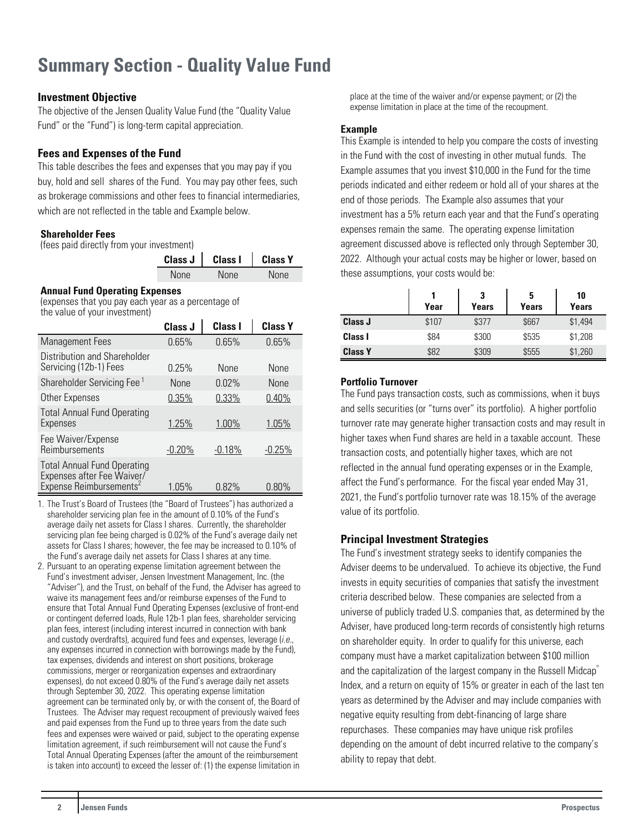## <span id="page-2-0"></span>**Summary Section - Quality Value Fund**

### **Investment Objective**

The objective of the Jensen Quality Value Fund (the "Quality Value Fund" or the "Fund") is long-term capital appreciation.

## **Fees and Expenses of the Fund**

This table describes the fees and expenses that you may pay if you buy, hold and sell shares of the Fund. You may pay other fees, such as brokerage commissions and other fees to financial intermediaries, which are not reflected in the table and Example below.

#### **Shareholder Fees**

(fees paid directly from your investment)

| Class $J$ | <b>Class I</b> | <b>Class Y</b> |
|-----------|----------------|----------------|
| None      | <b>None</b>    | <b>None</b>    |

#### **Annual Fund Operating Expenses**

(expenses that you pay each year as a percentage of the value of your investment)

|                                                                                                         | Class J     | <b>Class I</b> | <b>Class Y</b> |
|---------------------------------------------------------------------------------------------------------|-------------|----------------|----------------|
| <b>Management Fees</b>                                                                                  | 0.65%       | 0.65%          | 0.65%          |
| Distribution and Shareholder<br>Servicing (12b-1) Fees                                                  | 0.25%       | <b>None</b>    | <b>None</b>    |
| Shareholder Servicing Fee <sup>1</sup>                                                                  | <b>None</b> | $0.02\%$       | <b>None</b>    |
| Other Expenses                                                                                          | 0.35%       | 0.33%          | 0.40%          |
| <b>Total Annual Fund Operating</b><br>Expenses                                                          | 1.25%       | 1.00%          | 1.05%          |
| Fee Waiver/Expense<br>Reimbursements                                                                    | $-0.20%$    | $-0.18%$       | $-0.25\%$      |
| <b>Total Annual Fund Operating</b><br>Expenses after Fee Waiver/<br>Expense Reimbursements <sup>2</sup> | 1.05%       | 0.82%          | $0.80\%$       |

- 1. The Trust's Board of Trustees (the "Board of Trustees") has authorized a shareholder servicing plan fee in the amount of 0.10% of the Fund's average daily net assets for Class I shares. Currently, the shareholder servicing plan fee being charged is 0.02% of the Fund's average daily net assets for Class I shares; however, the fee may be increased to 0.10% of the Fund's average daily net assets for Class I shares at any time.
- 2. Pursuant to an operating expense limitation agreement between the Fund's investment adviser, Jensen Investment Management, Inc. (the "Adviser"), and the Trust, on behalf of the Fund, the Adviser has agreed to waive its management fees and/or reimburse expenses of the Fund to ensure that Total Annual Fund Operating Expenses (exclusive of front-end or contingent deferred loads, Rule 12b-1 plan fees, shareholder servicing plan fees, interest (including interest incurred in connection with bank and custody overdrafts), acquired fund fees and expenses, leverage (i.e., any expenses incurred in connection with borrowings made by the Fund), tax expenses, dividends and interest on short positions, brokerage commissions, merger or reorganization expenses and extraordinary expenses), do not exceed 0.80% of the Fund's average daily net assets through September 30, 2022. This operating expense limitation agreement can be terminated only by, or with the consent of, the Board of Trustees. The Adviser may request recoupment of previously waived fees and paid expenses from the Fund up to three years from the date such fees and expenses were waived or paid, subject to the operating expense limitation agreement, if such reimbursement will not cause the Fund's Total Annual Operating Expenses (after the amount of the reimbursement is taken into account) to exceed the lesser of: (1) the expense limitation in

place at the time of the waiver and/or expense payment; or (2) the expense limitation in place at the time of the recoupment.

## **Example**

This Example is intended to help you compare the costs of investing in the Fund with the cost of investing in other mutual funds. The Example assumes that you invest \$10,000 in the Fund for the time periods indicated and either redeem or hold all of your shares at the end of those periods. The Example also assumes that your investment has a 5% return each year and that the Fund's operating expenses remain the same. The operating expense limitation agreement discussed above is reflected only through September 30, 2022. Although your actual costs may be higher or lower, based on these assumptions, your costs would be:

|                | Year  | 3<br>Years | 5<br>Years | 10<br>Years |
|----------------|-------|------------|------------|-------------|
| Class J        | \$107 | \$377      | \$667      | \$1,494     |
| <b>Class I</b> | \$84  | \$300      | \$535      | \$1,208     |
| <b>Class Y</b> | \$82  | \$309      | \$555      | \$1,260     |

#### **Portfolio Turnover**

The Fund pays transaction costs, such as commissions, when it buys and sells securities (or "turns over" its portfolio). A higher portfolio turnover rate may generate higher transaction costs and may result in higher taxes when Fund shares are held in a taxable account. These transaction costs, and potentially higher taxes, which are not reflected in the annual fund operating expenses or in the Example, affect the Fund's performance. For the fiscal year ended May 31, 2021, the Fund's portfolio turnover rate was 18.15% of the average value of its portfolio.

#### **Principal Investment Strategies**

The Fund's investment strategy seeks to identify companies the Adviser deems to be undervalued. To achieve its objective, the Fund invests in equity securities of companies that satisfy the investment criteria described below. These companies are selected from a universe of publicly traded U.S. companies that, as determined by the Adviser, have produced long-term records of consistently high returns on shareholder equity. In order to qualify for this universe, each company must have a market capitalization between \$100 million and the capitalization of the largest company in the Russell Midcap<sup>®</sup> Index, and a return on equity of 15% or greater in each of the last ten years as determined by the Adviser and may include companies with negative equity resulting from debt-financing of large share repurchases. These companies may have unique risk profiles depending on the amount of debt incurred relative to the company's ability to repay that debt.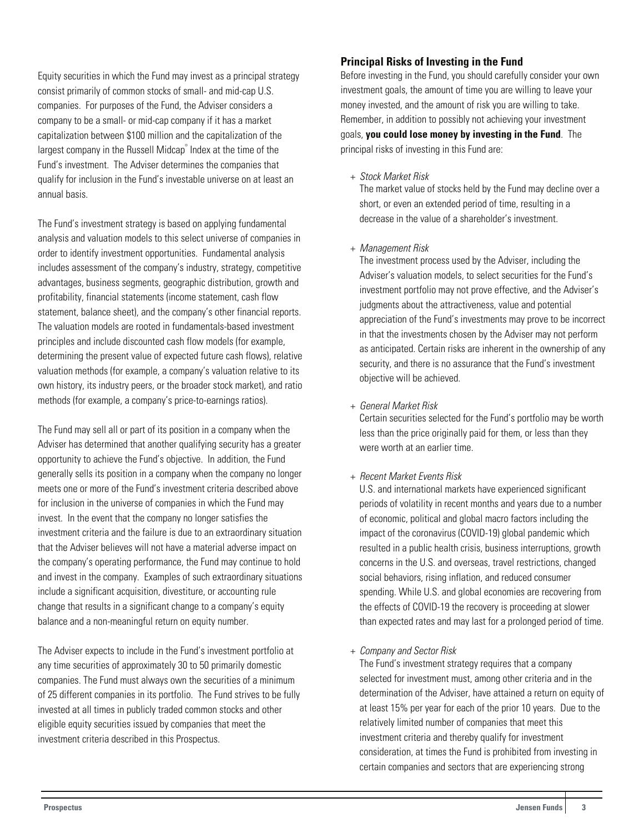Equity securities in which the Fund may invest as a principal strategy consist primarily of common stocks of small- and mid-cap U.S. companies. For purposes of the Fund, the Adviser considers a company to be a small- or mid-cap company if it has a market capitalization between \$100 million and the capitalization of the largest company in the Russell Midcap® Index at the time of the Fund's investment. The Adviser determines the companies that qualify for inclusion in the Fund's investable universe on at least an annual basis.

The Fund's investment strategy is based on applying fundamental analysis and valuation models to this select universe of companies in order to identify investment opportunities. Fundamental analysis includes assessment of the company's industry, strategy, competitive advantages, business segments, geographic distribution, growth and profitability, financial statements (income statement, cash flow statement, balance sheet), and the company's other financial reports. The valuation models are rooted in fundamentals-based investment principles and include discounted cash flow models (for example, determining the present value of expected future cash flows), relative valuation methods (for example, a company's valuation relative to its own history, its industry peers, or the broader stock market), and ratio methods (for example, a company's price-to-earnings ratios).

The Fund may sell all or part of its position in a company when the Adviser has determined that another qualifying security has a greater opportunity to achieve the Fund's objective. In addition, the Fund generally sells its position in a company when the company no longer meets one or more of the Fund's investment criteria described above for inclusion in the universe of companies in which the Fund may invest. In the event that the company no longer satisfies the investment criteria and the failure is due to an extraordinary situation that the Adviser believes will not have a material adverse impact on the company's operating performance, the Fund may continue to hold and invest in the company. Examples of such extraordinary situations include a significant acquisition, divestiture, or accounting rule change that results in a significant change to a company's equity balance and a non-meaningful return on equity number.

The Adviser expects to include in the Fund's investment portfolio at any time securities of approximately 30 to 50 primarily domestic companies. The Fund must always own the securities of a minimum of 25 different companies in its portfolio. The Fund strives to be fully invested at all times in publicly traded common stocks and other eligible equity securities issued by companies that meet the investment criteria described in this Prospectus.

#### **Principal Risks of Investing in the Fund**

Before investing in the Fund, you should carefully consider your own investment goals, the amount of time you are willing to leave your money invested, and the amount of risk you are willing to take. Remember, in addition to possibly not achieving your investment goals, **you could lose money by investing in the Fund**. The principal risks of investing in this Fund are:

+ Stock Market Risk

 The market value of stocks held by the Fund may decline over a short, or even an extended period of time, resulting in a decrease in the value of a shareholder's investment.

+ Management Risk

 The investment process used by the Adviser, including the Adviser's valuation models, to select securities for the Fund's investment portfolio may not prove effective, and the Adviser's judgments about the attractiveness, value and potential appreciation of the Fund's investments may prove to be incorrect in that the investments chosen by the Adviser may not perform as anticipated. Certain risks are inherent in the ownership of any security, and there is no assurance that the Fund's investment objective will be achieved.

+ General Market Risk

Certain securities selected for the Fund's portfolio may be worth less than the price originally paid for them, or less than they were worth at an earlier time.

+ Recent Market Events Risk

U.S. and international markets have experienced significant periods of volatility in recent months and years due to a number of economic, political and global macro factors including the impact of the coronavirus (COVID-19) global pandemic which resulted in a public health crisis, business interruptions, growth concerns in the U.S. and overseas, travel restrictions, changed social behaviors, rising inflation, and reduced consumer spending. While U.S. and global economies are recovering from the effects of COVID-19 the recovery is proceeding at slower than expected rates and may last for a prolonged period of time.

+ Company and Sector Risk

The Fund's investment strategy requires that a company selected for investment must, among other criteria and in the determination of the Adviser, have attained a return on equity of at least 15% per year for each of the prior 10 years. Due to the relatively limited number of companies that meet this investment criteria and thereby qualify for investment consideration, at times the Fund is prohibited from investing in certain companies and sectors that are experiencing strong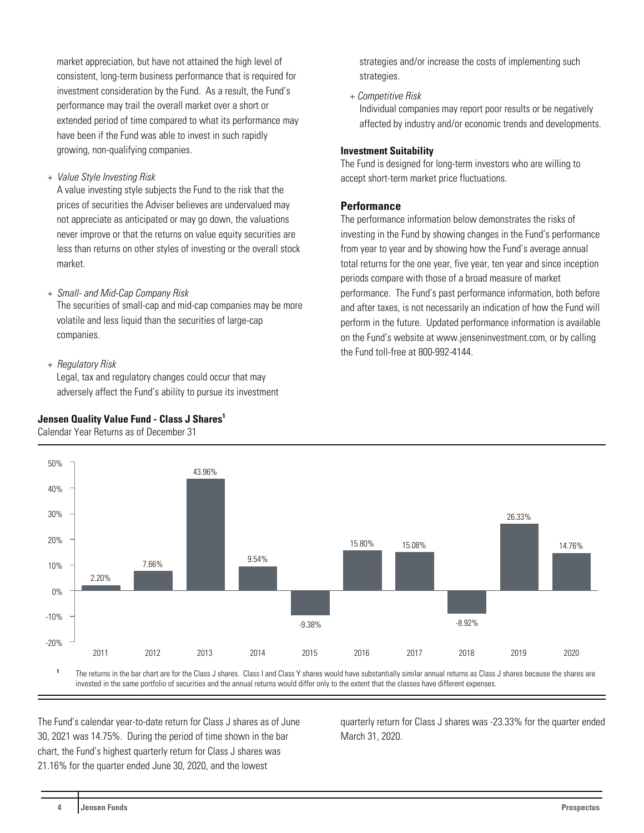market appreciation, but have not attained the high level of consistent, long-term business performance that is required for investment consideration by the Fund. As a result, the Fund's performance may trail the overall market over a short or extended period of time compared to what its performance may have been if the Fund was able to invest in such rapidly growing, non-qualifying companies.

#### + Value Style Investing Risk

 A value investing style subjects the Fund to the risk that the prices of securities the Adviser believes are undervalued may not appreciate as anticipated or may go down, the valuations never improve or that the returns on value equity securities are less than returns on other styles of investing or the overall stock market.

#### + Small- and Mid-Cap Company Risk

 The securities of small-cap and mid-cap companies may be more volatile and less liquid than the securities of large-cap companies.

#### + Regulatory Risk

Legal, tax and regulatory changes could occur that may adversely affect the Fund's ability to pursue its investment

#### **Jensen Quality Value Fund - Class J Shares<sup>1</sup>**

Calendar Year Returns as of December 31



+ Competitive Risk

Individual companies may report poor results or be negatively affected by industry and/or economic trends and developments.

#### **Investment Suitability**

The Fund is designed for long-term investors who are willing to accept short-term market price fluctuations.

#### **Performance**

The performance information below demonstrates the risks of investing in the Fund by showing changes in the Fund's performance from year to year and by showing how the Fund's average annual total returns for the one year, five year, ten year and since inception periods compare with those of a broad measure of market performance. The Fund's past performance information, both before and after taxes, is not necessarily an indication of how the Fund will perform in the future. Updated performance information is available on the Fund's website at www.jenseninvestment.com, or by calling the Fund toll-free at 800-992-4144.



The returns in the bar chart are for the Class J shares. Class I and Class Y shares would have substantially similar annual returns as Class J shares because the shares are invested in the same portfolio of securities and the annual returns would differ only to the extent that the classes have different expenses.

The Fund's calendar year-to-date return for Class J shares as of June 30, 2021 was 14.75%. During the period of time shown in the bar chart, the Fund's highest quarterly return for Class J shares was 21.16% for the quarter ended June 30, 2020, and the lowest

quarterly return for Class J shares was -23.33% for the quarter ended March 31, 2020.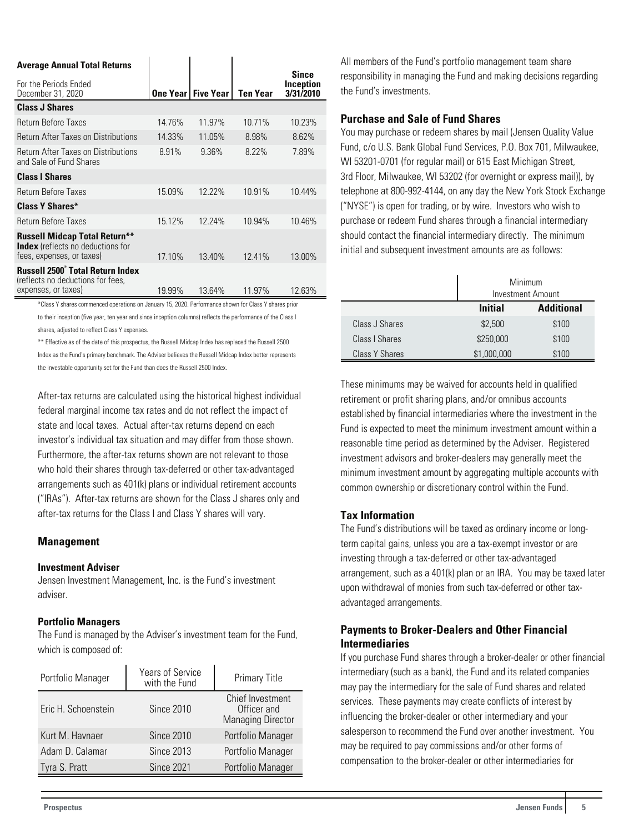| <b>Average Annual Total Returns</b>                                                                           |        |                             |          |                                               |
|---------------------------------------------------------------------------------------------------------------|--------|-----------------------------|----------|-----------------------------------------------|
| For the Periods Ended<br>December 31, 2020                                                                    |        | <b>One Year   Five Year</b> | Ten Year | <b>Since</b><br><b>Inception</b><br>3/31/2010 |
| <b>Class J Shares</b>                                                                                         |        |                             |          |                                               |
| Return Before Taxes                                                                                           | 14.76% | 11.97%                      | 10.71%   | 10.23%                                        |
| Return After Taxes on Distributions                                                                           | 14.33% | 11.05%                      | 8.98%    | 8.62%                                         |
| Return After Taxes on Distributions<br>and Sale of Fund Shares                                                | 8.91%  | 9.36%                       | 8.22%    | 7.89%                                         |
| <b>Class I Shares</b>                                                                                         |        |                             |          |                                               |
| Return Before Taxes                                                                                           | 15.09% | 12.22%                      | 10.91%   | 10.44%                                        |
| <b>Class Y Shares*</b>                                                                                        |        |                             |          |                                               |
| Return Before Taxes                                                                                           | 15.12% | 12.24%                      | 10.94%   | 10.46%                                        |
| <b>Russell Midcap Total Return**</b><br><b>Index</b> (reflects no deductions for<br>fees, expenses, or taxes) | 17.10% | 13.40%                      | 12.41%   | 13.00%                                        |
| Russell 2500° Total Return Index                                                                              |        |                             |          |                                               |
| (reflects no deductions for fees,<br>expenses, or taxes)                                                      | 19.99% | 13.64%                      | 11.97%   | 12.63%                                        |

\*Class Y shares commenced operations on January 15, 2020. Performance shown for Class Y shares prior to their inception (five year, ten year and since inception columns) reflects the performance of the Class I shares, adjusted to reflect Class Y expenses.

\*\* Effective as of the date of this prospectus, the Russell Midcap Index has replaced the Russell 2500 Index as the Fund's primary benchmark. The Adviser believes the Russell Midcap Index better represents

the investable opportunity set for the Fund than does the Russell 2500 Index.

After-tax returns are calculated using the historical highest individual federal marginal income tax rates and do not reflect the impact of state and local taxes. Actual after-tax returns depend on each investor's individual tax situation and may differ from those shown. Furthermore, the after-tax returns shown are not relevant to those who hold their shares through tax-deferred or other tax-advantaged arrangements such as 401(k) plans or individual retirement accounts ("IRAs"). After-tax returns are shown for the Class J shares only and after-tax returns for the Class I and Class Y shares will vary.

#### **Management**

#### **Investment Adviser**

Jensen Investment Management, Inc. is the Fund's investment adviser.

#### **Portfolio Managers**

The Fund is managed by the Adviser's investment team for the Fund, which is composed of:

| Portfolio Manager   | Years of Service<br>with the Fund | <b>Primary Title</b>                                               |
|---------------------|-----------------------------------|--------------------------------------------------------------------|
| Eric H. Schoenstein | <b>Since 2010</b>                 | <b>Chief Investment</b><br>Officer and<br><b>Managing Director</b> |
| Kurt M. Havnaer     | <b>Since 2010</b>                 | Portfolio Manager                                                  |
| Adam D. Calamar     | <b>Since 2013</b>                 | Portfolio Manager                                                  |
| Tyra S. Pratt       | <b>Since 2021</b>                 | Portfolio Manager                                                  |

All members of the Fund's portfolio management team share responsibility in managing the Fund and making decisions regarding the Fund's investments.

#### **Purchase and Sale of Fund Shares**

You may purchase or redeem shares by mail (Jensen Quality Value Fund, c/o U.S. Bank Global Fund Services, P.O. Box 701, Milwaukee, WI 53201-0701 (for regular mail) or 615 East Michigan Street, 3rd Floor, Milwaukee, WI 53202 (for overnight or express mail)), by telephone at 800-992-4144, on any day the New York Stock Exchange ("NYSE") is open for trading, or by wire. Investors who wish to purchase or redeem Fund shares through a financial intermediary should contact the financial intermediary directly. The minimum initial and subsequent investment amounts are as follows:

|                       | Minimum<br><b>Investment Amount</b> |       |  |
|-----------------------|-------------------------------------|-------|--|
|                       | <b>Additional</b><br><b>Initial</b> |       |  |
| Class J Shares        | \$2,500                             | \$100 |  |
| Class I Shares        | \$250,000                           | \$100 |  |
| <b>Class Y Shares</b> | \$1,000,000                         | \$100 |  |

These minimums may be waived for accounts held in qualified retirement or profit sharing plans, and/or omnibus accounts established by financial intermediaries where the investment in the Fund is expected to meet the minimum investment amount within a reasonable time period as determined by the Adviser. Registered investment advisors and broker-dealers may generally meet the minimum investment amount by aggregating multiple accounts with common ownership or discretionary control within the Fund.

#### **Tax Information**

The Fund's distributions will be taxed as ordinary income or longterm capital gains, unless you are a tax-exempt investor or are investing through a tax-deferred or other tax-advantaged arrangement, such as a 401(k) plan or an IRA. You may be taxed later upon withdrawal of monies from such tax-deferred or other taxadvantaged arrangements.

## **Payments to Broker-Dealers and Other Financial Intermediaries**

If you purchase Fund shares through a broker-dealer or other financial intermediary (such as a bank), the Fund and its related companies may pay the intermediary for the sale of Fund shares and related services. These payments may create conflicts of interest by influencing the broker-dealer or other intermediary and your salesperson to recommend the Fund over another investment. You may be required to pay commissions and/or other forms of compensation to the broker-dealer or other intermediaries for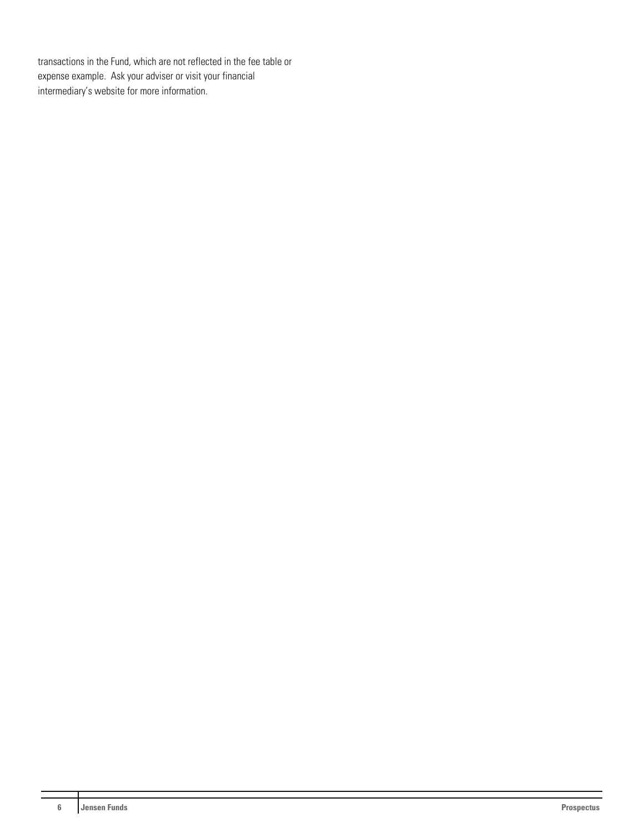transactions in the Fund, which are not reflected in the fee table or expense example. Ask your adviser or visit your financial intermediary's website for more information.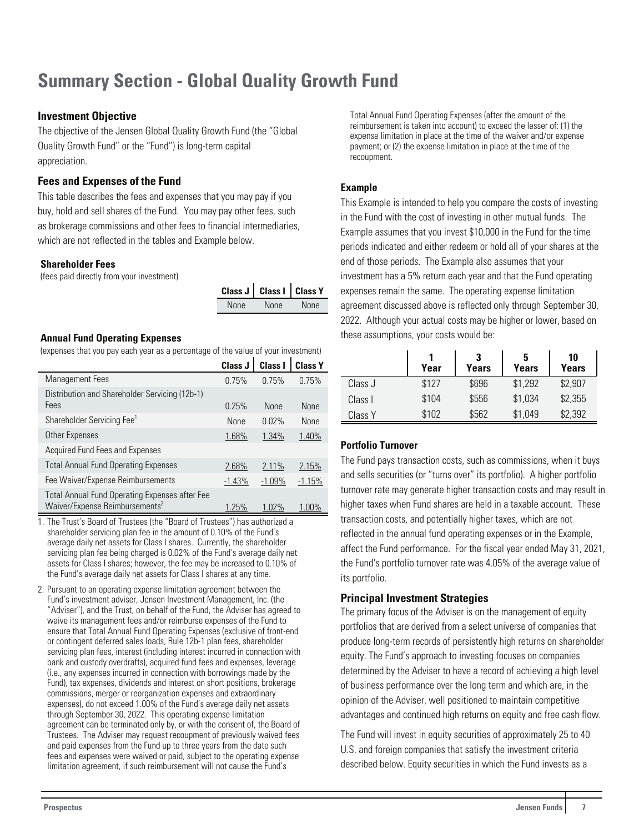## <span id="page-7-0"></span>**Summary Section - Global Quality Growth Fund**

## **Investment Objective**

The objective of the Jensen Global Quality Growth Fund (the "Global Quality Growth Fund" or the "Fund") is long-term capital appreciation.

## **Fees and Expenses of the Fund**

This table describes the fees and expenses that you may pay if you buy, hold and sell shares of the Fund. You may pay other fees, such as brokerage commissions and other fees to financial intermediaries, which are not reflected in the tables and Example below.

#### **Shareholder Fees**

(fees paid directly from your investment)

|             | Class J   Class I   Class Y |             |
|-------------|-----------------------------|-------------|
| <b>None</b> | <b>None</b>                 | <b>None</b> |

## **Annual Fund Operating Expenses**

(expenses that you pay each year as a percentage of the value of your investment)

|                                                                                                     | Class J  | Class I     | <b>Class Y</b> |
|-----------------------------------------------------------------------------------------------------|----------|-------------|----------------|
| <b>Management Fees</b>                                                                              | 0.75%    | 0.75%       | 0.75%          |
| Distribution and Shareholder Servicing (12b-1)<br>Fees                                              | 0.25%    | <b>None</b> | <b>None</b>    |
| Shareholder Servicing Fee <sup>1</sup>                                                              | None     | 0.02%       | <b>None</b>    |
| Other Expenses                                                                                      | 1.68%    | 1.34%       | 1.40%          |
| Acquired Fund Fees and Expenses                                                                     |          |             |                |
| <b>Total Annual Fund Operating Expenses</b>                                                         | 2.68%    | 2.11%       | 2.15%          |
| Fee Waiver/Expense Reimbursements                                                                   | $-1.43%$ | $-1.09%$    | $-1.15%$       |
| <b>Total Annual Fund Operating Expenses after Fee</b><br>Waiver/Expense Reimbursements <sup>2</sup> | 1.25%    | 1.02%       | 1.00%          |

1. The Trust's Board of Trustees (the "Board of Trustees") has authorized a shareholder servicing plan fee in the amount of 0.10% of the Fund's average daily net assets for Class I shares. Currently, the shareholder servicing plan fee being charged is 0.02% of the Fund's average daily net assets for Class I shares; however, the fee may be increased to 0.10% of the Fund's average daily net assets for Class I shares at any time.

2. Pursuant to an operating expense limitation agreement between the Fund's investment adviser, Jensen Investment Management, Inc. (the "Adviser"), and the Trust, on behalf of the Fund, the Adviser has agreed to waive its management fees and/or reimburse expenses of the Fund to ensure that Total Annual Fund Operating Expenses (exclusive of front-end or contingent deferred sales loads, Rule 12b-1 plan fees, shareholder servicing plan fees, interest (including interest incurred in connection with bank and custody overdrafts), acquired fund fees and expenses, leverage (i.e., any expenses incurred in connection with borrowings made by the Fund), tax expenses, dividends and interest on short positions, brokerage commissions, merger or reorganization expenses and extraordinary expenses), do not exceed 1.00% of the Fund's average daily net assets through September 30, 2022. This operating expense limitation agreement can be terminated only by, or with the consent of, the Board of Trustees. The Adviser may request recoupment of previously waived fees and paid expenses from the Fund up to three years from the date such fees and expenses were waived or paid, subject to the operating expense limitation agreement, if such reimbursement will not cause the Fund's

Total Annual Fund Operating Expenses (after the amount of the reimbursement is taken into account) to exceed the lesser of: (1) the expense limitation in place at the time of the waiver and/or expense payment; or (2) the expense limitation in place at the time of the recoupment.

## **Example**

This Example is intended to help you compare the costs of investing in the Fund with the cost of investing in other mutual funds. The Example assumes that you invest \$10,000 in the Fund for the time periods indicated and either redeem or hold all of your shares at the end of those periods. The Example also assumes that your investment has a 5% return each year and that the Fund operating expenses remain the same. The operating expense limitation agreement discussed above is reflected only through September 30, 2022. Although your actual costs may be higher or lower, based on these assumptions, your costs would be:

|         | Year  | 3<br><b>Years</b> | <b>Years</b> | 10<br>Years |
|---------|-------|-------------------|--------------|-------------|
| Class J | \$127 | \$696             | \$1,292      | \$2,907     |
| Class I | \$104 | \$556             | \$1,034      | \$2,355     |
| Class Y | \$102 | \$562             | \$1,049      | \$2,392     |

## **Portfolio Turnover**

The Fund pays transaction costs, such as commissions, when it buys and sells securities (or "turns over" its portfolio). A higher portfolio turnover rate may generate higher transaction costs and may result in higher taxes when Fund shares are held in a taxable account. These transaction costs, and potentially higher taxes, which are not reflected in the annual fund operating expenses or in the Example, affect the Fund performance. For the fiscal year ended May 31, 2021, the Fund's portfolio turnover rate was 4.05% of the average value of its portfolio.

## **Principal Investment Strategies**

The primary focus of the Adviser is on the management of equity portfolios that are derived from a select universe of companies that produce long-term records of persistently high returns on shareholder equity. The Fund's approach to investing focuses on companies determined by the Adviser to have a record of achieving a high level of business performance over the long term and which are, in the opinion of the Adviser, well positioned to maintain competitive advantages and continued high returns on equity and free cash flow.

The Fund will invest in equity securities of approximately 25 to 40 U.S. and foreign companies that satisfy the investment criteria described below. Equity securities in which the Fund invests as a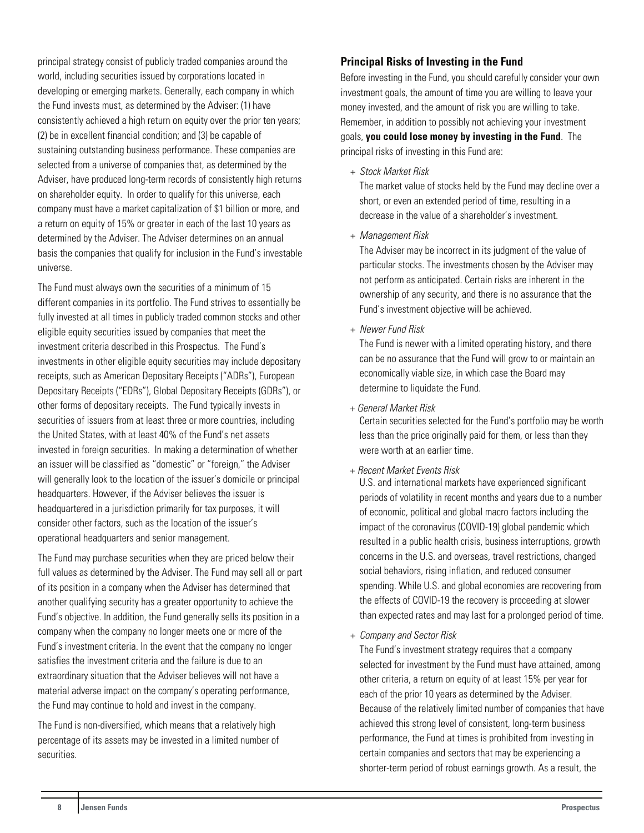principal strategy consist of publicly traded companies around the world, including securities issued by corporations located in developing or emerging markets. Generally, each company in which the Fund invests must, as determined by the Adviser: (1) have consistently achieved a high return on equity over the prior ten years; (2) be in excellent financial condition; and (3) be capable of sustaining outstanding business performance. These companies are selected from a universe of companies that, as determined by the Adviser, have produced long-term records of consistently high returns on shareholder equity. In order to qualify for this universe, each company must have a market capitalization of \$1 billion or more, and a return on equity of 15% or greater in each of the last 10 years as determined by the Adviser. The Adviser determines on an annual basis the companies that qualify for inclusion in the Fund's investable universe.

The Fund must always own the securities of a minimum of 15 different companies in its portfolio. The Fund strives to essentially be fully invested at all times in publicly traded common stocks and other eligible equity securities issued by companies that meet the investment criteria described in this Prospectus. The Fund's investments in other eligible equity securities may include depositary receipts, such as American Depositary Receipts ("ADRs"), European Depositary Receipts ("EDRs"), Global Depositary Receipts (GDRs"), or other forms of depositary receipts. The Fund typically invests in securities of issuers from at least three or more countries, including the United States, with at least 40% of the Fund's net assets invested in foreign securities. In making a determination of whether an issuer will be classified as "domestic" or "foreign," the Adviser will generally look to the location of the issuer's domicile or principal headquarters. However, if the Adviser believes the issuer is headquartered in a jurisdiction primarily for tax purposes, it will consider other factors, such as the location of the issuer's operational headquarters and senior management.

The Fund may purchase securities when they are priced below their full values as determined by the Adviser. The Fund may sell all or part of its position in a company when the Adviser has determined that another qualifying security has a greater opportunity to achieve the Fund's objective. In addition, the Fund generally sells its position in a company when the company no longer meets one or more of the Fund's investment criteria. In the event that the company no longer satisfies the investment criteria and the failure is due to an extraordinary situation that the Adviser believes will not have a material adverse impact on the company's operating performance, the Fund may continue to hold and invest in the company.

The Fund is non-diversified, which means that a relatively high percentage of its assets may be invested in a limited number of securities.

#### **Principal Risks of Investing in the Fund**

Before investing in the Fund, you should carefully consider your own investment goals, the amount of time you are willing to leave your money invested, and the amount of risk you are willing to take. Remember, in addition to possibly not achieving your investment goals, **you could lose money by investing in the Fund**. The principal risks of investing in this Fund are:

+ Stock Market Risk

The market value of stocks held by the Fund may decline over a short, or even an extended period of time, resulting in a decrease in the value of a shareholder's investment.

+ Management Risk

The Adviser may be incorrect in its judgment of the value of particular stocks. The investments chosen by the Adviser may not perform as anticipated. Certain risks are inherent in the ownership of any security, and there is no assurance that the Fund's investment objective will be achieved.

+ Newer Fund Risk

The Fund is newer with a limited operating history, and there can be no assurance that the Fund will grow to or maintain an economically viable size, in which case the Board may determine to liquidate the Fund.

+ General Market Risk

Certain securities selected for the Fund's portfolio may be worth less than the price originally paid for them, or less than they were worth at an earlier time.

+ Recent Market Events Risk

U.S. and international markets have experienced significant periods of volatility in recent months and years due to a number of economic, political and global macro factors including the impact of the coronavirus (COVID-19) global pandemic which resulted in a public health crisis, business interruptions, growth concerns in the U.S. and overseas, travel restrictions, changed social behaviors, rising inflation, and reduced consumer spending. While U.S. and global economies are recovering from the effects of COVID-19 the recovery is proceeding at slower than expected rates and may last for a prolonged period of time.

+ Company and Sector Risk

The Fund's investment strategy requires that a company selected for investment by the Fund must have attained, among other criteria, a return on equity of at least 15% per year for each of the prior 10 years as determined by the Adviser. Because of the relatively limited number of companies that have achieved this strong level of consistent, long-term business performance, the Fund at times is prohibited from investing in certain companies and sectors that may be experiencing a shorter-term period of robust earnings growth. As a result, the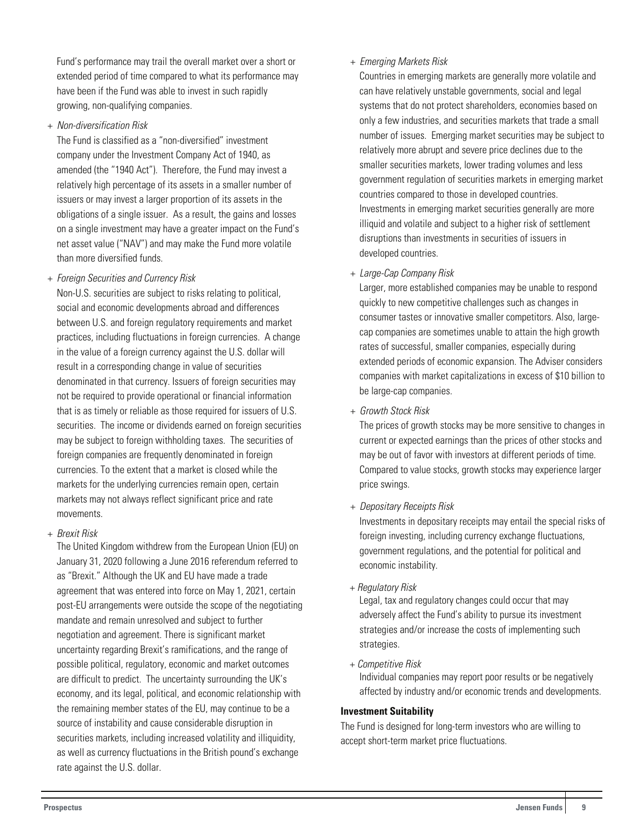Fund's performance may trail the overall market over a short or extended period of time compared to what its performance may have been if the Fund was able to invest in such rapidly growing, non-qualifying companies.

+ Non-diversification Risk

The Fund is classified as a "non-diversified" investment company under the Investment Company Act of 1940, as amended (the "1940 Act"). Therefore, the Fund may invest a relatively high percentage of its assets in a smaller number of issuers or may invest a larger proportion of its assets in the obligations of a single issuer. As a result, the gains and losses on a single investment may have a greater impact on the Fund's net asset value ("NAV") and may make the Fund more volatile than more diversified funds.

## + Foreign Securities and Currency Risk

Non-U.S. securities are subject to risks relating to political, social and economic developments abroad and differences between U.S. and foreign regulatory requirements and market practices, including fluctuations in foreign currencies. A change in the value of a foreign currency against the U.S. dollar will result in a corresponding change in value of securities denominated in that currency. Issuers of foreign securities may not be required to provide operational or financial information that is as timely or reliable as those required for issuers of U.S. securities. The income or dividends earned on foreign securities may be subject to foreign withholding taxes. The securities of foreign companies are frequently denominated in foreign currencies. To the extent that a market is closed while the markets for the underlying currencies remain open, certain markets may not always reflect significant price and rate movements.

+ Brexit Risk

The United Kingdom withdrew from the European Union (EU) on January 31, 2020 following a June 2016 referendum referred to as "Brexit." Although the UK and EU have made a trade agreement that was entered into force on May 1, 2021, certain post-EU arrangements were outside the scope of the negotiating mandate and remain unresolved and subject to further negotiation and agreement. There is significant market uncertainty regarding Brexit's ramifications, and the range of possible political, regulatory, economic and market outcomes are difficult to predict. The uncertainty surrounding the UK's economy, and its legal, political, and economic relationship with the remaining member states of the EU, may continue to be a source of instability and cause considerable disruption in securities markets, including increased volatility and illiquidity, as well as currency fluctuations in the British pound's exchange rate against the U.S. dollar.

### + Emerging Markets Risk

Countries in emerging markets are generally more volatile and can have relatively unstable governments, social and legal systems that do not protect shareholders, economies based on only a few industries, and securities markets that trade a small number of issues. Emerging market securities may be subject to relatively more abrupt and severe price declines due to the smaller securities markets, lower trading volumes and less government regulation of securities markets in emerging market countries compared to those in developed countries. Investments in emerging market securities generally are more illiquid and volatile and subject to a higher risk of settlement disruptions than investments in securities of issuers in developed countries.

+ Large-Cap Company Risk

Larger, more established companies may be unable to respond quickly to new competitive challenges such as changes in consumer tastes or innovative smaller competitors. Also, largecap companies are sometimes unable to attain the high growth rates of successful, smaller companies, especially during extended periods of economic expansion. The Adviser considers companies with market capitalizations in excess of \$10 billion to be large-cap companies.

+ Growth Stock Risk

The prices of growth stocks may be more sensitive to changes in current or expected earnings than the prices of other stocks and may be out of favor with investors at different periods of time. Compared to value stocks, growth stocks may experience larger price swings.

+ Depositary Receipts Risk

Investments in depositary receipts may entail the special risks of foreign investing, including currency exchange fluctuations, government regulations, and the potential for political and economic instability.

+ Regulatory Risk

Legal, tax and regulatory changes could occur that may adversely affect the Fund's ability to pursue its investment strategies and/or increase the costs of implementing such strategies.

+ Competitive Risk

Individual companies may report poor results or be negatively affected by industry and/or economic trends and developments.

#### **Investment Suitability**

The Fund is designed for long-term investors who are willing to accept short-term market price fluctuations.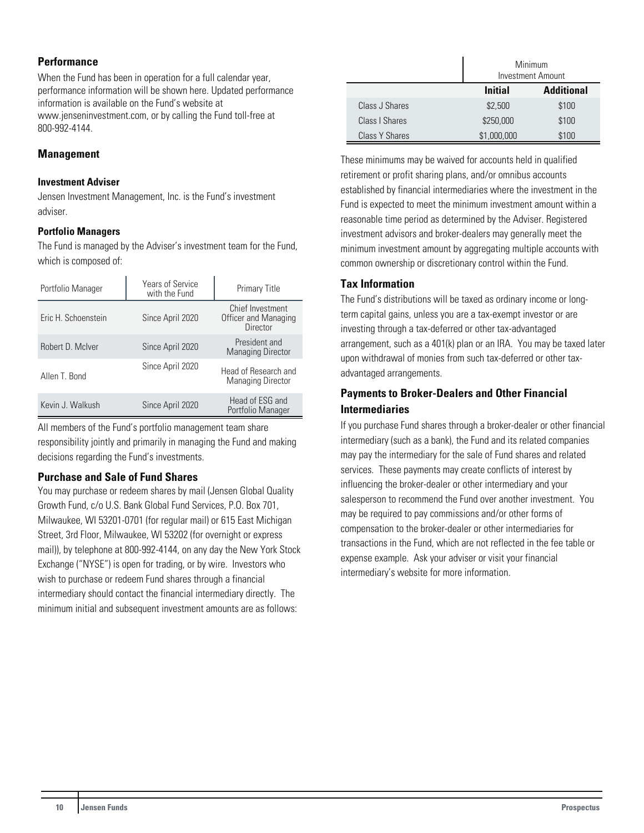### **Performance**

When the Fund has been in operation for a full calendar year, performance information will be shown here. Updated performance information is available on the Fund's website at www.jenseninvestment.com, or by calling the Fund toll-free at 800-992-4144.

## **Management**

#### **Investment Adviser**

Jensen Investment Management, Inc. is the Fund's investment adviser.

#### **Portfolio Managers**

The Fund is managed by the Adviser's investment team for the Fund, which is composed of:

| Portfolio Manager   | <b>Years of Service</b><br>with the Fund | <b>Primary Title</b>                                 |
|---------------------|------------------------------------------|------------------------------------------------------|
| Eric H. Schoenstein | Since April 2020                         | Chief Investment<br>Officer and Managing<br>Director |
| Robert D. McIver    | Since April 2020                         | President and<br><b>Managing Director</b>            |
| Allen T. Bond       | Since April 2020                         | Head of Research and<br><b>Managing Director</b>     |
| Kevin J. Walkush    | Since April 2020                         | Head of ESG and<br>Portfolio Manager                 |

All members of the Fund's portfolio management team share responsibility jointly and primarily in managing the Fund and making decisions regarding the Fund's investments.

#### **Purchase and Sale of Fund Shares**

You may purchase or redeem shares by mail (Jensen Global Quality Growth Fund, c/o U.S. Bank Global Fund Services, P.O. Box 701, Milwaukee, WI 53201-0701 (for regular mail) or 615 East Michigan Street, 3rd Floor, Milwaukee, WI 53202 (for overnight or express mail)), by telephone at 800-992-4144, on any day the New York Stock Exchange ("NYSE") is open for trading, or by wire. Investors who wish to purchase or redeem Fund shares through a financial intermediary should contact the financial intermediary directly. The minimum initial and subsequent investment amounts are as follows:

|                       | Minimum<br>Investment Amount        |       |  |
|-----------------------|-------------------------------------|-------|--|
|                       | <b>Additional</b><br><b>Initial</b> |       |  |
| Class J Shares        | \$2,500                             | \$100 |  |
| Class   Shares        | \$250,000                           | \$100 |  |
| <b>Class Y Shares</b> | \$1,000,000                         | \$100 |  |

These minimums may be waived for accounts held in qualified retirement or profit sharing plans, and/or omnibus accounts established by financial intermediaries where the investment in the Fund is expected to meet the minimum investment amount within a reasonable time period as determined by the Adviser. Registered investment advisors and broker-dealers may generally meet the minimum investment amount by aggregating multiple accounts with common ownership or discretionary control within the Fund.

## **Tax Information**

The Fund's distributions will be taxed as ordinary income or longterm capital gains, unless you are a tax-exempt investor or are investing through a tax-deferred or other tax-advantaged arrangement, such as a 401(k) plan or an IRA. You may be taxed later upon withdrawal of monies from such tax-deferred or other taxadvantaged arrangements.

## **Payments to Broker-Dealers and Other Financial Intermediaries**

If you purchase Fund shares through a broker-dealer or other financial intermediary (such as a bank), the Fund and its related companies may pay the intermediary for the sale of Fund shares and related services. These payments may create conflicts of interest by influencing the broker-dealer or other intermediary and your salesperson to recommend the Fund over another investment. You may be required to pay commissions and/or other forms of compensation to the broker-dealer or other intermediaries for transactions in the Fund, which are not reflected in the fee table or expense example. Ask your adviser or visit your financial intermediary's website for more information.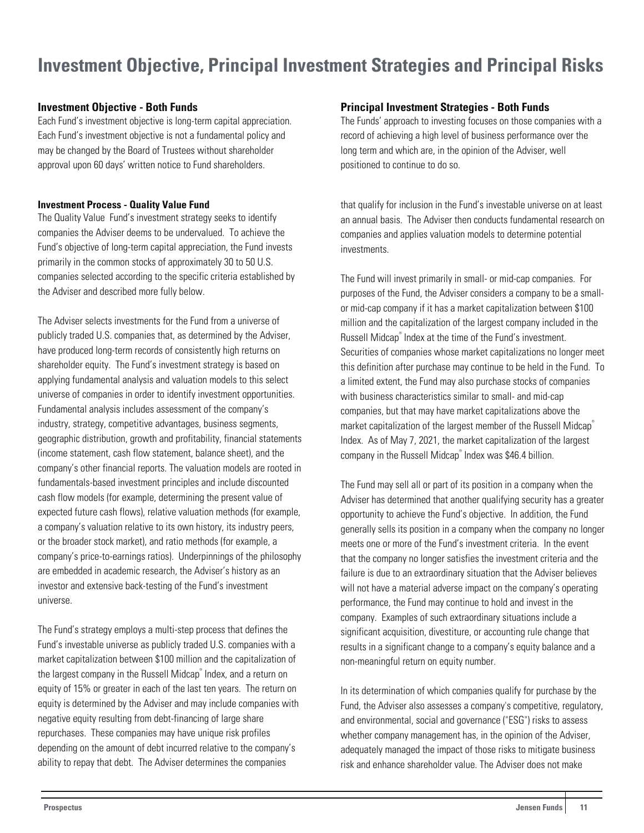## <span id="page-11-0"></span>**Investment Objective, Principal Investment Strategies and Principal Risks**

### **Investment Objective - Both Funds**

Each Fund's investment objective is long-term capital appreciation. Each Fund's investment objective is not a fundamental policy and may be changed by the Board of Trustees without shareholder approval upon 60 days' written notice to Fund shareholders.

#### **Investment Process - Quality Value Fund**

The Quality Value Fund's investment strategy seeks to identify companies the Adviser deems to be undervalued. To achieve the Fund's objective of long-term capital appreciation, the Fund invests primarily in the common stocks of approximately 30 to 50 U.S. companies selected according to the specific criteria established by the Adviser and described more fully below.

The Adviser selects investments for the Fund from a universe of publicly traded U.S. companies that, as determined by the Adviser, have produced long-term records of consistently high returns on shareholder equity. The Fund's investment strategy is based on applying fundamental analysis and valuation models to this select universe of companies in order to identify investment opportunities. Fundamental analysis includes assessment of the company's industry, strategy, competitive advantages, business segments, geographic distribution, growth and profitability, financial statements (income statement, cash flow statement, balance sheet), and the company's other financial reports. The valuation models are rooted in fundamentals-based investment principles and include discounted cash flow models (for example, determining the present value of expected future cash flows), relative valuation methods (for example, a company's valuation relative to its own history, its industry peers, or the broader stock market), and ratio methods (for example, a company's price-to-earnings ratios). Underpinnings of the philosophy are embedded in academic research, the Adviser's history as an investor and extensive back-testing of the Fund's investment universe.

The Fund's strategy employs a multi-step process that defines the Fund's investable universe as publicly traded U.S. companies with a market capitalization between \$100 million and the capitalization of the largest company in the Russell Midcap® Index, and a return on equity of 15% or greater in each of the last ten years. The return on equity is determined by the Adviser and may include companies with negative equity resulting from debt-financing of large share repurchases. These companies may have unique risk profiles depending on the amount of debt incurred relative to the company's ability to repay that debt. The Adviser determines the companies

#### **Principal Investment Strategies - Both Funds**

The Funds' approach to investing focuses on those companies with a record of achieving a high level of business performance over the long term and which are, in the opinion of the Adviser, well positioned to continue to do so.

that qualify for inclusion in the Fund's investable universe on at least an annual basis. The Adviser then conducts fundamental research on companies and applies valuation models to determine potential investments.

The Fund will invest primarily in small- or mid-cap companies. For purposes of the Fund, the Adviser considers a company to be a smallor mid-cap company if it has a market capitalization between \$100 million and the capitalization of the largest company included in the Russell Midcap® Index at the time of the Fund's investment. Securities of companies whose market capitalizations no longer meet this definition after purchase may continue to be held in the Fund. To a limited extent, the Fund may also purchase stocks of companies with business characteristics similar to small- and mid-cap companies, but that may have market capitalizations above the market capitalization of the largest member of the Russell Midcap® Index. As of May 7, 2021, the market capitalization of the largest company in the Russell Midcap® Index was \$46.4 billion.

The Fund may sell all or part of its position in a company when the Adviser has determined that another qualifying security has a greater opportunity to achieve the Fund's objective. In addition, the Fund generally sells its position in a company when the company no longer meets one or more of the Fund's investment criteria. In the event that the company no longer satisfies the investment criteria and the failure is due to an extraordinary situation that the Adviser believes will not have a material adverse impact on the company's operating performance, the Fund may continue to hold and invest in the company. Examples of such extraordinary situations include a significant acquisition, divestiture, or accounting rule change that results in a significant change to a company's equity balance and a non-meaningful return on equity number.

In its determination of which companies qualify for purchase by the Fund, the Adviser also assesses a company's competitive, regulatory, and environmental, social and governance ("ESG") risks to assess whether company management has, in the opinion of the Adviser, adequately managed the impact of those risks to mitigate business risk and enhance shareholder value. The Adviser does not make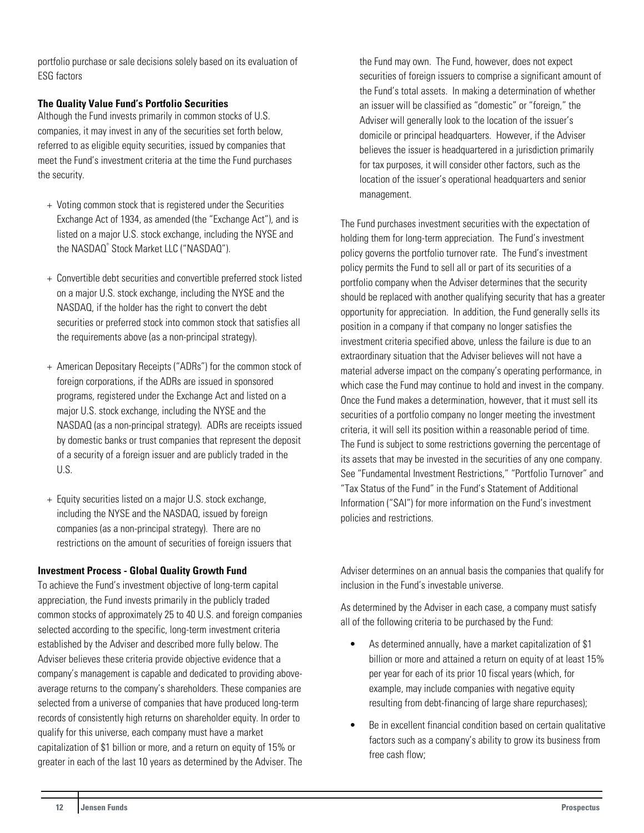portfolio purchase or sale decisions solely based on its evaluation of ESG factors

## **The Quality Value Fund's Portfolio Securities**

Although the Fund invests primarily in common stocks of U.S. companies, it may invest in any of the securities set forth below, referred to as eligible equity securities, issued by companies that meet the Fund's investment criteria at the time the Fund purchases the security.

- + Voting common stock that is registered under the Securities Exchange Act of 1934, as amended (the "Exchange Act"), and is listed on a major U.S. stock exchange, including the NYSE and the NASDAQ® Stock Market LLC ("NASDAQ").
- + Convertible debt securities and convertible preferred stock listed on a major U.S. stock exchange, including the NYSE and the NASDAQ, if the holder has the right to convert the debt securities or preferred stock into common stock that satisfies all the requirements above (as a non-principal strategy).
- + American Depositary Receipts ("ADRs") for the common stock of foreign corporations, if the ADRs are issued in sponsored programs, registered under the Exchange Act and listed on a major U.S. stock exchange, including the NYSE and the NASDAQ (as a non-principal strategy). ADRs are receipts issued by domestic banks or trust companies that represent the deposit of a security of a foreign issuer and are publicly traded in the U.S.
- + Equity securities listed on a major U.S. stock exchange, including the NYSE and the NASDAQ, issued by foreign companies (as a non-principal strategy). There are no restrictions on the amount of securities of foreign issuers that

#### **Investment Process - Global Quality Growth Fund**

To achieve the Fund's investment objective of long-term capital appreciation, the Fund invests primarily in the publicly traded common stocks of approximately 25 to 40 U.S. and foreign companies selected according to the specific, long-term investment criteria established by the Adviser and described more fully below. The Adviser believes these criteria provide objective evidence that a company's management is capable and dedicated to providing aboveaverage returns to the company's shareholders. These companies are selected from a universe of companies that have produced long-term records of consistently high returns on shareholder equity. In order to qualify for this universe, each company must have a market capitalization of \$1 billion or more, and a return on equity of 15% or greater in each of the last 10 years as determined by the Adviser. The the Fund may own. The Fund, however, does not expect securities of foreign issuers to comprise a significant amount of the Fund's total assets. In making a determination of whether an issuer will be classified as "domestic" or "foreign," the Adviser will generally look to the location of the issuer's domicile or principal headquarters. However, if the Adviser believes the issuer is headquartered in a jurisdiction primarily for tax purposes, it will consider other factors, such as the location of the issuer's operational headquarters and senior management.

The Fund purchases investment securities with the expectation of holding them for long-term appreciation. The Fund's investment policy governs the portfolio turnover rate. The Fund's investment policy permits the Fund to sell all or part of its securities of a portfolio company when the Adviser determines that the security should be replaced with another qualifying security that has a greater opportunity for appreciation. In addition, the Fund generally sells its position in a company if that company no longer satisfies the investment criteria specified above, unless the failure is due to an extraordinary situation that the Adviser believes will not have a material adverse impact on the company's operating performance, in which case the Fund may continue to hold and invest in the company. Once the Fund makes a determination, however, that it must sell its securities of a portfolio company no longer meeting the investment criteria, it will sell its position within a reasonable period of time. The Fund is subject to some restrictions governing the percentage of its assets that may be invested in the securities of any one company. See "Fundamental Investment Restrictions," "Portfolio Turnover" and "Tax Status of the Fund" in the Fund's Statement of Additional Information ("SAI") for more information on the Fund's investment policies and restrictions.

Adviser determines on an annual basis the companies that qualify for inclusion in the Fund's investable universe.

As determined by the Adviser in each case, a company must satisfy all of the following criteria to be purchased by the Fund:

- As determined annually, have a market capitalization of \$1 billion or more and attained a return on equity of at least 15% per year for each of its prior 10 fiscal years (which, for example, may include companies with negative equity resulting from debt-financing of large share repurchases);
- Be in excellent financial condition based on certain qualitative factors such as a company's ability to grow its business from free cash flow;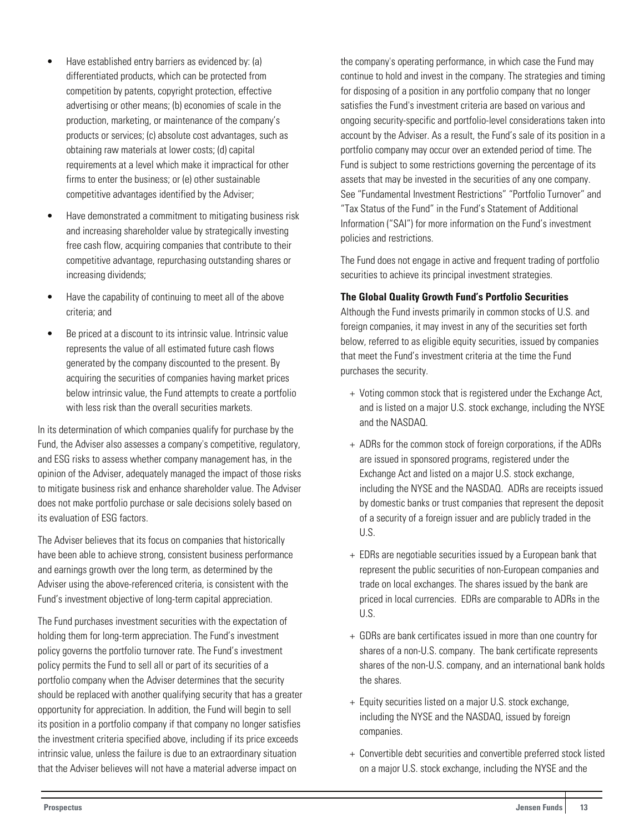- Have established entry barriers as evidenced by: (a) differentiated products, which can be protected from competition by patents, copyright protection, effective advertising or other means; (b) economies of scale in the production, marketing, or maintenance of the company's products or services; (c) absolute cost advantages, such as obtaining raw materials at lower costs; (d) capital requirements at a level which make it impractical for other firms to enter the business; or (e) other sustainable competitive advantages identified by the Adviser;
- Have demonstrated a commitment to mitigating business risk and increasing shareholder value by strategically investing free cash flow, acquiring companies that contribute to their competitive advantage, repurchasing outstanding shares or increasing dividends;
- Have the capability of continuing to meet all of the above criteria; and
- Be priced at a discount to its intrinsic value. Intrinsic value represents the value of all estimated future cash flows generated by the company discounted to the present. By acquiring the securities of companies having market prices below intrinsic value, the Fund attempts to create a portfolio with less risk than the overall securities markets.

In its determination of which companies qualify for purchase by the Fund, the Adviser also assesses a company's competitive, regulatory, and ESG risks to assess whether company management has, in the opinion of the Adviser, adequately managed the impact of those risks to mitigate business risk and enhance shareholder value. The Adviser does not make portfolio purchase or sale decisions solely based on its evaluation of ESG factors.

The Adviser believes that its focus on companies that historically have been able to achieve strong, consistent business performance and earnings growth over the long term, as determined by the Adviser using the above-referenced criteria, is consistent with the Fund's investment objective of long-term capital appreciation.

The Fund purchases investment securities with the expectation of holding them for long-term appreciation. The Fund's investment policy governs the portfolio turnover rate. The Fund's investment policy permits the Fund to sell all or part of its securities of a portfolio company when the Adviser determines that the security should be replaced with another qualifying security that has a greater opportunity for appreciation. In addition, the Fund will begin to sell its position in a portfolio company if that company no longer satisfies the investment criteria specified above, including if its price exceeds intrinsic value, unless the failure is due to an extraordinary situation that the Adviser believes will not have a material adverse impact on

the company's operating performance, in which case the Fund may continue to hold and invest in the company. The strategies and timing for disposing of a position in any portfolio company that no longer satisfies the Fund's investment criteria are based on various and ongoing security-specific and portfolio-level considerations taken into account by the Adviser. As a result, the Fund's sale of its position in a portfolio company may occur over an extended period of time. The Fund is subject to some restrictions governing the percentage of its assets that may be invested in the securities of any one company. See "Fundamental Investment Restrictions" "Portfolio Turnover" and "Tax Status of the Fund" in the Fund's Statement of Additional Information ("SAI") for more information on the Fund's investment policies and restrictions.

The Fund does not engage in active and frequent trading of portfolio securities to achieve its principal investment strategies.

## **The Global Quality Growth Fund's Portfolio Securities**

Although the Fund invests primarily in common stocks of U.S. and foreign companies, it may invest in any of the securities set forth below, referred to as eligible equity securities, issued by companies that meet the Fund's investment criteria at the time the Fund purchases the security.

- + Voting common stock that is registered under the Exchange Act, and is listed on a major U.S. stock exchange, including the NYSE and the NASDAQ.
- + ADRs for the common stock of foreign corporations, if the ADRs are issued in sponsored programs, registered under the Exchange Act and listed on a major U.S. stock exchange, including the NYSE and the NASDAQ. ADRs are receipts issued by domestic banks or trust companies that represent the deposit of a security of a foreign issuer and are publicly traded in the U.S.
- + EDRs are negotiable securities issued by a European bank that represent the public securities of non-European companies and trade on local exchanges. The shares issued by the bank are priced in local currencies. EDRs are comparable to ADRs in the U.S.
- + GDRs are bank certificates issued in more than one country for shares of a non-U.S. company. The bank certificate represents shares of the non-U.S. company, and an international bank holds the shares.
- + Equity securities listed on a major U.S. stock exchange, including the NYSE and the NASDAQ, issued by foreign companies.
- + Convertible debt securities and convertible preferred stock listed on a major U.S. stock exchange, including the NYSE and the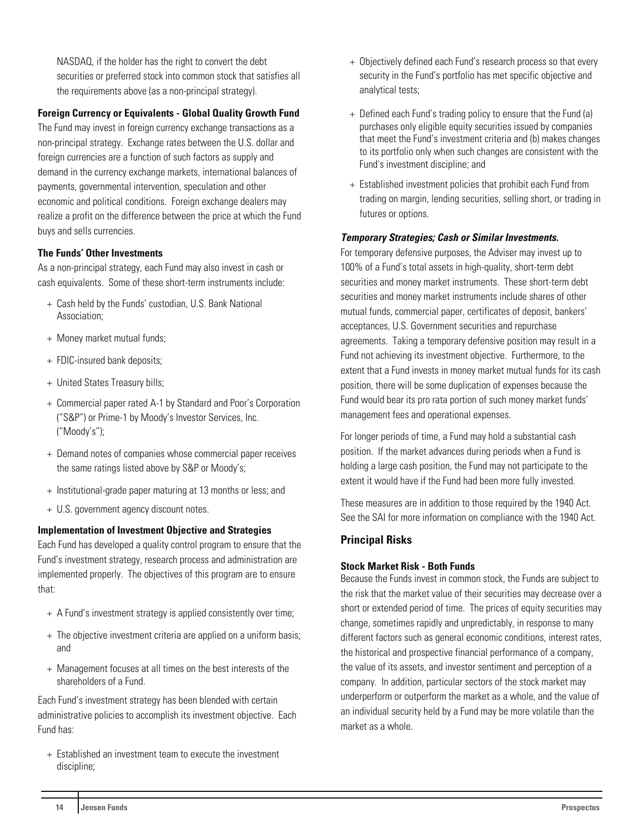NASDAQ, if the holder has the right to convert the debt securities or preferred stock into common stock that satisfies all the requirements above (as a non-principal strategy).

## **Foreign Currency or Equivalents - Global Quality Growth Fund**

The Fund may invest in foreign currency exchange transactions as a non-principal strategy. Exchange rates between the U.S. dollar and foreign currencies are a function of such factors as supply and demand in the currency exchange markets, international balances of payments, governmental intervention, speculation and other economic and political conditions. Foreign exchange dealers may realize a profit on the difference between the price at which the Fund buys and sells currencies.

#### **The Funds' Other Investments**

As a non-principal strategy, each Fund may also invest in cash or cash equivalents. Some of these short-term instruments include:

- + Cash held by the Funds' custodian, U.S. Bank National Association;
- + Money market mutual funds;
- + FDIC-insured bank deposits;
- + United States Treasury bills;
- + Commercial paper rated A-1 by Standard and Poor's Corporation ("S&P") or Prime-1 by Moody's Investor Services, Inc. ("Moody's");
- + Demand notes of companies whose commercial paper receives the same ratings listed above by S&P or Moody's;
- + Institutional-grade paper maturing at 13 months or less; and
- + U.S. government agency discount notes.

#### **Implementation of Investment Objective and Strategies**

Each Fund has developed a quality control program to ensure that the Fund's investment strategy, research process and administration are implemented properly. The objectives of this program are to ensure that:

- + A Fund's investment strategy is applied consistently over time;
- + The objective investment criteria are applied on a uniform basis; and
- + Management focuses at all times on the best interests of the shareholders of a Fund.

Each Fund's investment strategy has been blended with certain administrative policies to accomplish its investment objective. Each Fund has:

+ Established an investment team to execute the investment discipline;

- + Objectively defined each Fund's research process so that every security in the Fund's portfolio has met specific objective and analytical tests;
- + Defined each Fund's trading policy to ensure that the Fund (a) purchases only eligible equity securities issued by companies that meet the Fund's investment criteria and (b) makes changes to its portfolio only when such changes are consistent with the Fund's investment discipline; and
- + Established investment policies that prohibit each Fund from trading on margin, lending securities, selling short, or trading in futures or options.

#### **Temporary Strategies; Cash or Similar Investments.**

For temporary defensive purposes, the Adviser may invest up to 100% of a Fund's total assets in high-quality, short-term debt securities and money market instruments. These short-term debt securities and money market instruments include shares of other mutual funds, commercial paper, certificates of deposit, bankers' acceptances, U.S. Government securities and repurchase agreements. Taking a temporary defensive position may result in a Fund not achieving its investment objective. Furthermore, to the extent that a Fund invests in money market mutual funds for its cash position, there will be some duplication of expenses because the Fund would bear its pro rata portion of such money market funds' management fees and operational expenses.

For longer periods of time, a Fund may hold a substantial cash position. If the market advances during periods when a Fund is holding a large cash position, the Fund may not participate to the extent it would have if the Fund had been more fully invested.

These measures are in addition to those required by the 1940 Act. See the SAI for more information on compliance with the 1940 Act.

## **Principal Risks**

#### **Stock Market Risk - Both Funds**

Because the Funds invest in common stock, the Funds are subject to the risk that the market value of their securities may decrease over a short or extended period of time. The prices of equity securities may change, sometimes rapidly and unpredictably, in response to many different factors such as general economic conditions, interest rates, the historical and prospective financial performance of a company, the value of its assets, and investor sentiment and perception of a company. In addition, particular sectors of the stock market may underperform or outperform the market as a whole, and the value of an individual security held by a Fund may be more volatile than the market as a whole.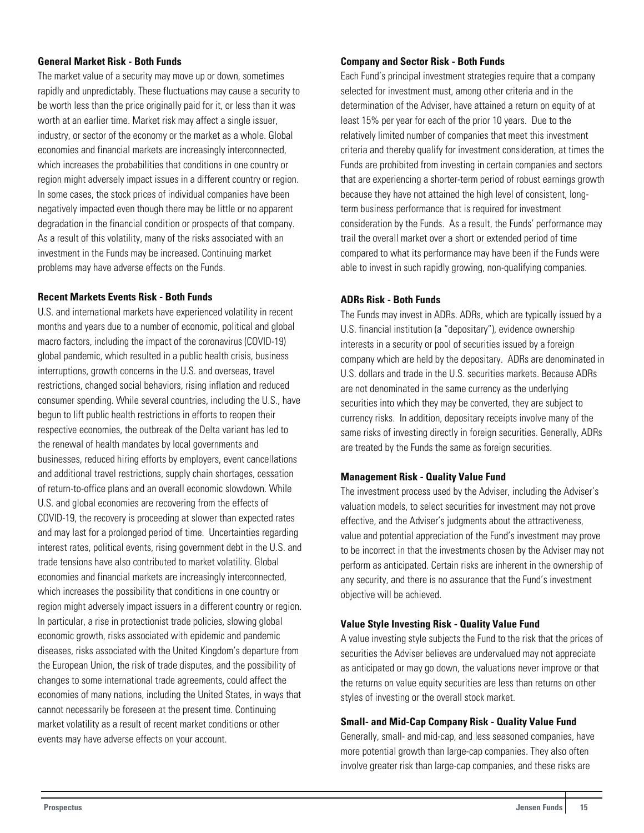#### **General Market Risk - Both Funds**

The market value of a security may move up or down, sometimes rapidly and unpredictably. These fluctuations may cause a security to be worth less than the price originally paid for it, or less than it was worth at an earlier time. Market risk may affect a single issuer, industry, or sector of the economy or the market as a whole. Global economies and financial markets are increasingly interconnected, which increases the probabilities that conditions in one country or region might adversely impact issues in a different country or region. In some cases, the stock prices of individual companies have been negatively impacted even though there may be little or no apparent degradation in the financial condition or prospects of that company. As a result of this volatility, many of the risks associated with an investment in the Funds may be increased. Continuing market problems may have adverse effects on the Funds.

#### **Recent Markets Events Risk - Both Funds**

U.S. and international markets have experienced volatility in recent months and years due to a number of economic, political and global macro factors, including the impact of the coronavirus (COVID-19) global pandemic, which resulted in a public health crisis, business interruptions, growth concerns in the U.S. and overseas, travel restrictions, changed social behaviors, rising inflation and reduced consumer spending. While several countries, including the U.S., have begun to lift public health restrictions in efforts to reopen their respective economies, the outbreak of the Delta variant has led to the renewal of health mandates by local governments and businesses, reduced hiring efforts by employers, event cancellations and additional travel restrictions, supply chain shortages, cessation of return-to-office plans and an overall economic slowdown. While U.S. and global economies are recovering from the effects of COVID-19, the recovery is proceeding at slower than expected rates and may last for a prolonged period of time. Uncertainties regarding interest rates, political events, rising government debt in the U.S. and trade tensions have also contributed to market volatility. Global economies and financial markets are increasingly interconnected, which increases the possibility that conditions in one country or region might adversely impact issuers in a different country or region. In particular, a rise in protectionist trade policies, slowing global economic growth, risks associated with epidemic and pandemic diseases, risks associated with the United Kingdom's departure from the European Union, the risk of trade disputes, and the possibility of changes to some international trade agreements, could affect the economies of many nations, including the United States, in ways that cannot necessarily be foreseen at the present time. Continuing market volatility as a result of recent market conditions or other events may have adverse effects on your account.

#### **Company and Sector Risk - Both Funds**

Each Fund's principal investment strategies require that a company selected for investment must, among other criteria and in the determination of the Adviser, have attained a return on equity of at least 15% per year for each of the prior 10 years. Due to the relatively limited number of companies that meet this investment criteria and thereby qualify for investment consideration, at times the Funds are prohibited from investing in certain companies and sectors that are experiencing a shorter-term period of robust earnings growth because they have not attained the high level of consistent, longterm business performance that is required for investment consideration by the Funds. As a result, the Funds' performance may trail the overall market over a short or extended period of time compared to what its performance may have been if the Funds were able to invest in such rapidly growing, non-qualifying companies.

#### **ADRs Risk - Both Funds**

The Funds may invest in ADRs. ADRs, which are typically issued by a U.S. financial institution (a "depositary"), evidence ownership interests in a security or pool of securities issued by a foreign company which are held by the depositary. ADRs are denominated in U.S. dollars and trade in the U.S. securities markets. Because ADRs are not denominated in the same currency as the underlying securities into which they may be converted, they are subject to currency risks. In addition, depositary receipts involve many of the same risks of investing directly in foreign securities. Generally, ADRs are treated by the Funds the same as foreign securities.

#### **Management Risk - Quality Value Fund**

The investment process used by the Adviser, including the Adviser's valuation models, to select securities for investment may not prove effective, and the Adviser's judgments about the attractiveness, value and potential appreciation of the Fund's investment may prove to be incorrect in that the investments chosen by the Adviser may not perform as anticipated. Certain risks are inherent in the ownership of any security, and there is no assurance that the Fund's investment objective will be achieved.

#### **Value Style Investing Risk - Quality Value Fund**

A value investing style subjects the Fund to the risk that the prices of securities the Adviser believes are undervalued may not appreciate as anticipated or may go down, the valuations never improve or that the returns on value equity securities are less than returns on other styles of investing or the overall stock market.

#### **Small- and Mid-Cap Company Risk - Quality Value Fund**

Generally, small- and mid-cap, and less seasoned companies, have more potential growth than large-cap companies. They also often involve greater risk than large-cap companies, and these risks are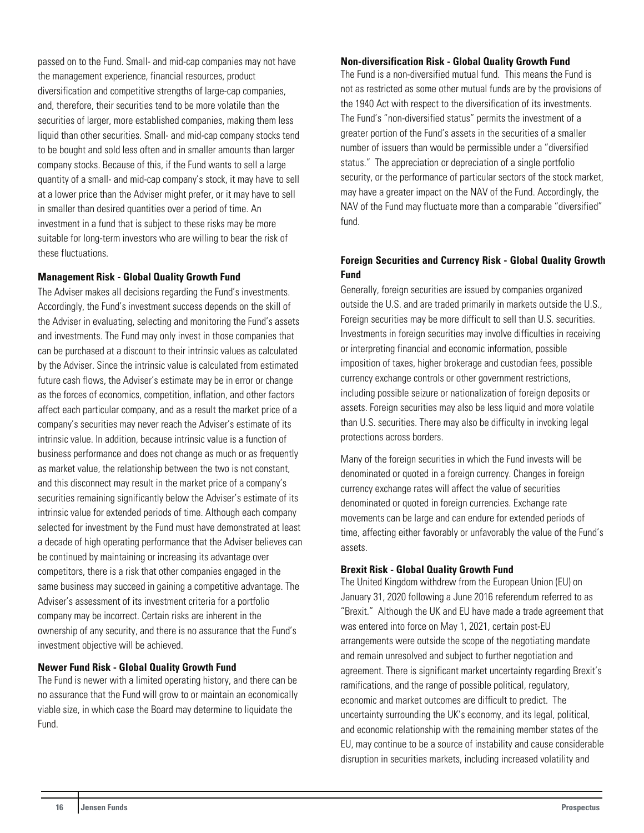passed on to the Fund. Small- and mid-cap companies may not have the management experience, financial resources, product diversification and competitive strengths of large-cap companies, and, therefore, their securities tend to be more volatile than the securities of larger, more established companies, making them less liquid than other securities. Small- and mid-cap company stocks tend to be bought and sold less often and in smaller amounts than larger company stocks. Because of this, if the Fund wants to sell a large quantity of a small- and mid-cap company's stock, it may have to sell at a lower price than the Adviser might prefer, or it may have to sell in smaller than desired quantities over a period of time. An investment in a fund that is subject to these risks may be more suitable for long-term investors who are willing to bear the risk of these fluctuations.

#### **Management Risk - Global Quality Growth Fund**

The Adviser makes all decisions regarding the Fund's investments. Accordingly, the Fund's investment success depends on the skill of the Adviser in evaluating, selecting and monitoring the Fund's assets and investments. The Fund may only invest in those companies that can be purchased at a discount to their intrinsic values as calculated by the Adviser. Since the intrinsic value is calculated from estimated future cash flows, the Adviser's estimate may be in error or change as the forces of economics, competition, inflation, and other factors affect each particular company, and as a result the market price of a company's securities may never reach the Adviser's estimate of its intrinsic value. In addition, because intrinsic value is a function of business performance and does not change as much or as frequently as market value, the relationship between the two is not constant, and this disconnect may result in the market price of a company's securities remaining significantly below the Adviser's estimate of its intrinsic value for extended periods of time. Although each company selected for investment by the Fund must have demonstrated at least a decade of high operating performance that the Adviser believes can be continued by maintaining or increasing its advantage over competitors, there is a risk that other companies engaged in the same business may succeed in gaining a competitive advantage. The Adviser's assessment of its investment criteria for a portfolio company may be incorrect. Certain risks are inherent in the ownership of any security, and there is no assurance that the Fund's investment objective will be achieved.

#### **Newer Fund Risk - Global Quality Growth Fund**

The Fund is newer with a limited operating history, and there can be no assurance that the Fund will grow to or maintain an economically viable size, in which case the Board may determine to liquidate the Fund.

#### **Non-diversification Risk - Global Quality Growth Fund**

The Fund is a non-diversified mutual fund. This means the Fund is not as restricted as some other mutual funds are by the provisions of the 1940 Act with respect to the diversification of its investments. The Fund's "non-diversified status" permits the investment of a greater portion of the Fund's assets in the securities of a smaller number of issuers than would be permissible under a "diversified status." The appreciation or depreciation of a single portfolio security, or the performance of particular sectors of the stock market, may have a greater impact on the NAV of the Fund. Accordingly, the NAV of the Fund may fluctuate more than a comparable "diversified" fund.

## **Foreign Securities and Currency Risk - Global Quality Growth Fund**

Generally, foreign securities are issued by companies organized outside the U.S. and are traded primarily in markets outside the U.S., Foreign securities may be more difficult to sell than U.S. securities. Investments in foreign securities may involve difficulties in receiving or interpreting financial and economic information, possible imposition of taxes, higher brokerage and custodian fees, possible currency exchange controls or other government restrictions, including possible seizure or nationalization of foreign deposits or assets. Foreign securities may also be less liquid and more volatile than U.S. securities. There may also be difficulty in invoking legal protections across borders.

Many of the foreign securities in which the Fund invests will be denominated or quoted in a foreign currency. Changes in foreign currency exchange rates will affect the value of securities denominated or quoted in foreign currencies. Exchange rate movements can be large and can endure for extended periods of time, affecting either favorably or unfavorably the value of the Fund's assets.

#### **Brexit Risk - Global Quality Growth Fund**

The United Kingdom withdrew from the European Union (EU) on January 31, 2020 following a June 2016 referendum referred to as "Brexit." Although the UK and EU have made a trade agreement that was entered into force on May 1, 2021, certain post-EU arrangements were outside the scope of the negotiating mandate and remain unresolved and subject to further negotiation and agreement. There is significant market uncertainty regarding Brexit's ramifications, and the range of possible political, regulatory, economic and market outcomes are difficult to predict. The uncertainty surrounding the UK's economy, and its legal, political, and economic relationship with the remaining member states of the EU, may continue to be a source of instability and cause considerable disruption in securities markets, including increased volatility and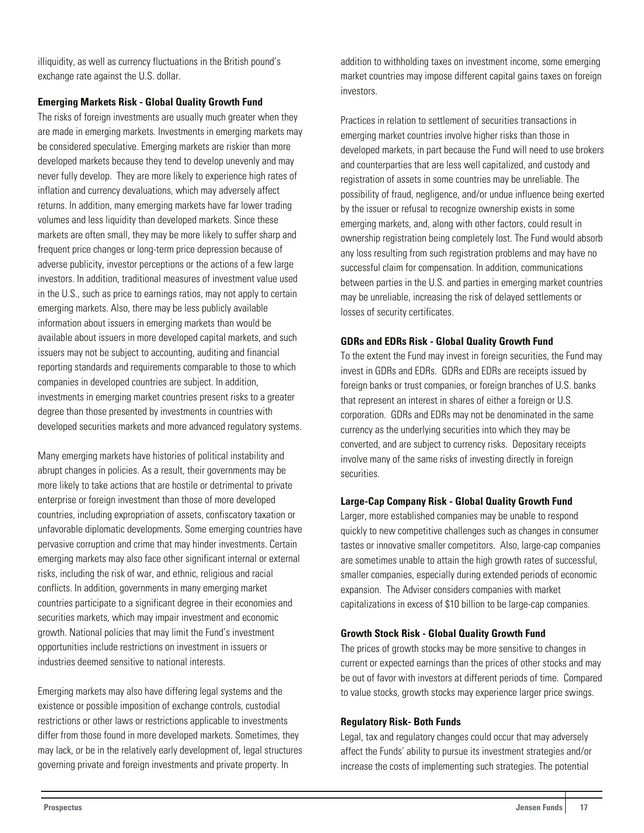illiquidity, as well as currency fluctuations in the British pound's exchange rate against the U.S. dollar.

#### **Emerging Markets Risk - Global Quality Growth Fund**

The risks of foreign investments are usually much greater when they are made in emerging markets. Investments in emerging markets may be considered speculative. Emerging markets are riskier than more developed markets because they tend to develop unevenly and may never fully develop. They are more likely to experience high rates of inflation and currency devaluations, which may adversely affect returns. In addition, many emerging markets have far lower trading volumes and less liquidity than developed markets. Since these markets are often small, they may be more likely to suffer sharp and frequent price changes or long-term price depression because of adverse publicity, investor perceptions or the actions of a few large investors. In addition, traditional measures of investment value used in the U.S., such as price to earnings ratios, may not apply to certain emerging markets. Also, there may be less publicly available information about issuers in emerging markets than would be available about issuers in more developed capital markets, and such issuers may not be subject to accounting, auditing and financial reporting standards and requirements comparable to those to which companies in developed countries are subject. In addition, investments in emerging market countries present risks to a greater degree than those presented by investments in countries with developed securities markets and more advanced regulatory systems.

Many emerging markets have histories of political instability and abrupt changes in policies. As a result, their governments may be more likely to take actions that are hostile or detrimental to private enterprise or foreign investment than those of more developed countries, including expropriation of assets, confiscatory taxation or unfavorable diplomatic developments. Some emerging countries have pervasive corruption and crime that may hinder investments. Certain emerging markets may also face other significant internal or external risks, including the risk of war, and ethnic, religious and racial conflicts. In addition, governments in many emerging market countries participate to a significant degree in their economies and securities markets, which may impair investment and economic growth. National policies that may limit the Fund's investment opportunities include restrictions on investment in issuers or industries deemed sensitive to national interests.

Emerging markets may also have differing legal systems and the existence or possible imposition of exchange controls, custodial restrictions or other laws or restrictions applicable to investments differ from those found in more developed markets. Sometimes, they may lack, or be in the relatively early development of, legal structures governing private and foreign investments and private property. In

addition to withholding taxes on investment income, some emerging market countries may impose different capital gains taxes on foreign investors.

Practices in relation to settlement of securities transactions in emerging market countries involve higher risks than those in developed markets, in part because the Fund will need to use brokers and counterparties that are less well capitalized, and custody and registration of assets in some countries may be unreliable. The possibility of fraud, negligence, and/or undue influence being exerted by the issuer or refusal to recognize ownership exists in some emerging markets, and, along with other factors, could result in ownership registration being completely lost. The Fund would absorb any loss resulting from such registration problems and may have no successful claim for compensation. In addition, communications between parties in the U.S. and parties in emerging market countries may be unreliable, increasing the risk of delayed settlements or losses of security certificates.

#### **GDRs and EDRs Risk - Global Quality Growth Fund**

To the extent the Fund may invest in foreign securities, the Fund may invest in GDRs and EDRs. GDRs and EDRs are receipts issued by foreign banks or trust companies, or foreign branches of U.S. banks that represent an interest in shares of either a foreign or U.S. corporation. GDRs and EDRs may not be denominated in the same currency as the underlying securities into which they may be converted, and are subject to currency risks. Depositary receipts involve many of the same risks of investing directly in foreign securities.

#### **Large-Cap Company Risk - Global Quality Growth Fund**

Larger, more established companies may be unable to respond quickly to new competitive challenges such as changes in consumer tastes or innovative smaller competitors. Also, large-cap companies are sometimes unable to attain the high growth rates of successful, smaller companies, especially during extended periods of economic expansion. The Adviser considers companies with market capitalizations in excess of \$10 billion to be large-cap companies.

#### **Growth Stock Risk - Global Quality Growth Fund**

The prices of growth stocks may be more sensitive to changes in current or expected earnings than the prices of other stocks and may be out of favor with investors at different periods of time. Compared to value stocks, growth stocks may experience larger price swings.

#### **Regulatory Risk- Both Funds**

Legal, tax and regulatory changes could occur that may adversely affect the Funds' ability to pursue its investment strategies and/or increase the costs of implementing such strategies. The potential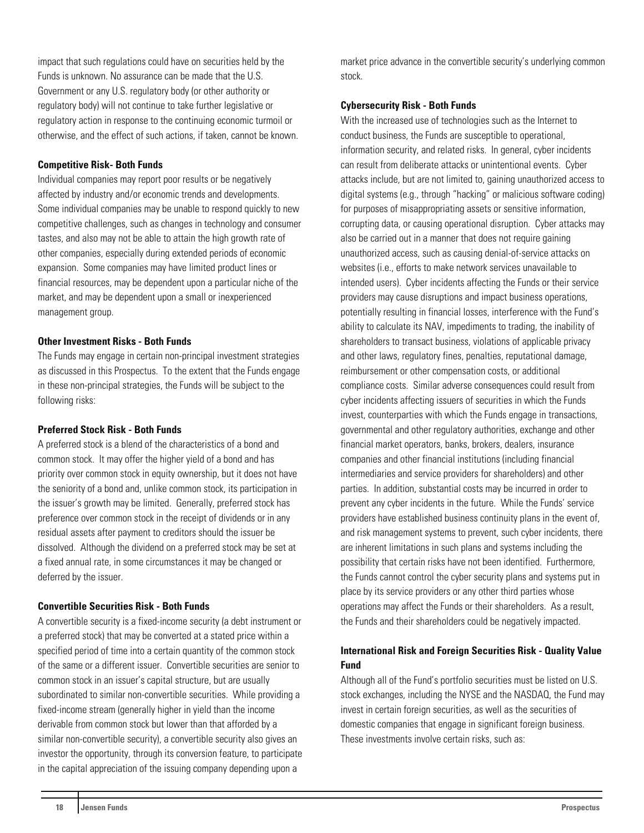<span id="page-18-0"></span>impact that such regulations could have on securities held by the Funds is unknown. No assurance can be made that the U.S. Government or any U.S. regulatory body (or other authority or regulatory body) will not continue to take further legislative or regulatory action in response to the continuing economic turmoil or otherwise, and the effect of such actions, if taken, cannot be known.

#### **Competitive Risk- Both Funds**

Individual companies may report poor results or be negatively affected by industry and/or economic trends and developments. Some individual companies may be unable to respond quickly to new competitive challenges, such as changes in technology and consumer tastes, and also may not be able to attain the high growth rate of other companies, especially during extended periods of economic expansion. Some companies may have limited product lines or financial resources, may be dependent upon a particular niche of the market, and may be dependent upon a small or inexperienced management group.

#### **Other Investment Risks - Both Funds**

The Funds may engage in certain non-principal investment strategies as discussed in this Prospectus. To the extent that the Funds engage in these non-principal strategies, the Funds will be subject to the following risks:

#### **Preferred Stock Risk - Both Funds**

A preferred stock is a blend of the characteristics of a bond and common stock. It may offer the higher yield of a bond and has priority over common stock in equity ownership, but it does not have the seniority of a bond and, unlike common stock, its participation in the issuer's growth may be limited. Generally, preferred stock has preference over common stock in the receipt of dividends or in any residual assets after payment to creditors should the issuer be dissolved. Although the dividend on a preferred stock may be set at a fixed annual rate, in some circumstances it may be changed or deferred by the issuer.

#### **Convertible Securities Risk - Both Funds**

A convertible security is a fixed-income security (a debt instrument or a preferred stock) that may be converted at a stated price within a specified period of time into a certain quantity of the common stock of the same or a different issuer. Convertible securities are senior to common stock in an issuer's capital structure, but are usually subordinated to similar non-convertible securities. While providing a fixed-income stream (generally higher in yield than the income derivable from common stock but lower than that afforded by a similar non-convertible security), a convertible security also gives an investor the opportunity, through its conversion feature, to participate in the capital appreciation of the issuing company depending upon a

market price advance in the convertible security's underlying common stock.

#### **Cybersecurity Risk - Both Funds**

With the increased use of technologies such as the Internet to conduct business, the Funds are susceptible to operational, information security, and related risks. In general, cyber incidents can result from deliberate attacks or unintentional events. Cyber attacks include, but are not limited to, gaining unauthorized access to digital systems (e.g., through "hacking" or malicious software coding) for purposes of misappropriating assets or sensitive information, corrupting data, or causing operational disruption. Cyber attacks may also be carried out in a manner that does not require gaining unauthorized access, such as causing denial-of-service attacks on websites (i.e., efforts to make network services unavailable to intended users). Cyber incidents affecting the Funds or their service providers may cause disruptions and impact business operations, potentially resulting in financial losses, interference with the Fund's ability to calculate its NAV, impediments to trading, the inability of shareholders to transact business, violations of applicable privacy and other laws, regulatory fines, penalties, reputational damage, reimbursement or other compensation costs, or additional compliance costs. Similar adverse consequences could result from cyber incidents affecting issuers of securities in which the Funds invest, counterparties with which the Funds engage in transactions, governmental and other regulatory authorities, exchange and other financial market operators, banks, brokers, dealers, insurance companies and other financial institutions (including financial intermediaries and service providers for shareholders) and other parties. In addition, substantial costs may be incurred in order to prevent any cyber incidents in the future. While the Funds' service providers have established business continuity plans in the event of, and risk management systems to prevent, such cyber incidents, there are inherent limitations in such plans and systems including the possibility that certain risks have not been identified. Furthermore, the Funds cannot control the cyber security plans and systems put in place by its service providers or any other third parties whose operations may affect the Funds or their shareholders. As a result, the Funds and their shareholders could be negatively impacted.

## **International Risk and Foreign Securities Risk - Quality Value Fund**

Although all of the Fund's portfolio securities must be listed on U.S. stock exchanges, including the NYSE and the NASDAQ, the Fund may invest in certain foreign securities, as well as the securities of domestic companies that engage in significant foreign business. These investments involve certain risks, such as: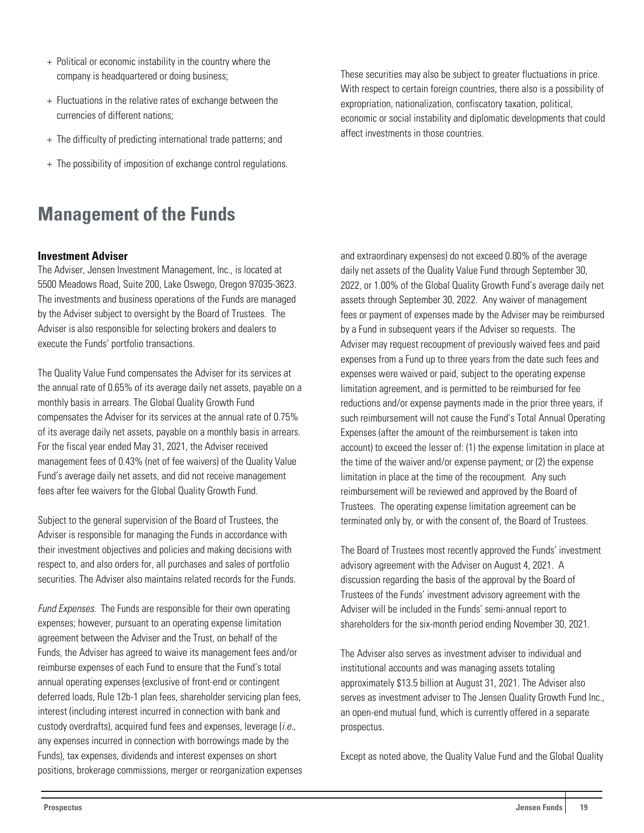- <span id="page-19-0"></span>+ Political or economic instability in the country where the company is headquartered or doing business;
- + Fluctuations in the relative rates of exchange between the currencies of different nations;
- + The difficulty of predicting international trade patterns; and
- + The possibility of imposition of exchange control regulations.

## **Management of the Funds**

#### **Investment Adviser**

The Adviser, Jensen Investment Management, Inc., is located at 5500 Meadows Road, Suite 200, Lake Oswego, Oregon 97035-3623. The investments and business operations of the Funds are managed by the Adviser subject to oversight by the Board of Trustees. The Adviser is also responsible for selecting brokers and dealers to execute the Funds' portfolio transactions.

The Quality Value Fund compensates the Adviser for its services at the annual rate of 0.65% of its average daily net assets, payable on a monthly basis in arrears. The Global Quality Growth Fund compensates the Adviser for its services at the annual rate of 0.75% of its average daily net assets, payable on a monthly basis in arrears. For the fiscal year ended May 31, 2021, the Adviser received management fees of 0.43% (net of fee waivers) of the Quality Value Fund's average daily net assets, and did not receive management fees after fee waivers for the Global Quality Growth Fund.

Subject to the general supervision of the Board of Trustees, the Adviser is responsible for managing the Funds in accordance with their investment objectives and policies and making decisions with respect to, and also orders for, all purchases and sales of portfolio securities. The Adviser also maintains related records for the Funds.

Fund Expenses. The Funds are responsible for their own operating expenses; however, pursuant to an operating expense limitation agreement between the Adviser and the Trust, on behalf of the Funds, the Adviser has agreed to waive its management fees and/or reimburse expenses of each Fund to ensure that the Fund's total annual operating expenses (exclusive of front-end or contingent deferred loads, Rule 12b-1 plan fees, shareholder servicing plan fees, interest (including interest incurred in connection with bank and custody overdrafts), acquired fund fees and expenses, leverage  $(i.e.,$ any expenses incurred in connection with borrowings made by the Funds), tax expenses, dividends and interest expenses on short positions, brokerage commissions, merger or reorganization expenses These securities may also be subject to greater fluctuations in price. With respect to certain foreign countries, there also is a possibility of expropriation, nationalization, confiscatory taxation, political, economic or social instability and diplomatic developments that could affect investments in those countries.

and extraordinary expenses) do not exceed 0.80% of the average daily net assets of the Quality Value Fund through September 30, 2022, or 1.00% of the Global Quality Growth Fund's average daily net assets through September 30, 2022. Any waiver of management fees or payment of expenses made by the Adviser may be reimbursed by a Fund in subsequent years if the Adviser so requests. The Adviser may request recoupment of previously waived fees and paid expenses from a Fund up to three years from the date such fees and expenses were waived or paid, subject to the operating expense limitation agreement, and is permitted to be reimbursed for fee reductions and/or expense payments made in the prior three years, if such reimbursement will not cause the Fund's Total Annual Operating Expenses (after the amount of the reimbursement is taken into account) to exceed the lesser of: (1) the expense limitation in place at the time of the waiver and/or expense payment; or (2) the expense limitation in place at the time of the recoupment. Any such reimbursement will be reviewed and approved by the Board of Trustees. The operating expense limitation agreement can be terminated only by, or with the consent of, the Board of Trustees.

The Board of Trustees most recently approved the Funds' investment advisory agreement with the Adviser on August 4, 2021. A discussion regarding the basis of the approval by the Board of Trustees of the Funds' investment advisory agreement with the Adviser will be included in the Funds' semi-annual report to shareholders for the six-month period ending November 30, 2021.

The Adviser also serves as investment adviser to individual and institutional accounts and was managing assets totaling approximately \$13.5 billion at August 31, 2021. The Adviser also serves as investment adviser to The Jensen Quality Growth Fund Inc., an open-end mutual fund, which is currently offered in a separate prospectus.

Except as noted above, the Quality Value Fund and the Global Quality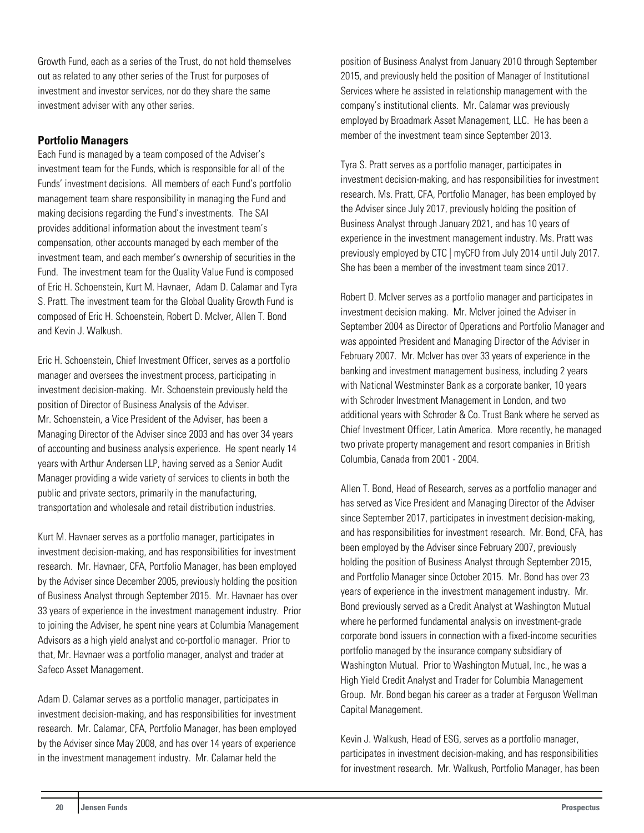<span id="page-20-0"></span>Growth Fund, each as a series of the Trust, do not hold themselves out as related to any other series of the Trust for purposes of investment and investor services, nor do they share the same investment adviser with any other series.

## **Portfolio Managers**

Each Fund is managed by a team composed of the Adviser's investment team for the Funds, which is responsible for all of the Funds' investment decisions. All members of each Fund's portfolio management team share responsibility in managing the Fund and making decisions regarding the Fund's investments. The SAI provides additional information about the investment team's compensation, other accounts managed by each member of the investment team, and each member's ownership of securities in the Fund. The investment team for the Quality Value Fund is composed of Eric H. Schoenstein, Kurt M. Havnaer, Adam D. Calamar and Tyra S. Pratt. The investment team for the Global Quality Growth Fund is composed of Eric H. Schoenstein, Robert D. McIver, Allen T. Bond and Kevin J. Walkush.

Eric H. Schoenstein, Chief Investment Officer, serves as a portfolio manager and oversees the investment process, participating in investment decision-making. Mr. Schoenstein previously held the position of Director of Business Analysis of the Adviser. Mr. Schoenstein, a Vice President of the Adviser, has been a Managing Director of the Adviser since 2003 and has over 34 years of accounting and business analysis experience. He spent nearly 14 years with Arthur Andersen LLP, having served as a Senior Audit Manager providing a wide variety of services to clients in both the public and private sectors, primarily in the manufacturing, transportation and wholesale and retail distribution industries.

Kurt M. Havnaer serves as a portfolio manager, participates in investment decision-making, and has responsibilities for investment research. Mr. Havnaer, CFA, Portfolio Manager, has been employed by the Adviser since December 2005, previously holding the position of Business Analyst through September 2015. Mr. Havnaer has over 33 years of experience in the investment management industry. Prior to joining the Adviser, he spent nine years at Columbia Management Advisors as a high yield analyst and co-portfolio manager. Prior to that, Mr. Havnaer was a portfolio manager, analyst and trader at Safeco Asset Management.

Adam D. Calamar serves as a portfolio manager, participates in investment decision-making, and has responsibilities for investment research. Mr. Calamar, CFA, Portfolio Manager, has been employed by the Adviser since May 2008, and has over 14 years of experience in the investment management industry. Mr. Calamar held the

position of Business Analyst from January 2010 through September 2015, and previously held the position of Manager of Institutional Services where he assisted in relationship management with the company's institutional clients. Mr. Calamar was previously employed by Broadmark Asset Management, LLC. He has been a member of the investment team since September 2013.

Tyra S. Pratt serves as a portfolio manager, participates in investment decision-making, and has responsibilities for investment research. Ms. Pratt, CFA, Portfolio Manager, has been employed by the Adviser since July 2017, previously holding the position of Business Analyst through January 2021, and has 10 years of experience in the investment management industry. Ms. Pratt was previously employed by CTC | myCFO from July 2014 until July 2017. She has been a member of the investment team since 2017.

Robert D. McIver serves as a portfolio manager and participates in investment decision making. Mr. McIver joined the Adviser in September 2004 as Director of Operations and Portfolio Manager and was appointed President and Managing Director of the Adviser in February 2007. Mr. McIver has over 33 years of experience in the banking and investment management business, including 2 years with National Westminster Bank as a corporate banker, 10 years with Schroder Investment Management in London, and two additional years with Schroder & Co. Trust Bank where he served as Chief Investment Officer, Latin America. More recently, he managed two private property management and resort companies in British Columbia, Canada from 2001 - 2004.

Allen T. Bond, Head of Research, serves as a portfolio manager and has served as Vice President and Managing Director of the Adviser since September 2017, participates in investment decision-making, and has responsibilities for investment research. Mr. Bond, CFA, has been employed by the Adviser since February 2007, previously holding the position of Business Analyst through September 2015, and Portfolio Manager since October 2015. Mr. Bond has over 23 years of experience in the investment management industry. Mr. Bond previously served as a Credit Analyst at Washington Mutual where he performed fundamental analysis on investment-grade corporate bond issuers in connection with a fixed-income securities portfolio managed by the insurance company subsidiary of Washington Mutual. Prior to Washington Mutual, Inc., he was a High Yield Credit Analyst and Trader for Columbia Management Group. Mr. Bond began his career as a trader at Ferguson Wellman Capital Management.

Kevin J. Walkush, Head of ESG, serves as a portfolio manager, participates in investment decision-making, and has responsibilities for investment research. Mr. Walkush, Portfolio Manager, has been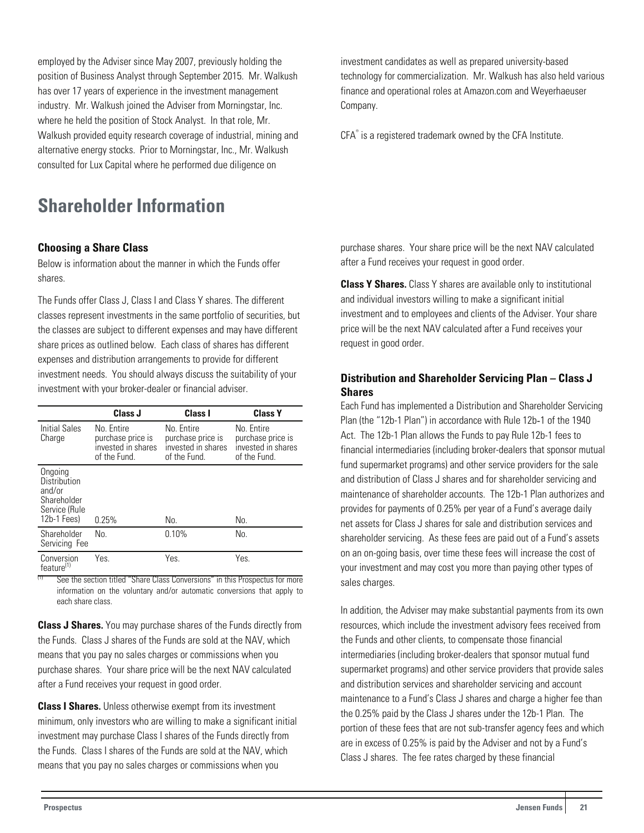<span id="page-21-0"></span>employed by the Adviser since May 2007, previously holding the position of Business Analyst through September 2015. Mr. Walkush has over 17 years of experience in the investment management industry. Mr. Walkush joined the Adviser from Morningstar, Inc. where he held the position of Stock Analyst. In that role, Mr. Walkush provided equity research coverage of industrial, mining and alternative energy stocks. Prior to Morningstar, Inc., Mr. Walkush consulted for Lux Capital where he performed due diligence on

## **Shareholder Information**

## **Choosing a Share Class**

Below is information about the manner in which the Funds offer shares.

The Funds offer Class J, Class I and Class Y shares. The different classes represent investments in the same portfolio of securities, but the classes are subject to different expenses and may have different share prices as outlined below. Each class of shares has different expenses and distribution arrangements to provide for different investment needs. You should always discuss the suitability of your investment with your broker-dealer or financial adviser.

|                                                                                  | Class J                                                               | Class I                                                               | <b>Class Y</b>                                                        |
|----------------------------------------------------------------------------------|-----------------------------------------------------------------------|-----------------------------------------------------------------------|-----------------------------------------------------------------------|
| Initial Sales<br>Charge                                                          | No. Entire<br>purchase price is<br>invested in shares<br>of the Fund. | No. Entire<br>purchase price is<br>invested in shares<br>of the Fund. | No. Entire<br>purchase price is<br>invested in shares<br>of the Fund. |
| Ongoing<br>Distribution<br>and/or<br>Shareholder<br>Service (Rule<br>12b-1 Fees) | 0.25%                                                                 | No.                                                                   | No.                                                                   |
| Shareholder<br>Servicing Fee                                                     | No.                                                                   | 0.10%                                                                 | No.                                                                   |
| Conversion<br>feature <sup>(1)</sup>                                             | Yes.                                                                  | Yes.                                                                  | Yes.                                                                  |

See the section titled "Share Class Conversions" in this Prospectus for more information on the voluntary and/or automatic conversions that apply to each share class.

**Class J Shares.** You may purchase shares of the Funds directly from the Funds. Class J shares of the Funds are sold at the NAV, which means that you pay no sales charges or commissions when you purchase shares. Your share price will be the next NAV calculated after a Fund receives your request in good order.

**Class I Shares.** Unless otherwise exempt from its investment minimum, only investors who are willing to make a significant initial investment may purchase Class I shares of the Funds directly from the Funds. Class I shares of the Funds are sold at the NAV, which means that you pay no sales charges or commissions when you

technology for commercialization. Mr. Walkush has also held various finance and operational roles at Amazon.com and Weyerhaeuser Company.

CFA<sup>®</sup> is a registered trademark owned by the CFA Institute.

investment candidates as well as prepared university-based

purchase shares. Your share price will be the next NAV calculated after a Fund receives your request in good order.

**Class Y Shares.** Class Y shares are available only to institutional and individual investors willing to make a significant initial investment and to employees and clients of the Adviser. Your share price will be the next NAV calculated after a Fund receives your request in good order.

## **Distribution and Shareholder Servicing Plan – Class J Shares**

Each Fund has implemented a Distribution and Shareholder Servicing Plan (the "12b-1 Plan") in accordance with Rule 12b-1 of the 1940 Act. The 12b-1 Plan allows the Funds to pay Rule 12b-1 fees to financial intermediaries (including broker-dealers that sponsor mutual fund supermarket programs) and other service providers for the sale and distribution of Class J shares and for shareholder servicing and maintenance of shareholder accounts. The 12b-1 Plan authorizes and provides for payments of 0.25% per year of a Fund's average daily net assets for Class J shares for sale and distribution services and shareholder servicing. As these fees are paid out of a Fund's assets on an on-going basis, over time these fees will increase the cost of your investment and may cost you more than paying other types of sales charges.

In addition, the Adviser may make substantial payments from its own resources, which include the investment advisory fees received from the Funds and other clients, to compensate those financial intermediaries (including broker-dealers that sponsor mutual fund supermarket programs) and other service providers that provide sales and distribution services and shareholder servicing and account maintenance to a Fund's Class J shares and charge a higher fee than the 0.25% paid by the Class J shares under the 12b-1 Plan. The portion of these fees that are not sub-transfer agency fees and which are in excess of 0.25% is paid by the Adviser and not by a Fund's Class J shares. The fee rates charged by these financial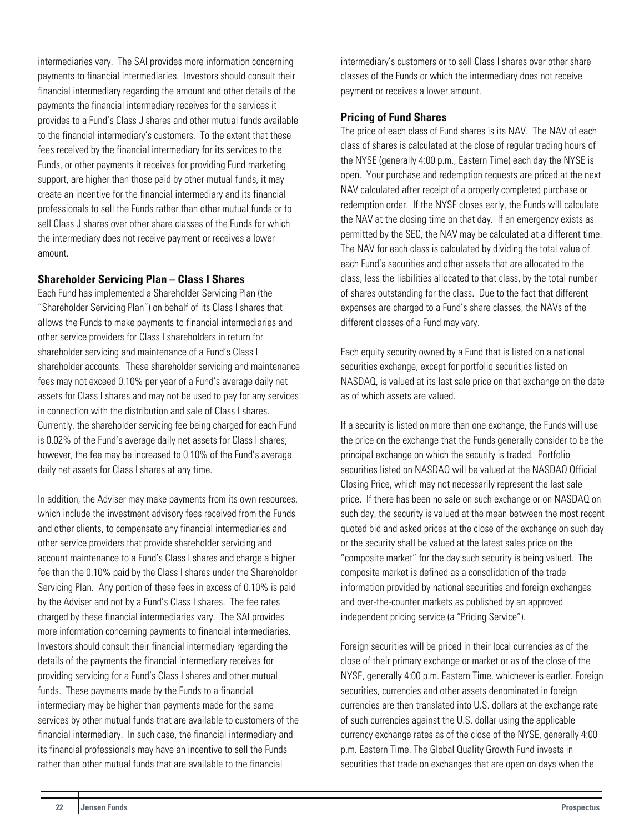<span id="page-22-0"></span>intermediaries vary. The SAI provides more information concerning payments to financial intermediaries. Investors should consult their financial intermediary regarding the amount and other details of the payments the financial intermediary receives for the services it provides to a Fund's Class J shares and other mutual funds available to the financial intermediary's customers. To the extent that these fees received by the financial intermediary for its services to the Funds, or other payments it receives for providing Fund marketing support, are higher than those paid by other mutual funds, it may create an incentive for the financial intermediary and its financial professionals to sell the Funds rather than other mutual funds or to sell Class J shares over other share classes of the Funds for which the intermediary does not receive payment or receives a lower amount.

#### **Shareholder Servicing Plan – Class I Shares**

Each Fund has implemented a Shareholder Servicing Plan (the "Shareholder Servicing Plan") on behalf of its Class I shares that allows the Funds to make payments to financial intermediaries and other service providers for Class I shareholders in return for shareholder servicing and maintenance of a Fund's Class I shareholder accounts. These shareholder servicing and maintenance fees may not exceed 0.10% per year of a Fund's average daily net assets for Class I shares and may not be used to pay for any services in connection with the distribution and sale of Class I shares. Currently, the shareholder servicing fee being charged for each Fund is 0.02% of the Fund's average daily net assets for Class I shares; however, the fee may be increased to 0.10% of the Fund's average daily net assets for Class I shares at any time.

In addition, the Adviser may make payments from its own resources, which include the investment advisory fees received from the Funds and other clients, to compensate any financial intermediaries and other service providers that provide shareholder servicing and account maintenance to a Fund's Class I shares and charge a higher fee than the 0.10% paid by the Class I shares under the Shareholder Servicing Plan. Any portion of these fees in excess of 0.10% is paid by the Adviser and not by a Fund's Class I shares. The fee rates charged by these financial intermediaries vary. The SAI provides more information concerning payments to financial intermediaries. Investors should consult their financial intermediary regarding the details of the payments the financial intermediary receives for providing servicing for a Fund's Class I shares and other mutual funds. These payments made by the Funds to a financial intermediary may be higher than payments made for the same services by other mutual funds that are available to customers of the financial intermediary. In such case, the financial intermediary and its financial professionals may have an incentive to sell the Funds rather than other mutual funds that are available to the financial

intermediary's customers or to sell Class I shares over other share classes of the Funds or which the intermediary does not receive payment or receives a lower amount.

## **Pricing of Fund Shares**

The price of each class of Fund shares is its NAV. The NAV of each class of shares is calculated at the close of regular trading hours of the NYSE (generally 4:00 p.m., Eastern Time) each day the NYSE is open. Your purchase and redemption requests are priced at the next NAV calculated after receipt of a properly completed purchase or redemption order. If the NYSE closes early, the Funds will calculate the NAV at the closing time on that day. If an emergency exists as permitted by the SEC, the NAV may be calculated at a different time. The NAV for each class is calculated by dividing the total value of each Fund's securities and other assets that are allocated to the class, less the liabilities allocated to that class, by the total number of shares outstanding for the class. Due to the fact that different expenses are charged to a Fund's share classes, the NAVs of the different classes of a Fund may vary.

Each equity security owned by a Fund that is listed on a national securities exchange, except for portfolio securities listed on NASDAQ, is valued at its last sale price on that exchange on the date as of which assets are valued.

If a security is listed on more than one exchange, the Funds will use the price on the exchange that the Funds generally consider to be the principal exchange on which the security is traded. Portfolio securities listed on NASDAQ will be valued at the NASDAQ Official Closing Price, which may not necessarily represent the last sale price. If there has been no sale on such exchange or on NASDAQ on such day, the security is valued at the mean between the most recent quoted bid and asked prices at the close of the exchange on such day or the security shall be valued at the latest sales price on the "composite market" for the day such security is being valued. The composite market is defined as a consolidation of the trade information provided by national securities and foreign exchanges and over-the-counter markets as published by an approved independent pricing service (a "Pricing Service").

Foreign securities will be priced in their local currencies as of the close of their primary exchange or market or as of the close of the NYSE, generally 4:00 p.m. Eastern Time, whichever is earlier. Foreign securities, currencies and other assets denominated in foreign currencies are then translated into U.S. dollars at the exchange rate of such currencies against the U.S. dollar using the applicable currency exchange rates as of the close of the NYSE, generally 4:00 p.m. Eastern Time. The Global Quality Growth Fund invests in securities that trade on exchanges that are open on days when the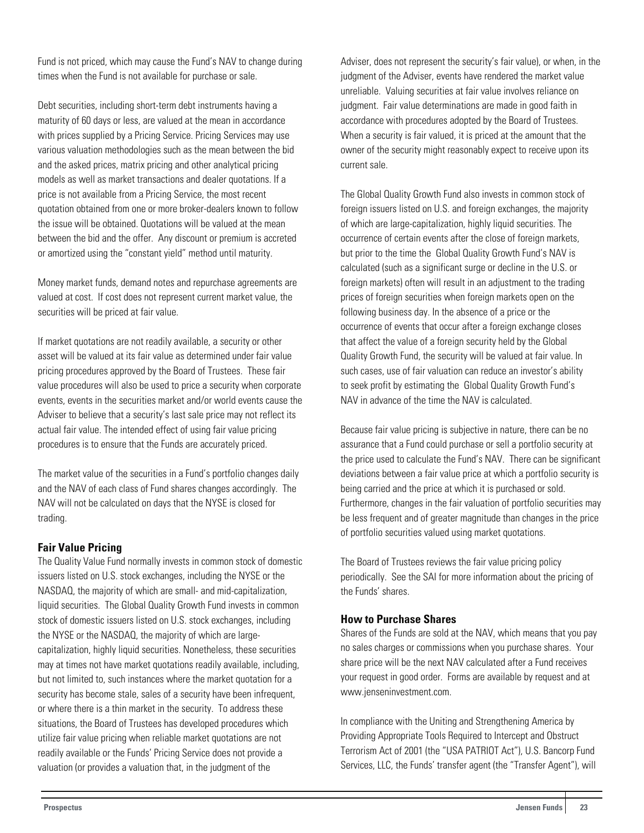<span id="page-23-0"></span>Fund is not priced, which may cause the Fund's NAV to change during times when the Fund is not available for purchase or sale.

Debt securities, including short-term debt instruments having a maturity of 60 days or less, are valued at the mean in accordance with prices supplied by a Pricing Service. Pricing Services may use various valuation methodologies such as the mean between the bid and the asked prices, matrix pricing and other analytical pricing models as well as market transactions and dealer quotations. If a price is not available from a Pricing Service, the most recent quotation obtained from one or more broker-dealers known to follow the issue will be obtained. Quotations will be valued at the mean between the bid and the offer. Any discount or premium is accreted or amortized using the "constant yield" method until maturity.

Money market funds, demand notes and repurchase agreements are valued at cost. If cost does not represent current market value, the securities will be priced at fair value.

If market quotations are not readily available, a security or other asset will be valued at its fair value as determined under fair value pricing procedures approved by the Board of Trustees. These fair value procedures will also be used to price a security when corporate events, events in the securities market and/or world events cause the Adviser to believe that a security's last sale price may not reflect its actual fair value. The intended effect of using fair value pricing procedures is to ensure that the Funds are accurately priced.

The market value of the securities in a Fund's portfolio changes daily and the NAV of each class of Fund shares changes accordingly. The NAV will not be calculated on days that the NYSE is closed for trading.

## **Fair Value Pricing**

The Quality Value Fund normally invests in common stock of domestic issuers listed on U.S. stock exchanges, including the NYSE or the NASDAQ, the majority of which are small- and mid-capitalization, liquid securities. The Global Quality Growth Fund invests in common stock of domestic issuers listed on U.S. stock exchanges, including the NYSE or the NASDAQ, the majority of which are largecapitalization, highly liquid securities. Nonetheless, these securities may at times not have market quotations readily available, including, but not limited to, such instances where the market quotation for a security has become stale, sales of a security have been infrequent, or where there is a thin market in the security. To address these situations, the Board of Trustees has developed procedures which utilize fair value pricing when reliable market quotations are not readily available or the Funds' Pricing Service does not provide a valuation (or provides a valuation that, in the judgment of the

Adviser, does not represent the security's fair value), or when, in the judgment of the Adviser, events have rendered the market value unreliable. Valuing securities at fair value involves reliance on judgment. Fair value determinations are made in good faith in accordance with procedures adopted by the Board of Trustees. When a security is fair valued, it is priced at the amount that the owner of the security might reasonably expect to receive upon its current sale.

The Global Quality Growth Fund also invests in common stock of foreign issuers listed on U.S. and foreign exchanges, the majority of which are large-capitalization, highly liquid securities. The occurrence of certain events after the close of foreign markets, but prior to the time the Global Quality Growth Fund's NAV is calculated (such as a significant surge or decline in the U.S. or foreign markets) often will result in an adjustment to the trading prices of foreign securities when foreign markets open on the following business day. In the absence of a price or the occurrence of events that occur after a foreign exchange closes that affect the value of a foreign security held by the Global Quality Growth Fund, the security will be valued at fair value. In such cases, use of fair valuation can reduce an investor's ability to seek profit by estimating the Global Quality Growth Fund's NAV in advance of the time the NAV is calculated.

Because fair value pricing is subjective in nature, there can be no assurance that a Fund could purchase or sell a portfolio security at the price used to calculate the Fund's NAV. There can be significant deviations between a fair value price at which a portfolio security is being carried and the price at which it is purchased or sold. Furthermore, changes in the fair valuation of portfolio securities may be less frequent and of greater magnitude than changes in the price of portfolio securities valued using market quotations.

The Board of Trustees reviews the fair value pricing policy periodically. See the SAI for more information about the pricing of the Funds' shares.

## **How to Purchase Shares**

Shares of the Funds are sold at the NAV, which means that you pay no sales charges or commissions when you purchase shares. Your share price will be the next NAV calculated after a Fund receives your request in good order. Forms are available by request and at www.jenseninvestment.com.

In compliance with the Uniting and Strengthening America by Providing Appropriate Tools Required to Intercept and Obstruct Terrorism Act of 2001 (the "USA PATRIOT Act"), U.S. Bancorp Fund Services, LLC, the Funds' transfer agent (the "Transfer Agent"), will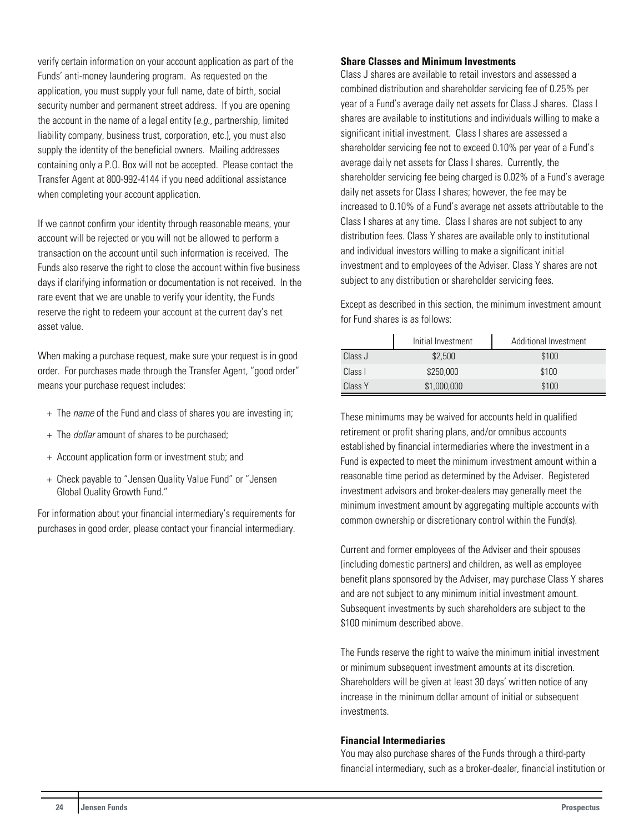verify certain information on your account application as part of the Funds' anti-money laundering program. As requested on the application, you must supply your full name, date of birth, social security number and permanent street address. If you are opening the account in the name of a legal entity  $(e.g.,$  partnership, limited liability company, business trust, corporation, etc.), you must also supply the identity of the beneficial owners. Mailing addresses containing only a P.O. Box will not be accepted. Please contact the Transfer Agent at 800-992-4144 if you need additional assistance when completing your account application.

If we cannot confirm your identity through reasonable means, your account will be rejected or you will not be allowed to perform a transaction on the account until such information is received. The Funds also reserve the right to close the account within five business days if clarifying information or documentation is not received. In the rare event that we are unable to verify your identity, the Funds reserve the right to redeem your account at the current day's net asset value.

When making a purchase request, make sure your request is in good order. For purchases made through the Transfer Agent, "good order" means your purchase request includes:

- + The *name* of the Fund and class of shares you are investing in;
- + The dollar amount of shares to be purchased;
- + Account application form or investment stub; and
- + Check payable to "Jensen Quality Value Fund" or "Jensen Global Quality Growth Fund."

For information about your financial intermediary's requirements for purchases in good order, please contact your financial intermediary.

#### **Share Classes and Minimum Investments**

Class J shares are available to retail investors and assessed a combined distribution and shareholder servicing fee of 0.25% per year of a Fund's average daily net assets for Class J shares. Class I shares are available to institutions and individuals willing to make a significant initial investment. Class I shares are assessed a shareholder servicing fee not to exceed 0.10% per year of a Fund's average daily net assets for Class I shares. Currently, the shareholder servicing fee being charged is 0.02% of a Fund's average daily net assets for Class I shares; however, the fee may be increased to 0.10% of a Fund's average net assets attributable to the Class I shares at any time. Class I shares are not subject to any distribution fees. Class Y shares are available only to institutional and individual investors willing to make a significant initial investment and to employees of the Adviser. Class Y shares are not subject to any distribution or shareholder servicing fees.

Except as described in this section, the minimum investment amount for Fund shares is as follows:

|         | Initial Investment | Additional Investment |
|---------|--------------------|-----------------------|
| Class J | \$2,500            | \$100                 |
| Class I | \$250,000          | \$100                 |
| Class Y | \$1,000,000        | \$100                 |

These minimums may be waived for accounts held in qualified retirement or profit sharing plans, and/or omnibus accounts established by financial intermediaries where the investment in a Fund is expected to meet the minimum investment amount within a reasonable time period as determined by the Adviser. Registered investment advisors and broker-dealers may generally meet the minimum investment amount by aggregating multiple accounts with common ownership or discretionary control within the Fund(s).

Current and former employees of the Adviser and their spouses (including domestic partners) and children, as well as employee benefit plans sponsored by the Adviser, may purchase Class Y shares and are not subject to any minimum initial investment amount. Subsequent investments by such shareholders are subject to the \$100 minimum described above.

The Funds reserve the right to waive the minimum initial investment or minimum subsequent investment amounts at its discretion. Shareholders will be given at least 30 days' written notice of any increase in the minimum dollar amount of initial or subsequent investments.

#### **Financial Intermediaries**

You may also purchase shares of the Funds through a third-party financial intermediary, such as a broker-dealer, financial institution or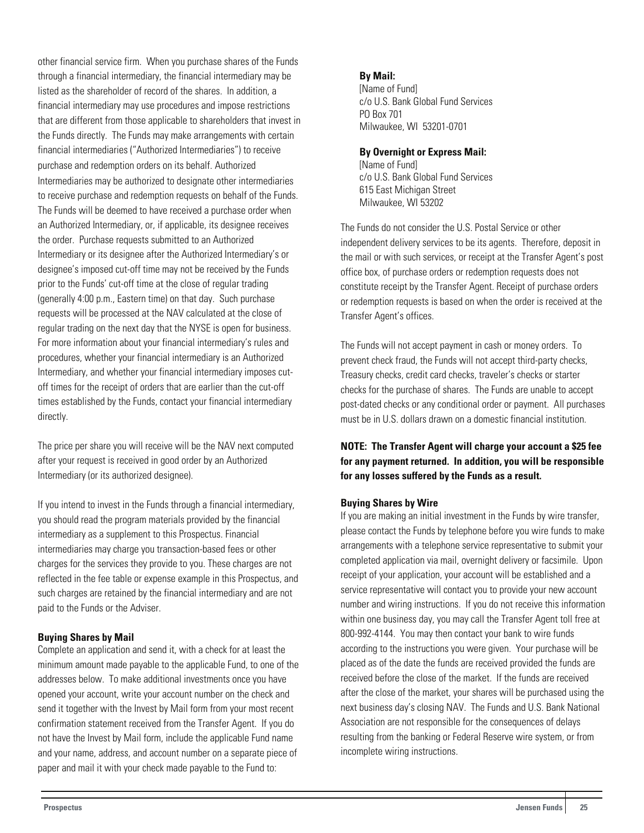other financial service firm. When you purchase shares of the Funds through a financial intermediary, the financial intermediary may be listed as the shareholder of record of the shares. In addition, a financial intermediary may use procedures and impose restrictions that are different from those applicable to shareholders that invest in the Funds directly. The Funds may make arrangements with certain financial intermediaries ("Authorized Intermediaries") to receive purchase and redemption orders on its behalf. Authorized Intermediaries may be authorized to designate other intermediaries to receive purchase and redemption requests on behalf of the Funds. The Funds will be deemed to have received a purchase order when an Authorized Intermediary, or, if applicable, its designee receives the order. Purchase requests submitted to an Authorized Intermediary or its designee after the Authorized Intermediary's or designee's imposed cut-off time may not be received by the Funds prior to the Funds' cut-off time at the close of regular trading (generally 4:00 p.m., Eastern time) on that day. Such purchase requests will be processed at the NAV calculated at the close of regular trading on the next day that the NYSE is open for business. For more information about your financial intermediary's rules and procedures, whether your financial intermediary is an Authorized Intermediary, and whether your financial intermediary imposes cutoff times for the receipt of orders that are earlier than the cut-off times established by the Funds, contact your financial intermediary directly.

The price per share you will receive will be the NAV next computed after your request is received in good order by an Authorized Intermediary (or its authorized designee).

If you intend to invest in the Funds through a financial intermediary, you should read the program materials provided by the financial intermediary as a supplement to this Prospectus. Financial intermediaries may charge you transaction-based fees or other charges for the services they provide to you. These charges are not reflected in the fee table or expense example in this Prospectus, and such charges are retained by the financial intermediary and are not paid to the Funds or the Adviser.

#### **Buying Shares by Mail**

Complete an application and send it, with a check for at least the minimum amount made payable to the applicable Fund, to one of the addresses below. To make additional investments once you have opened your account, write your account number on the check and send it together with the Invest by Mail form from your most recent confirmation statement received from the Transfer Agent. If you do not have the Invest by Mail form, include the applicable Fund name and your name, address, and account number on a separate piece of paper and mail it with your check made payable to the Fund to:

#### **By Mail:**

[Name of Fund] c/o U.S. Bank Global Fund Services PO Box 701 Milwaukee, WI 53201-0701

#### **By Overnight or Express Mail:**

[Name of Fund] c/o U.S. Bank Global Fund Services 615 East Michigan Street Milwaukee, WI 53202

The Funds do not consider the U.S. Postal Service or other independent delivery services to be its agents. Therefore, deposit in the mail or with such services, or receipt at the Transfer Agent's post office box, of purchase orders or redemption requests does not constitute receipt by the Transfer Agent. Receipt of purchase orders or redemption requests is based on when the order is received at the Transfer Agent's offices.

The Funds will not accept payment in cash or money orders. To prevent check fraud, the Funds will not accept third-party checks, Treasury checks, credit card checks, traveler's checks or starter checks for the purchase of shares. The Funds are unable to accept post-dated checks or any conditional order or payment. All purchases must be in U.S. dollars drawn on a domestic financial institution.

## **NOTE: The Transfer Agent will charge your account a \$25 fee for any payment returned. In addition, you will be responsible for any losses suffered by the Funds as a result.**

#### **Buying Shares by Wire**

If you are making an initial investment in the Funds by wire transfer, please contact the Funds by telephone before you wire funds to make arrangements with a telephone service representative to submit your completed application via mail, overnight delivery or facsimile. Upon receipt of your application, your account will be established and a service representative will contact you to provide your new account number and wiring instructions. If you do not receive this information within one business day, you may call the Transfer Agent toll free at 800-992-4144. You may then contact your bank to wire funds according to the instructions you were given. Your purchase will be placed as of the date the funds are received provided the funds are received before the close of the market. If the funds are received after the close of the market, your shares will be purchased using the next business day's closing NAV. The Funds and U.S. Bank National Association are not responsible for the consequences of delays resulting from the banking or Federal Reserve wire system, or from incomplete wiring instructions.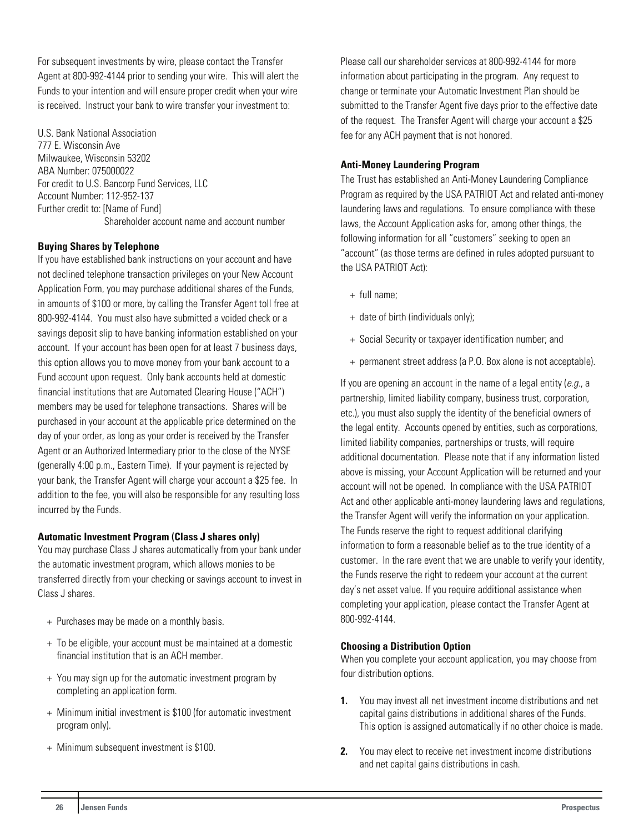For subsequent investments by wire, please contact the Transfer Agent at 800-992-4144 prior to sending your wire. This will alert the Funds to your intention and will ensure proper credit when your wire is received. Instruct your bank to wire transfer your investment to:

U.S. Bank National Association 777 E. Wisconsin Ave Milwaukee, Wisconsin 53202 ABA Number: 075000022 For credit to U.S. Bancorp Fund Services, LLC Account Number: 112-952-137 Further credit to: [Name of Fund] Shareholder account name and account number

#### **Buying Shares by Telephone**

If you have established bank instructions on your account and have not declined telephone transaction privileges on your New Account Application Form, you may purchase additional shares of the Funds, in amounts of \$100 or more, by calling the Transfer Agent toll free at 800-992-4144. You must also have submitted a voided check or a savings deposit slip to have banking information established on your account. If your account has been open for at least 7 business days, this option allows you to move money from your bank account to a Fund account upon request. Only bank accounts held at domestic financial institutions that are Automated Clearing House ("ACH") members may be used for telephone transactions.Shares will be purchased in your account at the applicable price determined on the day of your order, as long as your order is received by the Transfer Agent or an Authorized Intermediary prior to the close of the NYSE (generally 4:00 p.m., Eastern Time). If your payment is rejected by your bank, the Transfer Agent will charge your account a \$25 fee. In addition to the fee, you will also be responsible for any resulting loss incurred by the Funds.

#### **Automatic Investment Program (Class J shares only)**

You may purchase Class J shares automatically from your bank under the automatic investment program, which allows monies to be transferred directly from your checking or savings account to invest in Class J shares.

- + Purchases may be made on a monthly basis.
- + To be eligible, your account must be maintained at a domestic financial institution that is an ACH member.
- + You may sign up for the automatic investment program by completing an application form.
- + Minimum initial investment is \$100 (for automatic investment program only).
- + Minimum subsequent investment is \$100.

Please call our shareholder services at 800-992-4144 for more information about participating in the program. Any request to change or terminate your Automatic Investment Plan should be submitted to the Transfer Agent five days prior to the effective date of the request. The Transfer Agent will charge your account a \$25 fee for any ACH payment that is not honored.

#### **Anti-Money Laundering Program**

The Trust has established an Anti-Money Laundering Compliance Program as required by the USA PATRIOT Act and related anti-money laundering laws and regulations. To ensure compliance with these laws, the Account Application asks for, among other things, the following information for all "customers" seeking to open an "account" (as those terms are defined in rules adopted pursuant to the USA PATRIOT Act):

- + full name;
- + date of birth (individuals only);
- + Social Security or taxpayer identification number; and
- + permanent street address (a P.O. Box alone is not acceptable).

If you are opening an account in the name of a legal entity  $(e.g., a$ partnership, limited liability company, business trust, corporation, etc.), you must also supply the identity of the beneficial owners of the legal entity. Accounts opened by entities, such as corporations, limited liability companies, partnerships or trusts, will require additional documentation. Please note that if any information listed above is missing, your Account Application will be returned and your account will not be opened. In compliance with the USA PATRIOT Act and other applicable anti-money laundering laws and regulations, the Transfer Agent will verify the information on your application. The Funds reserve the right to request additional clarifying information to form a reasonable belief as to the true identity of a customer. In the rare event that we are unable to verify your identity, the Funds reserve the right to redeem your account at the current day's net asset value. If you require additional assistance when completing your application, please contact the Transfer Agent at 800-992-4144.

#### **Choosing a Distribution Option**

When you complete your account application, you may choose from four distribution options.

- **1.** You may invest all net investment income distributions and net capital gains distributions in additional shares of the Funds. This option is assigned automatically if no other choice is made.
- **2.** You may elect to receive net investment income distributions and net capital gains distributions in cash.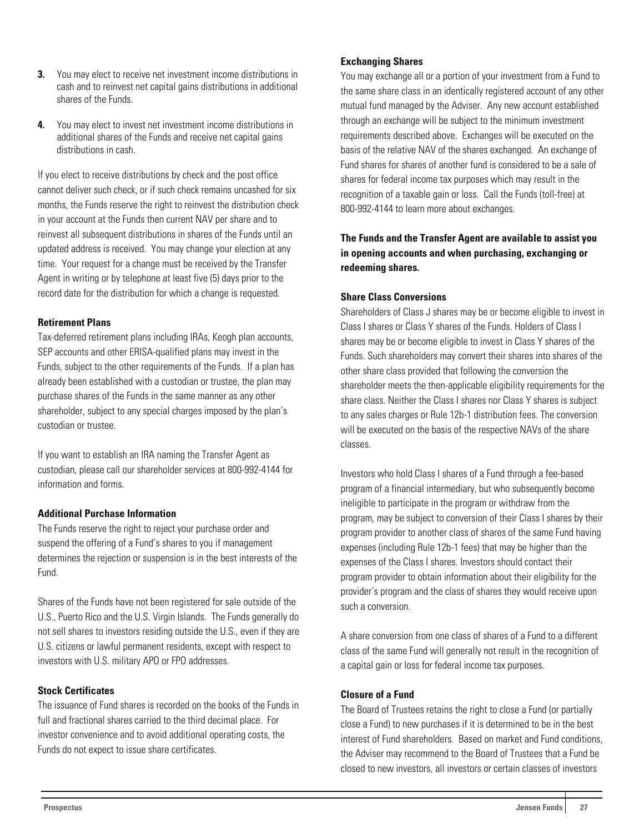- **3.** You may elect to receive net investment income distributions in cash and to reinvest net capital gains distributions in additional shares of the Funds.
- **4.** You may elect to invest net investment income distributions in additional shares of the Funds and receive net capital gains distributions in cash.

If you elect to receive distributions by check and the post office cannot deliver such check, or if such check remains uncashed for six months, the Funds reserve the right to reinvest the distribution check in your account at the Funds then current NAV per share and to reinvest all subsequent distributions in shares of the Funds until an updated address is received. You may change your election at any time. Your request for a change must be received by the Transfer Agent in writing or by telephone at least five (5) days prior to the record date for the distribution for which a change is requested.

#### **Retirement Plans**

Tax-deferred retirement plans including IRAs, Keogh plan accounts, SEP accounts and other ERISA-qualified plans may invest in the Funds, subject to the other requirements of the Funds. If a plan has already been established with a custodian or trustee, the plan may purchase shares of the Funds in the same manner as any other shareholder, subject to any special charges imposed by the plan's custodian or trustee.

If you want to establish an IRA naming the Transfer Agent as custodian, please call our shareholder services at 800-992-4144 for information and forms.

#### **Additional Purchase Information**

The Funds reserve the right to reject your purchase order and suspend the offering of a Fund's shares to you if management determines the rejection or suspension is in the best interests of the Fund.

Shares of the Funds have not been registered for sale outside of the U.S., Puerto Rico and the U.S. Virgin Islands. The Funds generally do not sell shares to investors residing outside the U.S., even if they are U.S. citizens or lawful permanent residents, except with respect to investors with U.S. military APO or FPO addresses.

#### **Stock Certificates**

The issuance of Fund shares is recorded on the books of the Funds in full and fractional shares carried to the third decimal place. For investor convenience and to avoid additional operating costs, the Funds do not expect to issue share certificates.

#### **Exchanging Shares**

You may exchange all or a portion of your investment from a Fund to the same share class in an identically registered account of any other mutual fund managed by the Adviser. Any new account established through an exchange will be subject to the minimum investment requirements described above. Exchanges will be executed on the basis of the relative NAV of the shares exchanged. An exchange of Fund shares for shares of another fund is considered to be a sale of shares for federal income tax purposes which may result in the recognition of a taxable gain or loss. Call the Funds (toll-free) at 800-992-4144 to learn more about exchanges.

## **The Funds and the Transfer Agent are available to assist you in opening accounts and when purchasing, exchanging or redeeming shares.**

#### **Share Class Conversions**

Shareholders of Class J shares may be or become eligible to invest in Class I shares or Class Y shares of the Funds. Holders of Class I shares may be or become eligible to invest in Class Y shares of the Funds. Such shareholders may convert their shares into shares of the other share class provided that following the conversion the shareholder meets the then-applicable eligibility requirements for the share class. Neither the Class I shares nor Class Y shares is subject to any sales charges or Rule 12b-1 distribution fees. The conversion will be executed on the basis of the respective NAVs of the share classes.

Investors who hold Class I shares of a Fund through a fee-based program of a financial intermediary, but who subsequently become ineligible to participate in the program or withdraw from the program, may be subject to conversion of their Class I shares by their program provider to another class of shares of the same Fund having expenses (including Rule 12b-1 fees) that may be higher than the expenses of the Class I shares. Investors should contact their program provider to obtain information about their eligibility for the provider's program and the class of shares they would receive upon such a conversion.

A share conversion from one class of shares of a Fund to a different class of the same Fund will generally not result in the recognition of a capital gain or loss for federal income tax purposes.

#### **Closure of a Fund**

The Board of Trustees retains the right to close a Fund (or partially close a Fund) to new purchases if it is determined to be in the best interest of Fund shareholders. Based on market and Fund conditions, the Adviser may recommend to the Board of Trustees that a Fund be closed to new investors, all investors or certain classes of investors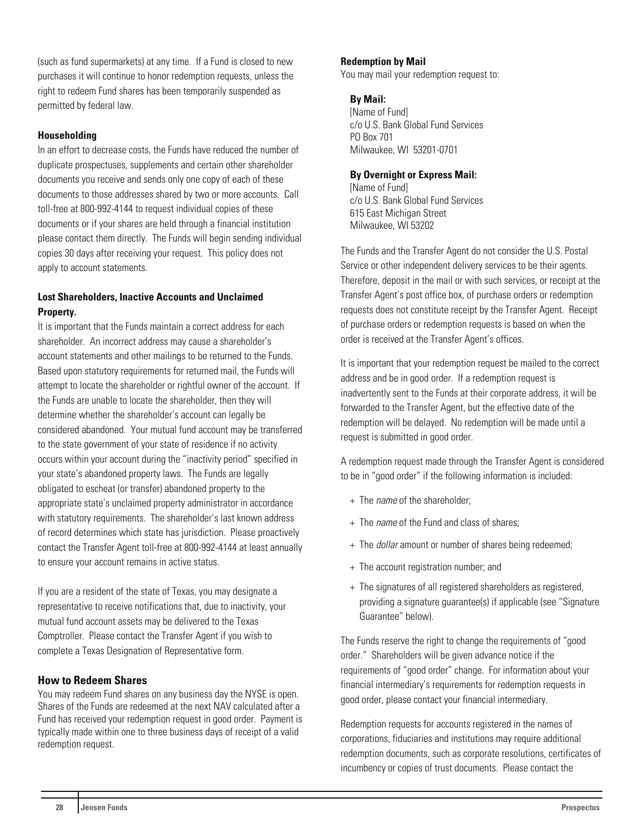<span id="page-28-0"></span>(such as fund supermarkets) at any time. If a Fund is closed to new purchases it will continue to honor redemption requests, unless the right to redeem Fund shares has been temporarily suspended as permitted by federal law.

## **Householding**

In an effort to decrease costs, the Funds have reduced the number of duplicate prospectuses, supplements and certain other shareholder documents you receive and sends only one copy of each of these documents to those addresses shared by two or more accounts. Call toll-free at 800-992-4144 to request individual copies of these documents or if your shares are held through a financial institution please contact them directly. The Funds will begin sending individual copies 30 days after receiving your request. This policy does not apply to account statements.

## **Lost Shareholders, Inactive Accounts and Unclaimed Property.**

It is important that the Funds maintain a correct address for each shareholder. An incorrect address may cause a shareholder's account statements and other mailings to be returned to the Funds. Based upon statutory requirements for returned mail, the Funds will attempt to locate the shareholder or rightful owner of the account. If the Funds are unable to locate the shareholder, then they will determine whether the shareholder's account can legally be considered abandoned. Your mutual fund account may be transferred to the state government of your state of residence if no activity occurs within your account during the "inactivity period" specified in your state's abandoned property laws. The Funds are legally obligated to escheat (or transfer) abandoned property to the appropriate state's unclaimed property administrator in accordance with statutory requirements. The shareholder's last known address of record determines which state has jurisdiction. Please proactively contact the Transfer Agent toll-free at 800-992-4144 at least annually to ensure your account remains in active status.

If you are a resident of the state of Texas, you may designate a representative to receive notifications that, due to inactivity, your mutual fund account assets may be delivered to the Texas Comptroller. Please contact the Transfer Agent if you wish to complete a Texas Designation of Representative form.

## **How to Redeem Shares**

You may redeem Fund shares on any business day the NYSE is open. Shares of the Funds are redeemed at the next NAV calculated after a Fund has received your redemption request in good order. Payment is typically made within one to three business days of receipt of a valid redemption request.

## **Redemption by Mail**

You may mail your redemption request to:

#### **By Mail:**

[Name of Fund] c/o U.S. Bank Global Fund Services PO Box 701 Milwaukee, WI 53201-0701

#### **By Overnight or Express Mail:**

[Name of Fund] c/o U.S. Bank Global Fund Services 615 East Michigan Street Milwaukee, WI 53202

The Funds and the Transfer Agent do not consider the U.S. Postal Service or other independent delivery services to be their agents. Therefore, deposit in the mail or with such services, or receipt at the Transfer Agent's post office box, of purchase orders or redemption requests does not constitute receipt by the Transfer Agent. Receipt of purchase orders or redemption requests is based on when the order is received at the Transfer Agent's offices.

It is important that your redemption request be mailed to the correct address and be in good order. If a redemption request is inadvertently sent to the Funds at their corporate address, it will be forwarded to the Transfer Agent, but the effective date of the redemption will be delayed. No redemption will be made until a request is submitted in good order.

A redemption request made through the Transfer Agent is considered to be in "good order" if the following information is included:

- + The name of the shareholder;
- + The *name* of the Fund and class of shares:
- + The dollar amount or number of shares being redeemed;
- + The account registration number; and
- + The signatures of all registered shareholders as registered, providing a signature guarantee(s) if applicable (see "Signature Guarantee" below).

The Funds reserve the right to change the requirements of "good order." Shareholders will be given advance notice if the requirements of "good order" change. For information about your financial intermediary's requirements for redemption requests in good order, please contact your financial intermediary.

Redemption requests for accounts registered in the names of corporations, fiduciaries and institutions may require additional redemption documents, such as corporate resolutions, certificates of incumbency or copies of trust documents. Please contact the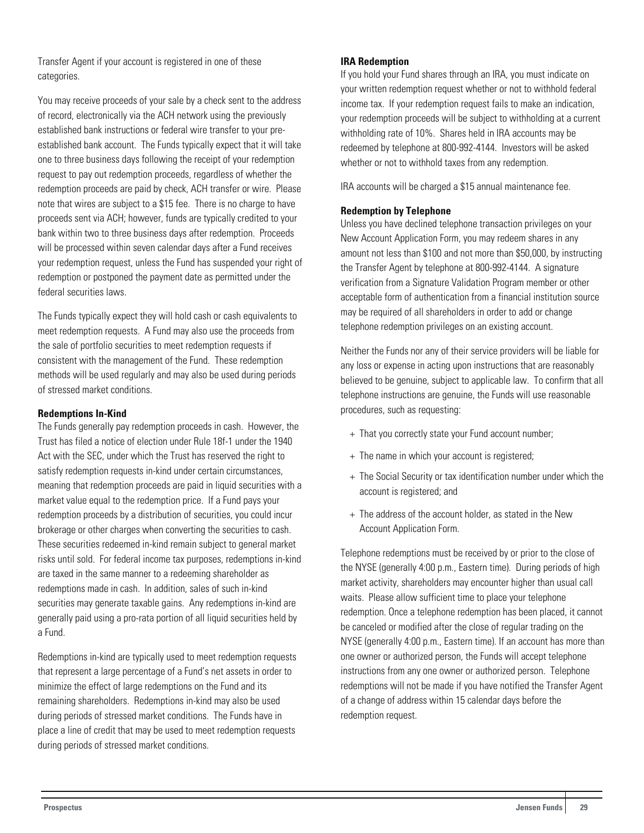Transfer Agent if your account is registered in one of these categories.

You may receive proceeds of your sale by a check sent to the address of record, electronically via the ACH network using the previously established bank instructions or federal wire transfer to your preestablished bank account. The Funds typically expect that it will take one to three business days following the receipt of your redemption request to pay out redemption proceeds, regardless of whether the redemption proceeds are paid by check, ACH transfer or wire. Please note that wires are subject to a \$15 fee. There is no charge to have proceeds sent via ACH; however, funds are typically credited to your bank within two to three business days after redemption. Proceeds will be processed within seven calendar days after a Fund receives your redemption request, unless the Fund has suspended your right of redemption or postponed the payment date as permitted under the federal securities laws.

The Funds typically expect they will hold cash or cash equivalents to meet redemption requests. A Fund may also use the proceeds from the sale of portfolio securities to meet redemption requests if consistent with the management of the Fund. These redemption methods will be used regularly and may also be used during periods of stressed market conditions.

#### **Redemptions In-Kind**

The Funds generally pay redemption proceeds in cash. However, the Trust has filed a notice of election under Rule 18f-1 under the 1940 Act with the SEC, under which the Trust has reserved the right to satisfy redemption requests in-kind under certain circumstances, meaning that redemption proceeds are paid in liquid securities with a market value equal to the redemption price. If a Fund pays your redemption proceeds by a distribution of securities, you could incur brokerage or other charges when converting the securities to cash. These securities redeemed in-kind remain subject to general market risks until sold. For federal income tax purposes, redemptions in-kind are taxed in the same manner to a redeeming shareholder as redemptions made in cash. In addition, sales of such in-kind securities may generate taxable gains. Any redemptions in-kind are generally paid using a pro-rata portion of all liquid securities held by a Fund.

Redemptions in-kind are typically used to meet redemption requests that represent a large percentage of a Fund's net assets in order to minimize the effect of large redemptions on the Fund and its remaining shareholders. Redemptions in-kind may also be used during periods of stressed market conditions. The Funds have in place a line of credit that may be used to meet redemption requests during periods of stressed market conditions.

#### **IRA Redemption**

If you hold your Fund shares through an IRA, you must indicate on your written redemption request whether or not to withhold federal income tax. If your redemption request fails to make an indication, your redemption proceeds will be subject to withholding at a current withholding rate of 10%. Shares held in IRA accounts may be redeemed by telephone at 800-992-4144. Investors will be asked whether or not to withhold taxes from any redemption.

IRA accounts will be charged a \$15 annual maintenance fee.

#### **Redemption by Telephone**

Unless you have declined telephone transaction privileges on your New Account Application Form, you may redeem shares in any amount not less than \$100 and not more than \$50,000, by instructing the Transfer Agent by telephone at 800-992-4144. A signature verification from a Signature Validation Program member or other acceptable form of authentication from a financial institution source may be required of all shareholders in order to add or change telephone redemption privileges on an existing account.

Neither the Funds nor any of their service providers will be liable for any loss or expense in acting upon instructions that are reasonably believed to be genuine, subject to applicable law. To confirm that all telephone instructions are genuine, the Funds will use reasonable procedures, such as requesting:

- + That you correctly state your Fund account number;
- + The name in which your account is registered;
- + The Social Security or tax identification number under which the account is registered; and
- + The address of the account holder, as stated in the New Account Application Form.

Telephone redemptions must be received by or prior to the close of the NYSE (generally 4:00 p.m., Eastern time). During periods of high market activity, shareholders may encounter higher than usual call waits. Please allow sufficient time to place your telephone redemption. Once a telephone redemption has been placed, it cannot be canceled or modified after the close of regular trading on the NYSE (generally 4:00 p.m., Eastern time). If an account has more than one owner or authorized person, the Funds will accept telephone instructions from any one owner or authorized person. Telephone redemptions will not be made if you have notified the Transfer Agent of a change of address within 15 calendar days before the redemption request.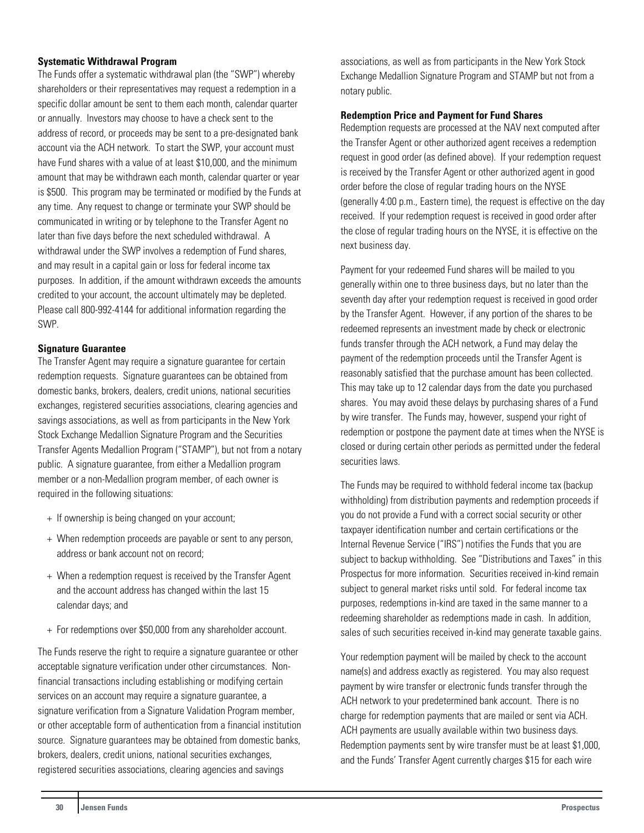#### **Systematic Withdrawal Program**

The Funds offer a systematic withdrawal plan (the "SWP") whereby shareholders or their representatives may request a redemption in a specific dollar amount be sent to them each month, calendar quarter or annually. Investors may choose to have a check sent to the address of record, or proceeds may be sent to a pre-designated bank account via the ACH network. To start the SWP, your account must have Fund shares with a value of at least \$10,000, and the minimum amount that may be withdrawn each month, calendar quarter or year is \$500. This program may be terminated or modified by the Funds at any time. Any request to change or terminate your SWP should be communicated in writing or by telephone to the Transfer Agent no later than five days before the next scheduled withdrawal. A withdrawal under the SWP involves a redemption of Fund shares, and may result in a capital gain or loss for federal income tax purposes. In addition, if the amount withdrawn exceeds the amounts credited to your account, the account ultimately may be depleted. Please call 800-992-4144 for additional information regarding the SWP.

#### **Signature Guarantee**

The Transfer Agent may require a signature guarantee for certain redemption requests. Signature guarantees can be obtained from domestic banks, brokers, dealers, credit unions, national securities exchanges, registered securities associations, clearing agencies and savings associations, as well as from participants in the New York Stock Exchange Medallion Signature Program and the Securities Transfer Agents Medallion Program ("STAMP"), but not from a notary public. A signature guarantee, from either a Medallion program member or a non-Medallion program member, of each owner is required in the following situations:

- + If ownership is being changed on your account;
- + When redemption proceeds are payable or sent to any person, address or bank account not on record;
- + When a redemption request is received by the Transfer Agent and the account address has changed within the last 15 calendar days; and
- + For redemptions over \$50,000 from any shareholder account.

The Funds reserve the right to require a signature guarantee or other acceptable signature verification under other circumstances. Nonfinancial transactions including establishing or modifying certain services on an account may require a signature guarantee, a signature verification from a Signature Validation Program member, or other acceptable form of authentication from a financial institution source. Signature guarantees may be obtained from domestic banks, brokers, dealers, credit unions, national securities exchanges, registered securities associations, clearing agencies and savings

associations, as well as from participants in the New York Stock Exchange Medallion Signature Program and STAMP but not from a notary public.

#### **Redemption Price and Payment for Fund Shares**

Redemption requests are processed at the NAV next computed after the Transfer Agent or other authorized agent receives a redemption request in good order (as defined above). If your redemption request is received by the Transfer Agent or other authorized agent in good order before the close of regular trading hours on the NYSE (generally 4:00 p.m., Eastern time), the request is effective on the day received. If your redemption request is received in good order after the close of regular trading hours on the NYSE, it is effective on the next business day.

Payment for your redeemed Fund shares will be mailed to you generally within one to three business days, but no later than the seventh day after your redemption request is received in good order by the Transfer Agent. However, if any portion of the shares to be redeemed represents an investment made by check or electronic funds transfer through the ACH network, a Fund may delay the payment of the redemption proceeds until the Transfer Agent is reasonably satisfied that the purchase amount has been collected. This may take up to 12 calendar days from the date you purchased shares. You may avoid these delays by purchasing shares of a Fund by wire transfer. The Funds may, however, suspend your right of redemption or postpone the payment date at times when the NYSE is closed or during certain other periods as permitted under the federal securities laws.

The Funds may be required to withhold federal income tax (backup withholding) from distribution payments and redemption proceeds if you do not provide a Fund with a correct social security or other taxpayer identification number and certain certifications or the Internal Revenue Service ("IRS") notifies the Funds that you are subject to backup withholding. See "Distributions and Taxes" in this Prospectus for more information. Securities received in-kind remain subject to general market risks until sold. For federal income tax purposes, redemptions in-kind are taxed in the same manner to a redeeming shareholder as redemptions made in cash. In addition, sales of such securities received in-kind may generate taxable gains.

Your redemption payment will be mailed by check to the account name(s) and address exactly as registered. You may also request payment by wire transfer or electronic funds transfer through the ACH network to your predetermined bank account. There is no charge for redemption payments that are mailed or sent via ACH. ACH payments are usually available within two business days. Redemption payments sent by wire transfer must be at least \$1,000, and the Funds' Transfer Agent currently charges \$15 for each wire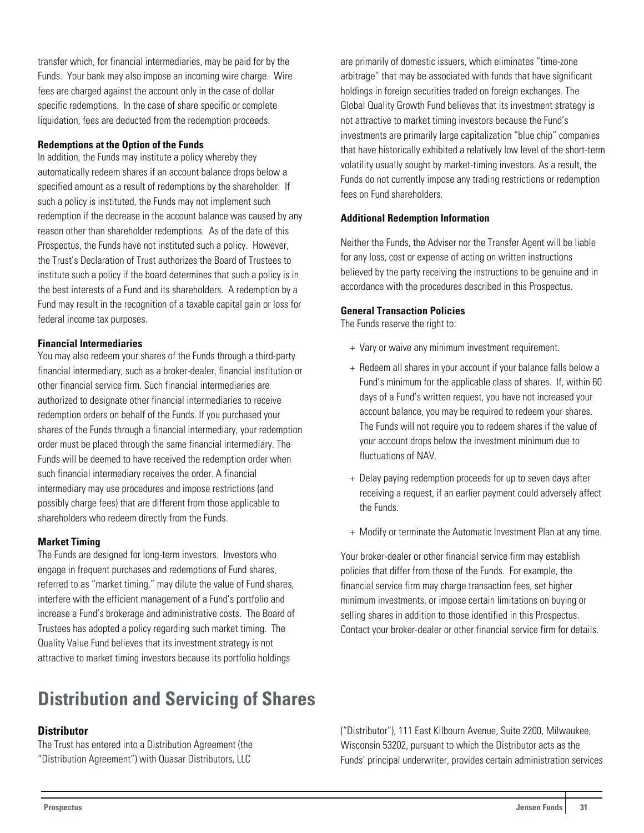In addition, the Funds may institute a policy whereby they automatically redeem shares if an account balance drops below a specified amount as a result of redemptions by the shareholder. If

**Redemptions at the Option of the Funds**

such a policy is instituted, the Funds may not implement such redemption if the decrease in the account balance was caused by any reason other than shareholder redemptions. As of the date of this Prospectus, the Funds have not instituted such a policy. However, the Trust's Declaration of Trust authorizes the Board of Trustees to institute such a policy if the board determines that such a policy is in the best interests of a Fund and its shareholders. A redemption by a Fund may result in the recognition of a taxable capital gain or loss for federal income tax purposes.

<span id="page-31-0"></span>transfer which, for financial intermediaries, may be paid for by the Funds. Your bank may also impose an incoming wire charge. Wire fees are charged against the account only in the case of dollar specific redemptions. In the case of share specific or complete liquidation, fees are deducted from the redemption proceeds.

#### **Financial Intermediaries**

You may also redeem your shares of the Funds through a third-party financial intermediary, such as a broker-dealer, financial institution or other financial service firm. Such financial intermediaries are authorized to designate other financial intermediaries to receive redemption orders on behalf of the Funds. If you purchased your shares of the Funds through a financial intermediary, your redemption order must be placed through the same financial intermediary. The Funds will be deemed to have received the redemption order when such financial intermediary receives the order. A financial intermediary may use procedures and impose restrictions (and possibly charge fees) that are different from those applicable to shareholders who redeem directly from the Funds.

#### **Market Timing**

The Funds are designed for long-term investors. Investors who engage in frequent purchases and redemptions of Fund shares, referred to as "market timing," may dilute the value of Fund shares, interfere with the efficient management of a Fund's portfolio and increase a Fund's brokerage and administrative costs. The Board of Trustees has adopted a policy regarding such market timing. The Quality Value Fund believes that its investment strategy is not attractive to market timing investors because its portfolio holdings

## **Distribution and Servicing of Shares**

## **Distributor**

The Trust has entered into a Distribution Agreement (the "Distribution Agreement") with Quasar Distributors, LLC

are primarily of domestic issuers, which eliminates "time-zone arbitrage" that may be associated with funds that have significant holdings in foreign securities traded on foreign exchanges. The Global Quality Growth Fund believes that its investment strategy is not attractive to market timing investors because the Fund's investments are primarily large capitalization "blue chip" companies that have historically exhibited a relatively low level of the short-term volatility usually sought by market-timing investors. As a result, the Funds do not currently impose any trading restrictions or redemption fees on Fund shareholders.

#### **Additional Redemption Information**

Neither the Funds, the Adviser nor the Transfer Agent will be liable for any loss, cost or expense of acting on written instructions believed by the party receiving the instructions to be genuine and in accordance with the procedures described in this Prospectus.

#### **General Transaction Policies**

The Funds reserve the right to:

- + Vary or waive any minimum investment requirement.
- + Redeem all shares in your account if your balance falls below a Fund's minimum for the applicable class of shares. If, within 60 days of a Fund's written request, you have not increased your account balance, you may be required to redeem your shares. The Funds will not require you to redeem shares if the value of your account drops below the investment minimum due to fluctuations of NAV.
- + Delay paying redemption proceeds for up to seven days after receiving a request, if an earlier payment could adversely affect the Funds.
- + Modify or terminate the Automatic Investment Plan at any time.

Your broker-dealer or other financial service firm may establish policies that differ from those of the Funds. For example, the financial service firm may charge transaction fees, set higher minimum investments, or impose certain limitations on buying or selling shares in addition to those identified in this Prospectus. Contact your broker-dealer or other financial service firm for details.

("Distributor"), 111 East Kilbourn Avenue, Suite 2200, Milwaukee, Wisconsin 53202, pursuant to which the Distributor acts as the Funds' principal underwriter, provides certain administration services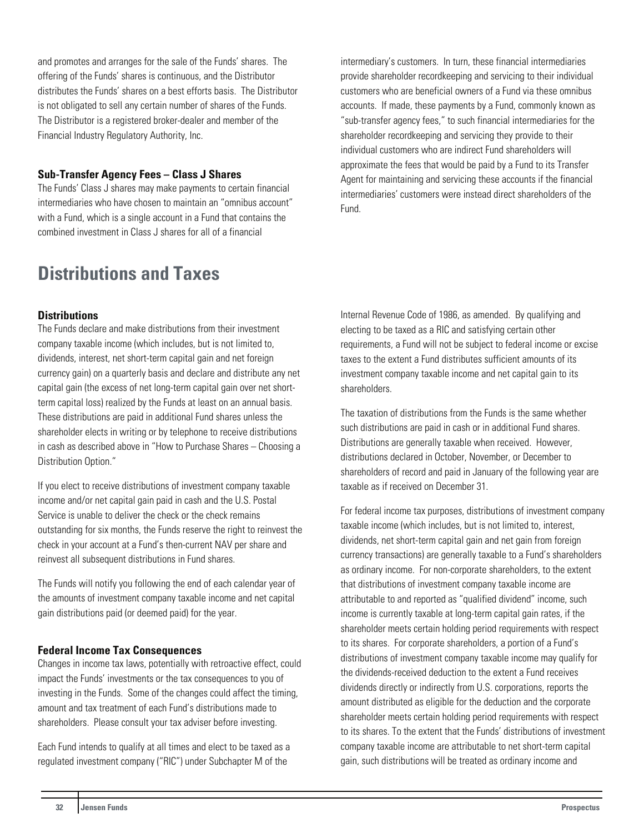<span id="page-32-0"></span>and promotes and arranges for the sale of the Funds' shares. The offering of the Funds' shares is continuous, and the Distributor distributes the Funds' shares on a best efforts basis. The Distributor is not obligated to sell any certain number of shares of the Funds. The Distributor is a registered broker-dealer and member of the Financial Industry Regulatory Authority, Inc.

## **Sub-Transfer Agency Fees – Class J Shares**

The Funds' Class J shares may make payments to certain financial intermediaries who have chosen to maintain an "omnibus account" with a Fund, which is a single account in a Fund that contains the combined investment in Class J shares for all of a financial

## **Distributions and Taxes**

## **Distributions**

The Funds declare and make distributions from their investment company taxable income (which includes, but is not limited to, dividends, interest, net short-term capital gain and net foreign currency gain) on a quarterly basis and declare and distribute any net capital gain (the excess of net long-term capital gain over net shortterm capital loss) realized by the Funds at least on an annual basis. These distributions are paid in additional Fund shares unless the shareholder elects in writing or by telephone to receive distributions in cash as described above in "How to Purchase Shares – Choosing a Distribution Option."

If you elect to receive distributions of investment company taxable income and/or net capital gain paid in cash and the U.S. Postal Service is unable to deliver the check or the check remains outstanding for six months, the Funds reserve the right to reinvest the check in your account at a Fund's then-current NAV per share and reinvest all subsequent distributions in Fund shares.

The Funds will notify you following the end of each calendar year of the amounts of investment company taxable income and net capital gain distributions paid (or deemed paid) for the year.

#### **Federal Income Tax Consequences**

Changes in income tax laws, potentially with retroactive effect, could impact the Funds' investments or the tax consequences to you of investing in the Funds. Some of the changes could affect the timing, amount and tax treatment of each Fund's distributions made to shareholders. Please consult your tax adviser before investing.

Each Fund intends to qualify at all times and elect to be taxed as a regulated investment company ("RIC") under Subchapter M of the

intermediary's customers. In turn, these financial intermediaries provide shareholder recordkeeping and servicing to their individual customers who are beneficial owners of a Fund via these omnibus accounts. If made, these payments by a Fund, commonly known as "sub-transfer agency fees," to such financial intermediaries for the shareholder recordkeeping and servicing they provide to their individual customers who are indirect Fund shareholders will approximate the fees that would be paid by a Fund to its Transfer Agent for maintaining and servicing these accounts if the financial intermediaries' customers were instead direct shareholders of the Fund.

Internal Revenue Code of 1986, as amended. By qualifying and electing to be taxed as a RIC and satisfying certain other requirements, a Fund will not be subject to federal income or excise taxes to the extent a Fund distributes sufficient amounts of its investment company taxable income and net capital gain to its shareholders.

The taxation of distributions from the Funds is the same whether such distributions are paid in cash or in additional Fund shares. Distributions are generally taxable when received. However, distributions declared in October, November, or December to shareholders of record and paid in January of the following year are taxable as if received on December 31.

For federal income tax purposes, distributions of investment company taxable income (which includes, but is not limited to, interest, dividends, net short-term capital gain and net gain from foreign currency transactions) are generally taxable to a Fund's shareholders as ordinary income. For non-corporate shareholders, to the extent that distributions of investment company taxable income are attributable to and reported as "qualified dividend" income, such income is currently taxable at long-term capital gain rates, if the shareholder meets certain holding period requirements with respect to its shares. For corporate shareholders, a portion of a Fund's distributions of investment company taxable income may qualify for the dividends-received deduction to the extent a Fund receives dividends directly or indirectly from U.S. corporations, reports the amount distributed as eligible for the deduction and the corporate shareholder meets certain holding period requirements with respect to its shares. To the extent that the Funds' distributions of investment company taxable income are attributable to net short-term capital gain, such distributions will be treated as ordinary income and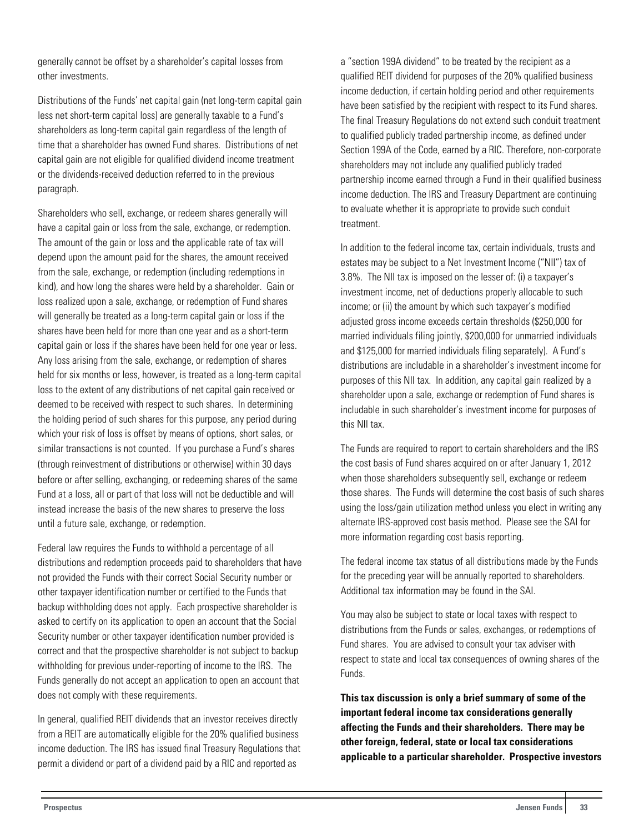generally cannot be offset by a shareholder's capital losses from other investments.

Distributions of the Funds' net capital gain (net long-term capital gain less net short-term capital loss) are generally taxable to a Fund's shareholders as long-term capital gain regardless of the length of time that a shareholder has owned Fund shares. Distributions of net capital gain are not eligible for qualified dividend income treatment or the dividends-received deduction referred to in the previous paragraph.

Shareholders who sell, exchange, or redeem shares generally will have a capital gain or loss from the sale, exchange, or redemption. The amount of the gain or loss and the applicable rate of tax will depend upon the amount paid for the shares, the amount received from the sale, exchange, or redemption (including redemptions in kind), and how long the shares were held by a shareholder. Gain or loss realized upon a sale, exchange, or redemption of Fund shares will generally be treated as a long-term capital gain or loss if the shares have been held for more than one year and as a short-term capital gain or loss if the shares have been held for one year or less. Any loss arising from the sale, exchange, or redemption of shares held for six months or less, however, is treated as a long-term capital loss to the extent of any distributions of net capital gain received or deemed to be received with respect to such shares. In determining the holding period of such shares for this purpose, any period during which your risk of loss is offset by means of options, short sales, or similar transactions is not counted. If you purchase a Fund's shares (through reinvestment of distributions or otherwise) within 30 days before or after selling, exchanging, or redeeming shares of the same Fund at a loss, all or part of that loss will not be deductible and will instead increase the basis of the new shares to preserve the loss until a future sale, exchange, or redemption.

Federal law requires the Funds to withhold a percentage of all distributions and redemption proceeds paid to shareholders that have not provided the Funds with their correct Social Security number or other taxpayer identification number or certified to the Funds that backup withholding does not apply. Each prospective shareholder is asked to certify on its application to open an account that the Social Security number or other taxpayer identification number provided is correct and that the prospective shareholder is not subject to backup withholding for previous under-reporting of income to the IRS. The Funds generally do not accept an application to open an account that does not comply with these requirements.

In general, qualified REIT dividends that an investor receives directly from a REIT are automatically eligible for the 20% qualified business income deduction. The IRS has issued final Treasury Regulations that permit a dividend or part of a dividend paid by a RIC and reported as

a "section 199A dividend" to be treated by the recipient as a qualified REIT dividend for purposes of the 20% qualified business income deduction, if certain holding period and other requirements have been satisfied by the recipient with respect to its Fund shares. The final Treasury Regulations do not extend such conduit treatment to qualified publicly traded partnership income, as defined under Section 199A of the Code, earned by a RIC. Therefore, non-corporate shareholders may not include any qualified publicly traded partnership income earned through a Fund in their qualified business income deduction. The IRS and Treasury Department are continuing to evaluate whether it is appropriate to provide such conduit treatment.

In addition to the federal income tax, certain individuals, trusts and estates may be subject to a Net Investment Income ("NII") tax of 3.8%. The NII tax is imposed on the lesser of: (i) a taxpayer's investment income, net of deductions properly allocable to such income; or (ii) the amount by which such taxpayer's modified adjusted gross income exceeds certain thresholds (\$250,000 for married individuals filing jointly, \$200,000 for unmarried individuals and \$125,000 for married individuals filing separately). A Fund's distributions are includable in a shareholder's investment income for purposes of this NII tax. In addition, any capital gain realized by a shareholder upon a sale, exchange or redemption of Fund shares is includable in such shareholder's investment income for purposes of this NII tax.

The Funds are required to report to certain shareholders and the IRS the cost basis of Fund shares acquired on or after January 1, 2012 when those shareholders subsequently sell, exchange or redeem those shares. The Funds will determine the cost basis of such shares using the loss/gain utilization method unless you elect in writing any alternate IRS-approved cost basis method. Please see the SAI for more information regarding cost basis reporting.

The federal income tax status of all distributions made by the Funds for the preceding year will be annually reported to shareholders. Additional tax information may be found in the SAI.

You may also be subject to state or local taxes with respect to distributions from the Funds or sales, exchanges, or redemptions of Fund shares. You are advised to consult your tax adviser with respect to state and local tax consequences of owning shares of the Funds.

**This tax discussion is only a brief summary of some of the important federal income tax considerations generally affecting the Funds and their shareholders. There may be other foreign, federal, state or local tax considerations applicable to a particular shareholder. Prospective investors**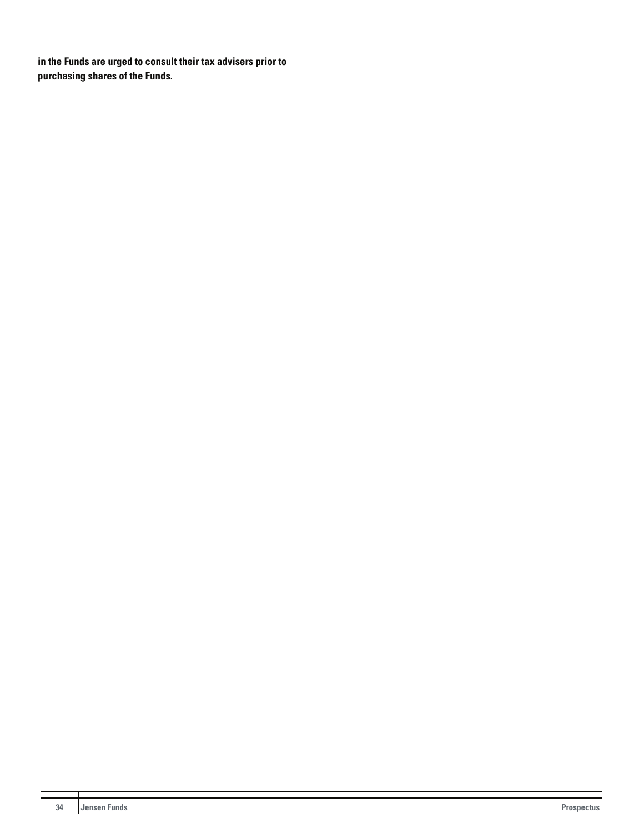**in the Funds are urged to consult their tax advisers prior to purchasing shares of the Funds.**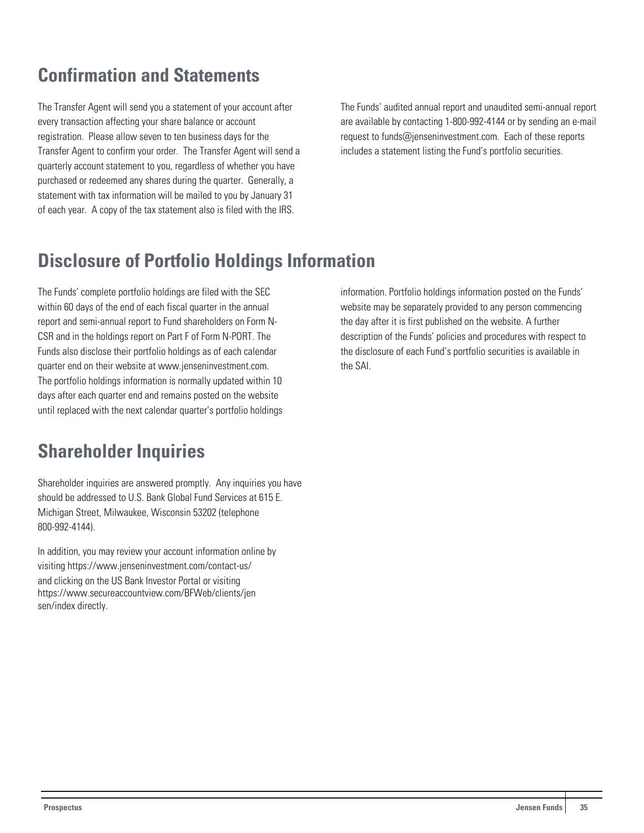## <span id="page-35-0"></span>**Confirmation and Statements**

The Transfer Agent will send you a statement of your account after every transaction affecting your share balance or account registration. Please allow seven to ten business days for the Transfer Agent to confirm your order. The Transfer Agent will send a quarterly account statement to you, regardless of whether you have purchased or redeemed any shares during the quarter. Generally, a statement with tax information will be mailed to you by January 31 of each year. A copy of the tax statement also is filed with the IRS.

The Funds' audited annual report and unaudited semi-annual report are available by contacting 1-800-992-4144 or by sending an e-mail request to funds@jenseninvestment.com. Each of these reports includes a statement listing the Fund's portfolio securities.

## **Disclosure of Portfolio Holdings Information**

The Funds' complete portfolio holdings are filed with the SEC within 60 days of the end of each fiscal quarter in the annual report and semi-annual report to Fund shareholders on Form N-CSR and in the holdings report on Part F of Form N-PORT. The Funds also disclose their portfolio holdings as of each calendar quarter end on their website at www.jenseninvestment.com. The portfolio holdings information is normally updated within 10 days after each quarter end and remains posted on the website until replaced with the next calendar quarter's portfolio holdings

## **Shareholder Inquiries**

Shareholder inquiries are answered promptly. Any inquiries you have should be addressed to U.S. Bank Global Fund Services at 615 E. Michigan Street, Milwaukee, Wisconsin 53202 (telephone 800-992-4144).

In addition, you may review your account information online by visiting https://www.jenseninvestment.com/contact-us/ and clicking on the US Bank Investor Portal or visiting https://www.secureaccountview.com/BFWeb/clients/jen sen/index directly.

information. Portfolio holdings information posted on the Funds' website may be separately provided to any person commencing the day after it is first published on the website. A further description of the Funds' policies and procedures with respect to the disclosure of each Fund's portfolio securities is available in the SAI.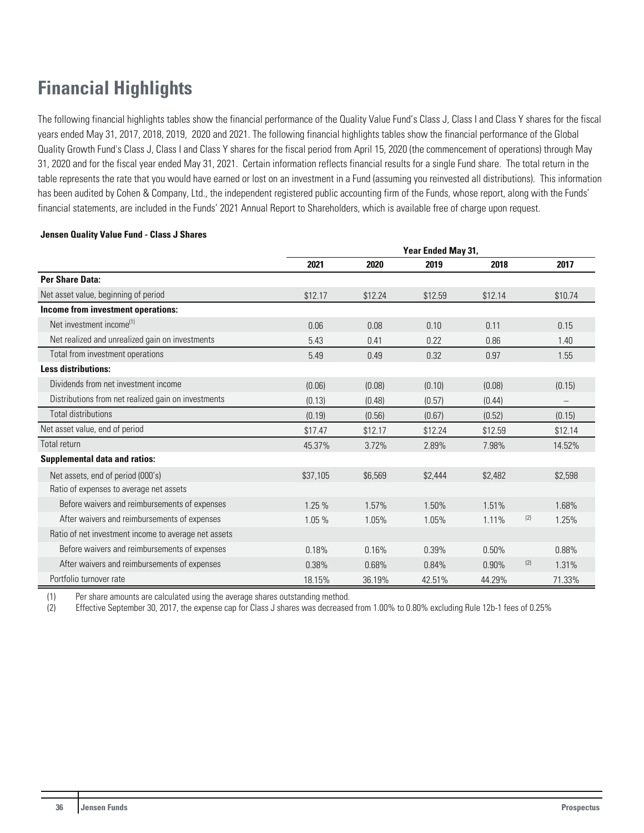## <span id="page-36-0"></span>**Financial Highlights**

The following financial highlights tables show the financial performance of the Quality Value Fund's Class J, Class I and Class Y shares for the fiscal years ended May 31, 2017, 2018, 2019, 2020 and 2021. The following financial highlights tables show the financial performance of the Global Quality Growth Fund's Class J, Class I and Class Y shares for the fiscal period from April 15, 2020 (the commencement of operations) through May 31, 2020 and for the fiscal year ended May 31, 2021. Certain information reflects financial results for a single Fund share. The total return in the table represents the rate that you would have earned or lost on an investment in a Fund (assuming you reinvested all distributions). This information has been audited by Cohen & Company, Ltd., the independent registered public accounting firm of the Funds, whose report, along with the Funds' financial statements, are included in the Funds' 2021 Annual Report to Shareholders, which is available free of charge upon request.

#### **Jensen Quality Value Fund - Class J Shares**

|                                                      | Year Ended May 31, |         |         |         |     |         |
|------------------------------------------------------|--------------------|---------|---------|---------|-----|---------|
|                                                      | 2021               | 2020    | 2019    | 2018    |     | 2017    |
| Per Share Data:                                      |                    |         |         |         |     |         |
| Net asset value, beginning of period                 | \$12.17            | \$12.24 | \$12.59 | \$12.14 |     | \$10.74 |
| Income from investment operations:                   |                    |         |         |         |     |         |
| Net investment income <sup>(1)</sup>                 | 0.06               | 0.08    | 0.10    | 0.11    |     | 0.15    |
| Net realized and unrealized gain on investments      | 5.43               | 0.41    | 0.22    | 0.86    |     | 1.40    |
| Total from investment operations                     | 5.49               | 0.49    | 0.32    | 0.97    |     | 1.55    |
| <b>Less distributions:</b>                           |                    |         |         |         |     |         |
| Dividends from net investment income                 | (0.06)             | (0.08)  | (0.10)  | (0.08)  |     | (0.15)  |
| Distributions from net realized gain on investments  | (0.13)             | (0.48)  | (0.57)  | (0.44)  |     |         |
| <b>Total distributions</b>                           | (0.19)             | (0.56)  | (0.67)  | (0.52)  |     | (0.15)  |
| Net asset value, end of period                       | \$17.47            | \$12.17 | \$12.24 | \$12.59 |     | \$12.14 |
| Total return                                         | 45.37%             | 3.72%   | 2.89%   | 7.98%   |     | 14.52%  |
| <b>Supplemental data and ratios:</b>                 |                    |         |         |         |     |         |
| Net assets, end of period (000's)                    | \$37,105           | \$6,569 | \$2,444 | \$2,482 |     | \$2,598 |
| Ratio of expenses to average net assets              |                    |         |         |         |     |         |
| Before waivers and reimbursements of expenses        | 1.25 %             | 1.57%   | 1.50%   | 1.51%   |     | 1.68%   |
| After waivers and reimbursements of expenses         | 1.05 %             | 1.05%   | 1.05%   | 1.11%   | (2) | 1.25%   |
| Ratio of net investment income to average net assets |                    |         |         |         |     |         |
| Before waivers and reimbursements of expenses        | 0.18%              | 0.16%   | 0.39%   | 0.50%   |     | 0.88%   |
| After waivers and reimbursements of expenses         | 0.38%              | 0.68%   | 0.84%   | 0.90%   | (2) | 1.31%   |
| Portfolio turnover rate                              | 18.15%             | 36.19%  | 42.51%  | 44.29%  |     | 71.33%  |

(1) Per share amounts are calculated using the average shares outstanding method.

(2) Effective September 30, 2017, the expense cap for Class J shares was decreased from 1.00% to 0.80% excluding Rule 12b-1 fees of 0.25%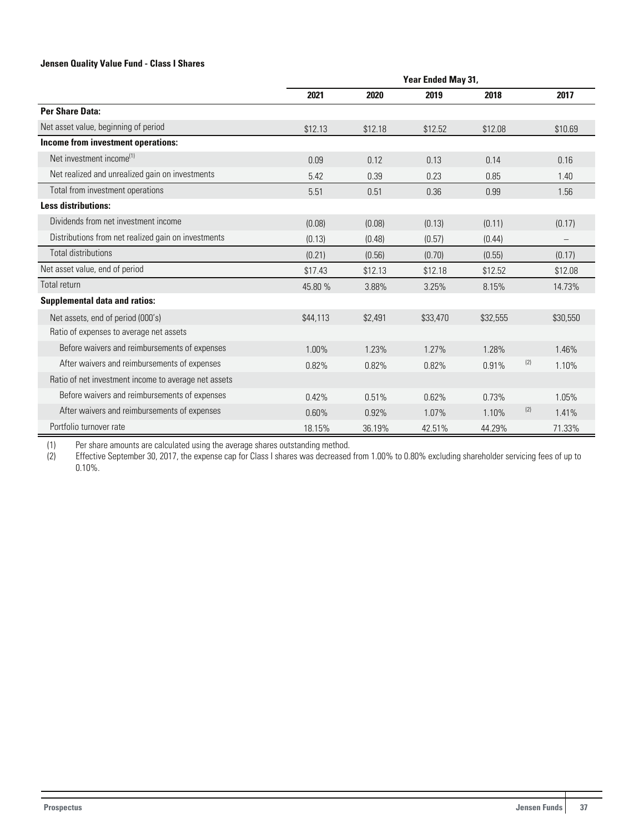#### **Jensen Quality Value Fund - Class I Shares**

|                                                      | Year Ended May 31, |         |          |          |     |                          |
|------------------------------------------------------|--------------------|---------|----------|----------|-----|--------------------------|
|                                                      | 2021               | 2020    | 2019     | 2018     |     | 2017                     |
| Per Share Data:                                      |                    |         |          |          |     |                          |
| Net asset value, beginning of period                 | \$12.13            | \$12.18 | \$12.52  | \$12.08  |     | \$10.69                  |
| Income from investment operations:                   |                    |         |          |          |     |                          |
| Net investment income <sup>(1)</sup>                 | 0.09               | 0.12    | 0.13     | 0.14     |     | 0.16                     |
| Net realized and unrealized gain on investments      | 5.42               | 0.39    | 0.23     | 0.85     |     | 1.40                     |
| Total from investment operations                     | 5.51               | 0.51    | 0.36     | 0.99     |     | 1.56                     |
| <b>Less distributions:</b>                           |                    |         |          |          |     |                          |
| Dividends from net investment income                 | (0.08)             | (0.08)  | (0.13)   | (0.11)   |     | (0.17)                   |
| Distributions from net realized gain on investments  | (0.13)             | (0.48)  | (0.57)   | (0.44)   |     | $\overline{\phantom{m}}$ |
| Total distributions                                  | (0.21)             | (0.56)  | (0.70)   | (0.55)   |     | (0.17)                   |
| Net asset value, end of period                       | \$17.43            | \$12.13 | \$12.18  | \$12.52  |     | \$12.08                  |
| Total return                                         | 45.80 %            | 3.88%   | 3.25%    | 8.15%    |     | 14.73%                   |
| <b>Supplemental data and ratios:</b>                 |                    |         |          |          |     |                          |
| Net assets, end of period (000's)                    | \$44,113           | \$2,491 | \$33,470 | \$32,555 |     | \$30,550                 |
| Ratio of expenses to average net assets              |                    |         |          |          |     |                          |
| Before waivers and reimbursements of expenses        | 1.00%              | 1.23%   | 1.27%    | 1.28%    |     | 1.46%                    |
| After waivers and reimbursements of expenses         | 0.82%              | 0.82%   | 0.82%    | 0.91%    | (2) | 1.10%                    |
| Ratio of net investment income to average net assets |                    |         |          |          |     |                          |
| Before waivers and reimbursements of expenses        | 0.42%              | 0.51%   | 0.62%    | 0.73%    |     | 1.05%                    |
| After waivers and reimbursements of expenses         | 0.60%              | 0.92%   | 1.07%    | 1.10%    | (2) | 1.41%                    |
| Portfolio turnover rate                              | 18.15%             | 36.19%  | 42.51%   | 44.29%   |     | 71.33%                   |

(1) Per share amounts are calculated using the average shares outstanding method.<br>(2) Effective September 30, 2017, the expense cap for Class I shares was decreased Effective September 30, 2017, the expense cap for Class I shares was decreased from 1.00% to 0.80% excluding shareholder servicing fees of up to 0.10%.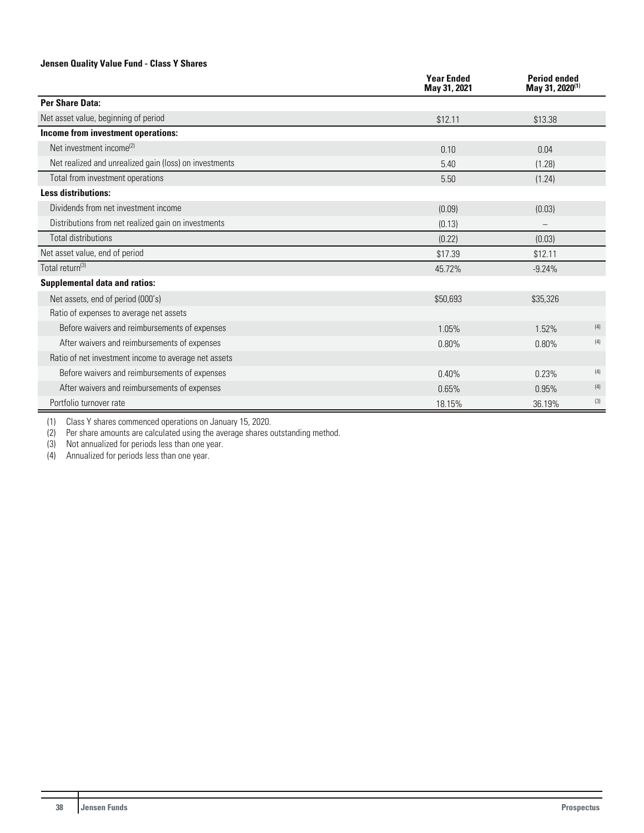#### **Jensen Quality Value Fund - Class Y Shares**

|                                                        | <b>Year Ended</b><br>May 31, 2021 | <b>Period ended</b><br>May 31, 2020 <sup>(1)</sup> |
|--------------------------------------------------------|-----------------------------------|----------------------------------------------------|
| Per Share Data:                                        |                                   |                                                    |
| Net asset value, beginning of period                   | \$12.11                           | \$13.38                                            |
| Income from investment operations:                     |                                   |                                                    |
| Net investment income <sup>(2)</sup>                   | 0.10                              | 0.04                                               |
| Net realized and unrealized gain (loss) on investments | 5.40                              | (1.28)                                             |
| Total from investment operations                       | 5.50                              | (1.24)                                             |
| <b>Less distributions:</b>                             |                                   |                                                    |
| Dividends from net investment income                   | (0.09)                            | (0.03)                                             |
| Distributions from net realized gain on investments    | (0.13)                            |                                                    |
| <b>Total distributions</b>                             | (0.22)                            | (0.03)                                             |
| Net asset value, end of period                         | \$17.39                           | \$12.11                                            |
| Total return <sup>(3)</sup>                            | 45.72%                            | $-9.24%$                                           |
| <b>Supplemental data and ratios:</b>                   |                                   |                                                    |
| Net assets, end of period (000's)                      | \$50,693                          | \$35,326                                           |
| Ratio of expenses to average net assets                |                                   |                                                    |
| Before waivers and reimbursements of expenses          | 1.05%                             | (4)<br>1.52%                                       |
| After waivers and reimbursements of expenses           | 0.80%                             | (4)<br>0.80%                                       |
| Ratio of net investment income to average net assets   |                                   |                                                    |
| Before waivers and reimbursements of expenses          | 0.40%                             | (4)<br>0.23%                                       |
| After waivers and reimbursements of expenses           | 0.65%                             | (4)<br>0.95%                                       |
| Portfolio turnover rate                                | 18.15%                            | (3)<br>36.19%                                      |

(1) Class Y shares commenced operations on January 15, 2020.

(2) Per share amounts are calculated using the average shares outstanding method.

(3) Not annualized for periods less than one year.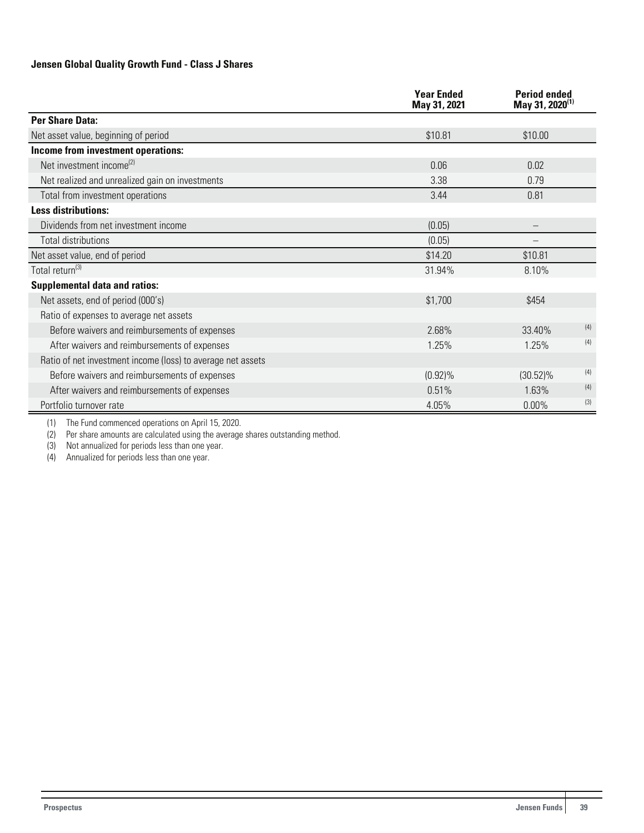## **Jensen Global Quality Growth Fund - Class J Shares**

|                                                             | <b>Year Ended</b><br>May 31, 2021 | <b>Period ended</b><br>May 31, 2020 <sup>(1)</sup> |     |
|-------------------------------------------------------------|-----------------------------------|----------------------------------------------------|-----|
| <b>Per Share Data:</b>                                      |                                   |                                                    |     |
| Net asset value, beginning of period                        | \$10.81                           | \$10.00                                            |     |
| Income from investment operations:                          |                                   |                                                    |     |
| Net investment income <sup>(2)</sup>                        | 0.06                              | 0.02                                               |     |
| Net realized and unrealized gain on investments             | 3.38                              | 0.79                                               |     |
| Total from investment operations                            | 3.44                              | 0.81                                               |     |
| <b>Less distributions:</b>                                  |                                   |                                                    |     |
| Dividends from net investment income                        | (0.05)                            |                                                    |     |
| Total distributions                                         | (0.05)                            |                                                    |     |
| Net asset value, end of period                              | \$14.20                           | \$10.81                                            |     |
| Total return <sup>(3)</sup>                                 | 31.94%                            | 8.10%                                              |     |
| <b>Supplemental data and ratios:</b>                        |                                   |                                                    |     |
| Net assets, end of period (000's)                           | \$1,700                           | \$454                                              |     |
| Ratio of expenses to average net assets                     |                                   |                                                    |     |
| Before waivers and reimbursements of expenses               | 2.68%                             | 33.40%                                             | (4) |
| After waivers and reimbursements of expenses                | 1.25%                             | 1.25%                                              | (4) |
| Ratio of net investment income (loss) to average net assets |                                   |                                                    |     |
| Before waivers and reimbursements of expenses               | $(0.92)\%$                        | $(30.52)\%$                                        | (4) |
| After waivers and reimbursements of expenses                | 0.51%                             | 1.63%                                              | (4) |
| Portfolio turnover rate                                     | 4.05%                             | 0.00%                                              | (3) |

(1) The Fund commenced operations on April 15, 2020.

(2) Per share amounts are calculated using the average shares outstanding method.

(3) Not annualized for periods less than one year.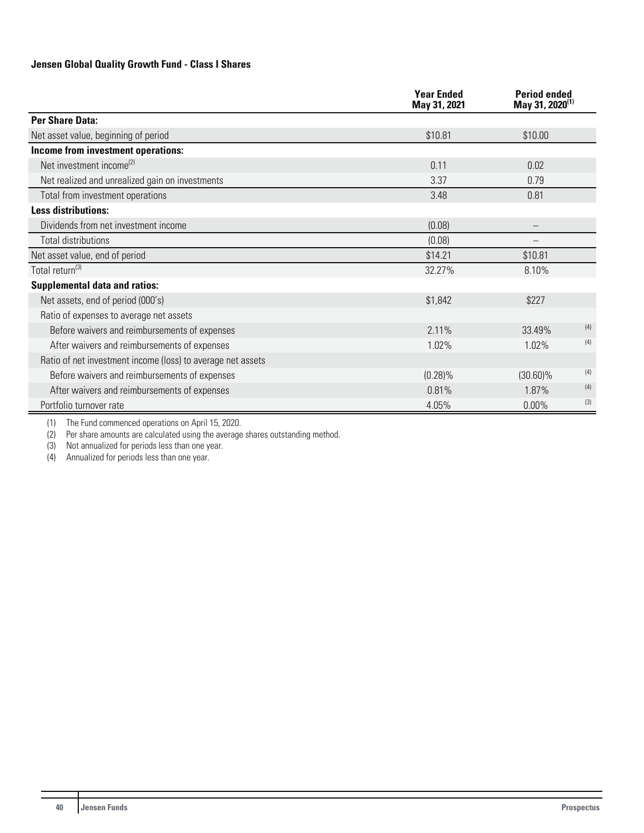## **Jensen Global Quality Growth Fund - Class I Shares**

|                                                             | <b>Year Ended</b><br>May 31, 2021 | <b>Period ended</b><br>May 31, 2020 <sup>(1)</sup> |     |
|-------------------------------------------------------------|-----------------------------------|----------------------------------------------------|-----|
| <b>Per Share Data:</b>                                      |                                   |                                                    |     |
| Net asset value, beginning of period                        | \$10.81                           | \$10.00                                            |     |
| Income from investment operations:                          |                                   |                                                    |     |
| Net investment income <sup>(2)</sup>                        | 0.11                              | 0.02                                               |     |
| Net realized and unrealized gain on investments             | 3.37                              | 0.79                                               |     |
| Total from investment operations                            | 3.48                              | 0.81                                               |     |
| <b>Less distributions:</b>                                  |                                   |                                                    |     |
| Dividends from net investment income                        | (0.08)                            |                                                    |     |
| Total distributions                                         | (0.08)                            |                                                    |     |
| Net asset value, end of period                              | \$14.21                           | \$10.81                                            |     |
| Total return <sup>(3)</sup>                                 | 32.27%                            | 8.10%                                              |     |
| <b>Supplemental data and ratios:</b>                        |                                   |                                                    |     |
| Net assets, end of period (000's)                           | \$1,842                           | \$227                                              |     |
| Ratio of expenses to average net assets                     |                                   |                                                    |     |
| Before waivers and reimbursements of expenses               | 2.11%                             | 33.49%                                             | (4) |
| After waivers and reimbursements of expenses                | 1.02%                             | 1.02%                                              | (4) |
| Ratio of net investment income (loss) to average net assets |                                   |                                                    |     |
| Before waivers and reimbursements of expenses               | $(0.28)\%$                        | $(30.60)\%$                                        | (4) |
| After waivers and reimbursements of expenses                | 0.81%                             | 1.87%                                              | (4) |
| Portfolio turnover rate                                     | 4.05%                             | $0.00\%$                                           | (3) |

(1) The Fund commenced operations on April 15, 2020.

(2) Per share amounts are calculated using the average shares outstanding method.

(3) Not annualized for periods less than one year.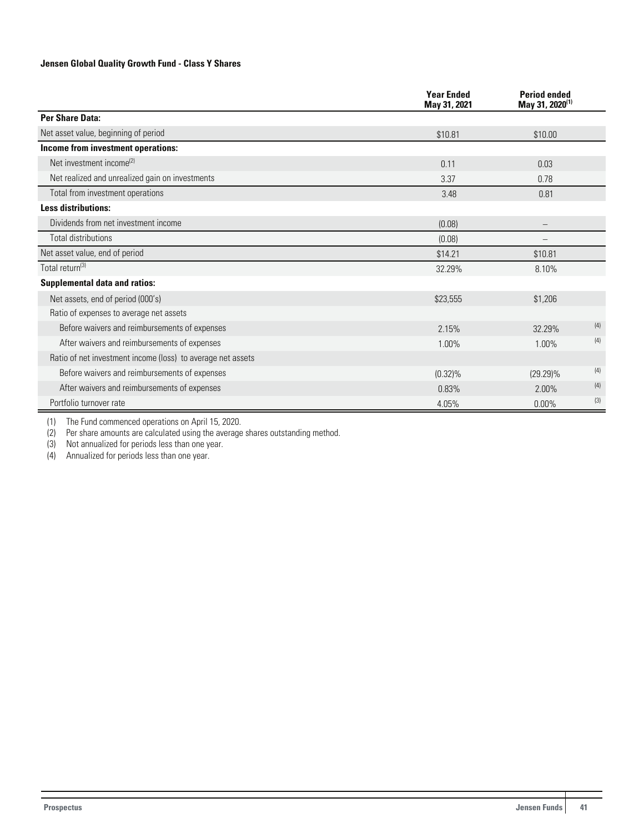#### **Jensen Global Quality Growth Fund - Class Y Shares**

|                                                             | <b>Year Ended</b><br>May 31, 2021 | <b>Period ended</b><br>May 31, 2020 <sup>(1)</sup> |     |
|-------------------------------------------------------------|-----------------------------------|----------------------------------------------------|-----|
| Per Share Data:                                             |                                   |                                                    |     |
| Net asset value, beginning of period                        | \$10.81                           | \$10.00                                            |     |
| Income from investment operations:                          |                                   |                                                    |     |
| Net investment income <sup>(2)</sup>                        | 0.11                              | 0.03                                               |     |
| Net realized and unrealized gain on investments             | 3.37                              | 0.78                                               |     |
| Total from investment operations                            | 3.48                              | 0.81                                               |     |
| <b>Less distributions:</b>                                  |                                   |                                                    |     |
| Dividends from net investment income                        | (0.08)                            |                                                    |     |
| <b>Total distributions</b>                                  | (0.08)                            |                                                    |     |
| Net asset value, end of period                              | \$14.21                           | \$10.81                                            |     |
| Total return <sup>(3)</sup>                                 | 32.29%                            | 8.10%                                              |     |
| <b>Supplemental data and ratios:</b>                        |                                   |                                                    |     |
| Net assets, end of period (000's)                           | \$23,555                          | \$1,206                                            |     |
| Ratio of expenses to average net assets                     |                                   |                                                    |     |
| Before waivers and reimbursements of expenses               | 2.15%                             | 32.29%                                             | (4) |
| After waivers and reimbursements of expenses                | 1.00%                             | 1.00%                                              | (4) |
| Ratio of net investment income (loss) to average net assets |                                   |                                                    |     |
| Before waivers and reimbursements of expenses               | $(0.32)\%$                        | $(29.29)\%$                                        | (4) |
| After waivers and reimbursements of expenses                | 0.83%                             | 2.00%                                              | (4) |
| Portfolio turnover rate                                     | 4.05%                             | $0.00\%$                                           | (3) |

(1) The Fund commenced operations on April 15, 2020.

(2) Per share amounts are calculated using the average shares outstanding method.

(2) Per share amounts are calculated using the ave<br>(3) Not annualized for periods less than one year.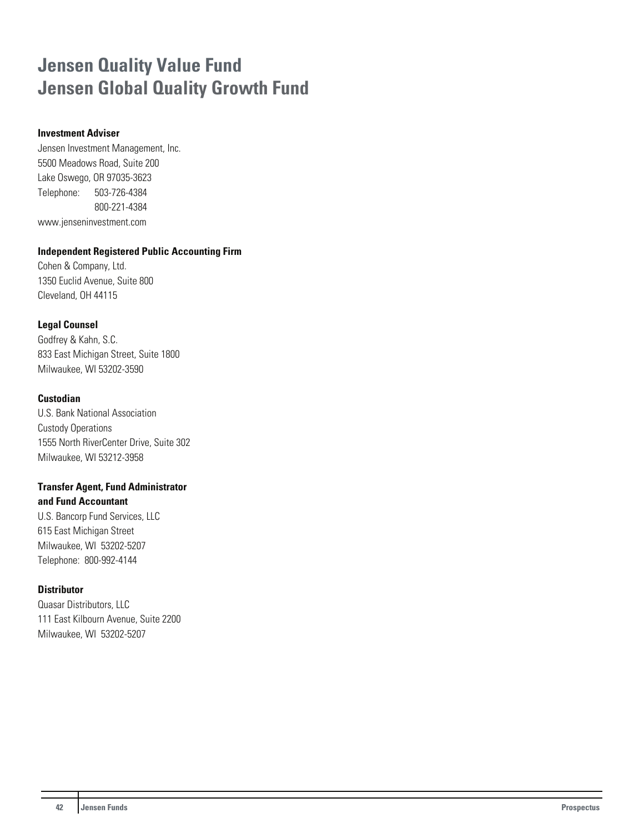## **Jensen Quality Value Fund Jensen Global Quality Growth Fund**

## **Investment Adviser**

Jensen Investment Management, Inc. 5500 Meadows Road, Suite 200 Lake Oswego, OR 97035-3623 Telephone: 503-726-4384 800-221-4384 www.jenseninvestment.com

### **Independent Registered Public Accounting Firm**

Cohen & Company, Ltd. 1350 Euclid Avenue, Suite 800 Cleveland, OH 44115

## **Legal Counsel**

Godfrey & Kahn, S.C. 833 East Michigan Street, Suite 1800 Milwaukee, WI 53202-3590

## **Custodian**

U.S. Bank National Association Custody Operations 1555 North RiverCenter Drive, Suite 302 Milwaukee, WI 53212-3958

#### **Transfer Agent, Fund Administrator and Fund Accountant**

U.S. Bancorp Fund Services, LLC 615 East Michigan Street Milwaukee, WI 53202-5207 Telephone: 800-992-4144

## **Distributor**

Quasar Distributors, LLC 111 East Kilbourn Avenue, Suite 2200 Milwaukee, WI 53202-5207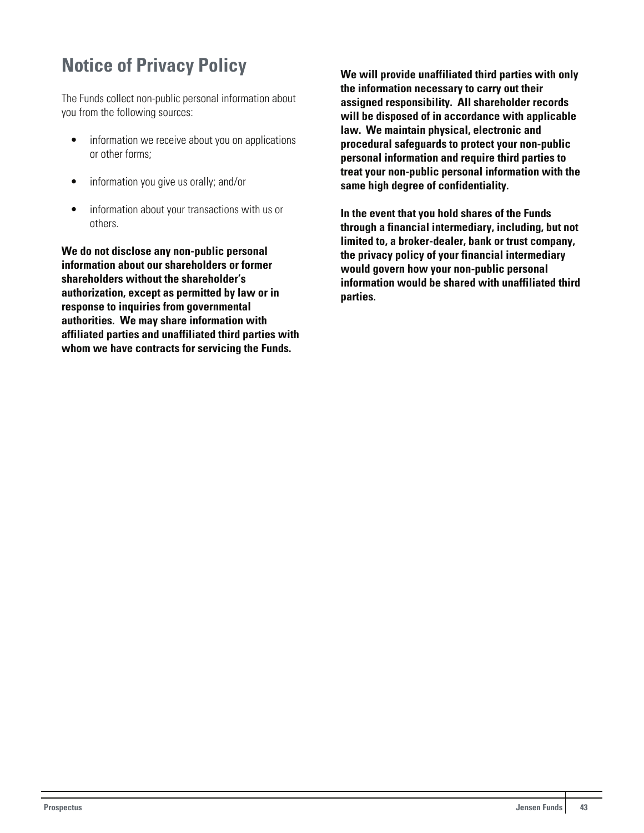## <span id="page-43-0"></span>**Notice of Privacy Policy**

The Funds collect non-public personal information about you from the following sources:

- information we receive about you on applications or other forms;
- information you give us orally; and/or
- information about your transactions with us or others.

**We do not disclose any non-public personal information about our shareholders or former shareholders without the shareholder's authorization, except as permitted by law or in response to inquiries from governmental authorities. We may share information with affiliated parties and unaffiliated third parties with whom we have contracts for servicing the Funds.**

**We will provide unaffiliated third parties with only the information necessary to carry out their assigned responsibility. All shareholder records will be disposed of in accordance with applicable law. We maintain physical, electronic and procedural safeguards to protect your non-public personal information and require third parties to treat your non-public personal information with the same high degree of confidentiality.**

**In the event that you hold shares of the Funds through a financial intermediary, including, but not limited to, a broker-dealer, bank or trust company, the privacy policy of your financial intermediary would govern how your non-public personal information would be shared with unaffiliated third parties.**